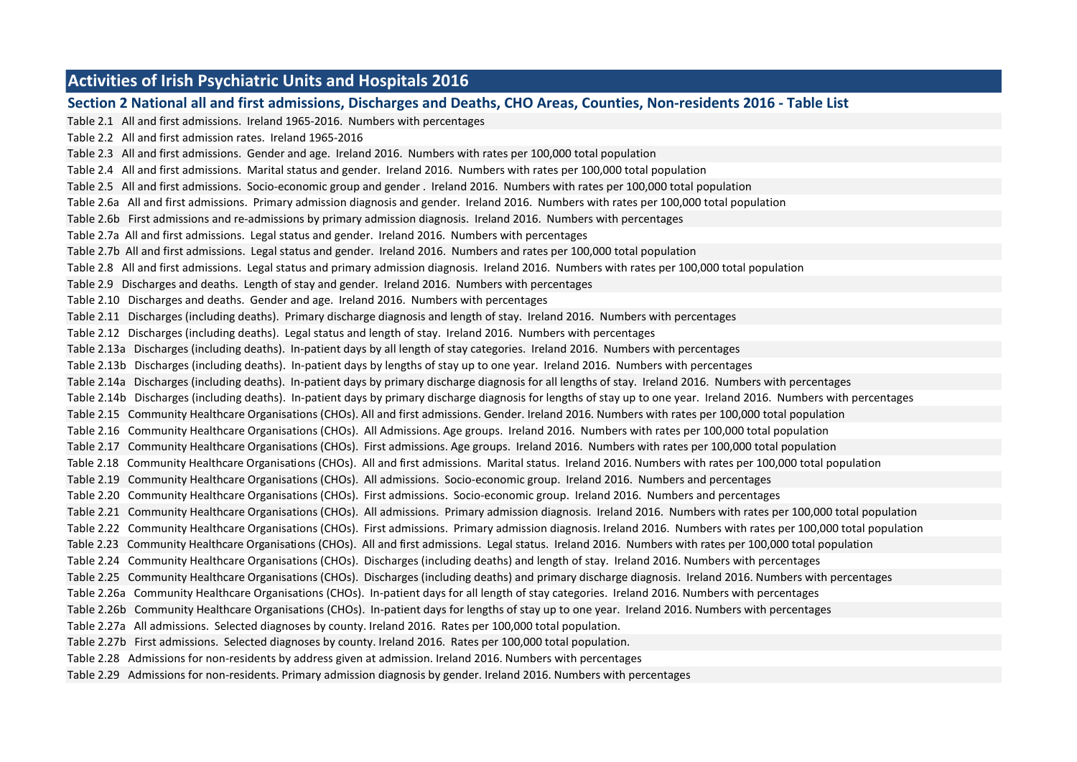### **Activities of Irish Psychiatric Units and Hospitals 2016**

**Section 2 National all and first admissions, Discharges and Deaths, CHO Areas, Counties, Non-residents 2016 - Table List** Table 2.1 All and first admissions. Ireland 1965-2016. Numbers with percentages Table 2.2 All and first admission rates. Ireland 1965-2016 Table 2.3 All and first admissions. Gender and age. Ireland 2016. Numbers with rates per 100,000 total population Table 2.4 All and first admissions. Marital status and gender. Ireland 2016. Numbers with rates per 100,000 total population Table 2.5 All and first admissions. Socio-economic group and gender . Ireland 2016. Numbers with rates per 100,000 total population Table 2.6a All and first admissions. Primary admission diagnosis and gender. Ireland 2016. Numbers with rates per 100,000 total population Table 2.6b First admissions and re-admissions by primary admission diagnosis. Ireland 2016. Numbers with percentages Table 2.7a All and first admissions. Legal status and gender. Ireland 2016. Numbers with percentages Table 2.7b All and first admissions. Legal status and gender. Ireland 2016. Numbers and rates per 100,000 total population Table 2.8 All and first admissions. Legal status and primary admission diagnosis. Ireland 2016. Numbers with rates per 100,000 total population Table 2.9 Discharges and deaths. Length of stay and gender. Ireland 2016. Numbers with percentages Table 2.10 Discharges and deaths. Gender and age. Ireland 2016. Numbers with percentages Table 2.11 Discharges (including deaths). Primary discharge diagnosis and length of stay. Ireland 2016. Numbers with percentages Table 2.12 Discharges (including deaths). Legal status and length of stay. Ireland 2016. Numbers with percentages Table 2.13a Discharges (including deaths). In-patient days by all length of stay categories. Ireland 2016. Numbers with percentages Table 2.13b Discharges (including deaths). In-patient days by lengths of stay up to one year. Ireland 2016. Numbers with percentages Table 2.14a Discharges (including deaths). In-patient days by primary discharge diagnosis for all lengths of stay. Ireland 2016. Numbers with percentages Table 2.14b Discharges (including deaths). In-patient days by primary discharge diagnosis for lengths of stay up to one year. Ireland 2016. Numbers with percentages Table 2.15 Community Healthcare Organisations (CHOs). All and first admissions. Gender. Ireland 2016. Numbers with rates per 100,000 total population Table 2.16 Community Healthcare Organisations (CHOs). All Admissions. Age groups. Ireland 2016. Numbers with rates per 100,000 total population Table 2.17 Community Healthcare Organisations (CHOs). First admissions. Age groups. Ireland 2016. Numbers with rates per 100,000 total population Table 2.18 Community Healthcare Organisations (CHOs). All and first admissions. Marital status. Ireland 2016. Numbers with rates per 100,000 total population Table 2.19 Community Healthcare Organisations (CHOs). All admissions. Socio-economic group. Ireland 2016. Numbers and percentages Table 2.20 Community Healthcare Organisations (CHOs). First admissions. Socio-economic group. Ireland 2016. Numbers and percentages Table 2.21 Community Healthcare Organisations (CHOs). All admissions. Primary admission diagnosis. Ireland 2016. Numbers with rates per 100,000 total population Table 2.22 Community Healthcare Organisations (CHOs). First admissions. Primary admission diagnosis. Ireland 2016. Numbers with rates per 100,000 total population Table 2.23 Community Healthcare Organisations (CHOs). All and first admissions. Legal status. Ireland 2016. Numbers with rates per 100,000 total population Table 2.24 Community Healthcare Organisations (CHOs). Discharges (including deaths) and length of stay. Ireland 2016. Numbers with percentages Table 2.25 Community Healthcare Organisations (CHOs). Discharges (including deaths) and primary discharge diagnosis. Ireland 2016. Numbers with percentages Table 2.26a Community Healthcare Organisations (CHOs). In-patient days for all length of stay categories. Ireland 2016. Numbers with percentages Table 2.26b Community Healthcare Organisations (CHOs). In-patient days for lengths of stay up to one year. Ireland 2016. Numbers with percentages Table 2.27a All admissions. Selected diagnoses by county. Ireland 2016. Rates per 100,000 total population. Table 2.27b First admissions. Selected diagnoses by county. Ireland 2016. Rates per 100,000 total population. Table 2.28 Admissions for non-residents by address given at admission. Ireland 2016. Numbers with percentages Table 2.29 Admissions for non-residents. Primary admission diagnosis by gender. Ireland 2016. Numbers with percentages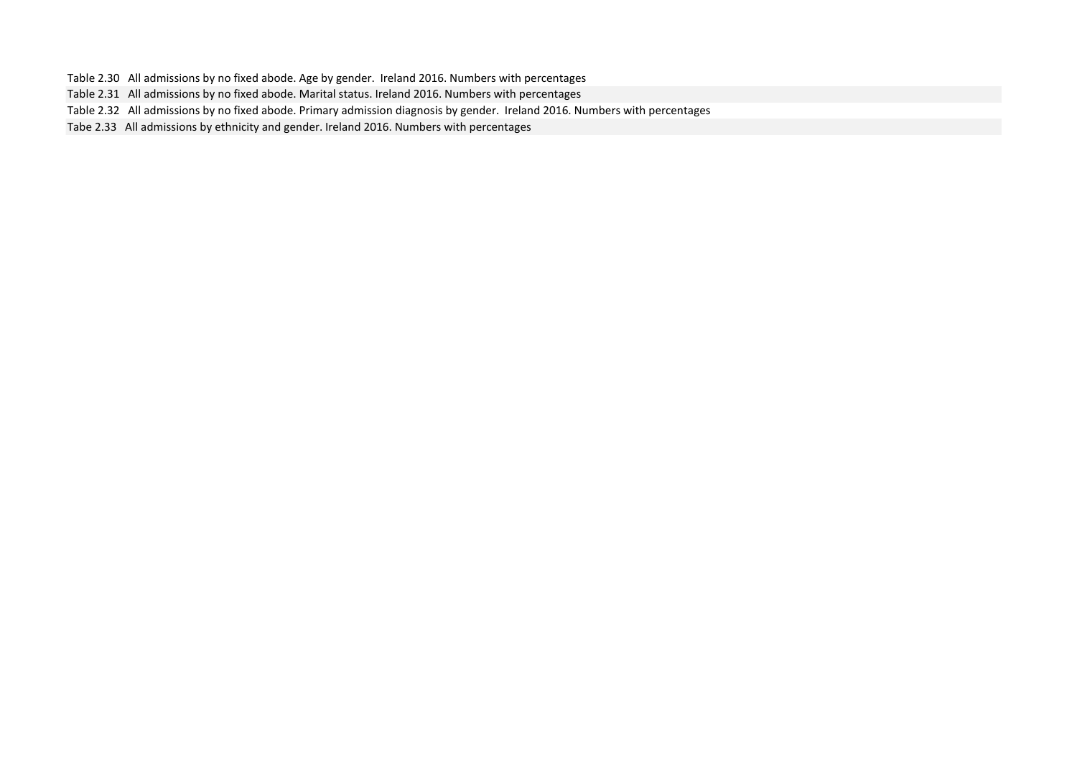Table 2.30 All admissions by no fixed abode. Age by gender. Ireland 2016. Numbers with percentages

Table 2.31 All admissions by no fixed abode. Marital status. Ireland 2016. Numbers with percentages

Table 2.32 All admissions by no fixed abode. Primary admission diagnosis by gender. Ireland 2016. Numbers with percentages

Tabe 2.33 All admissions by ethnicity and gender. Ireland 2016. Numbers with percentages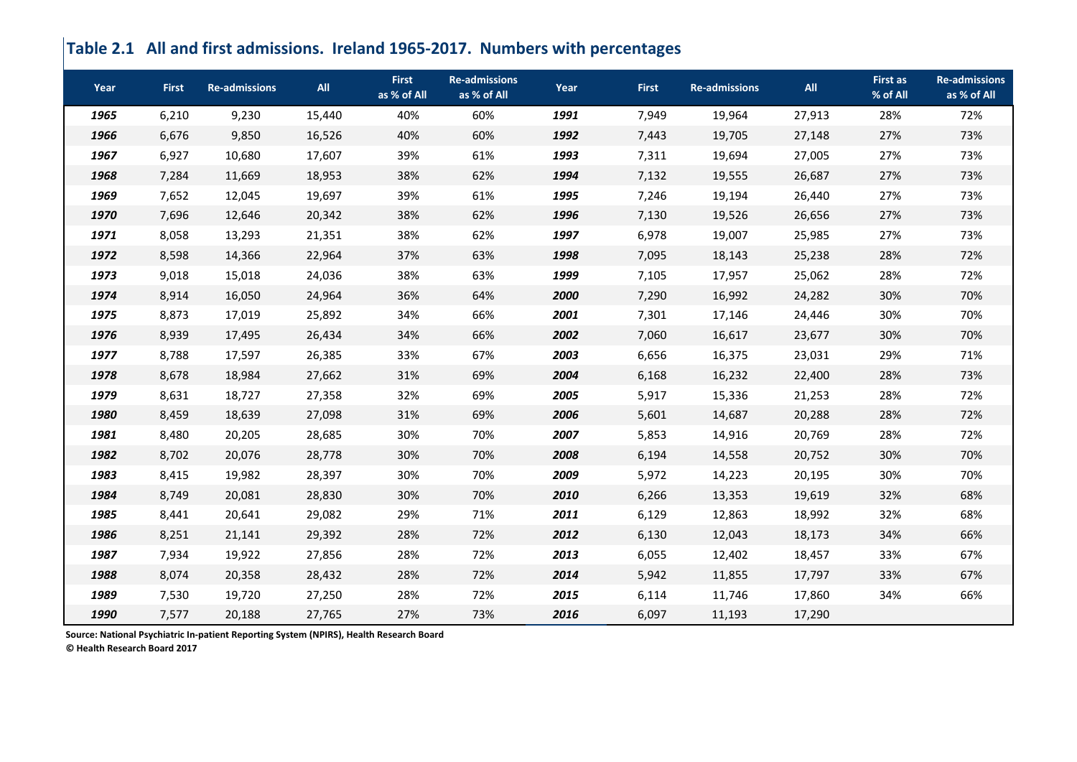# **Table 2.1 All and first admissions. Ireland 1965-2017. Numbers with percentages**

| Year | <b>First</b> | <b>Re-admissions</b> | All    | <b>First</b><br>as % of All | <b>Re-admissions</b><br>as % of All | Year | <b>First</b> | <b>Re-admissions</b> | <b>All</b> | <b>First as</b><br>% of All | <b>Re-admissions</b><br>as % of All |
|------|--------------|----------------------|--------|-----------------------------|-------------------------------------|------|--------------|----------------------|------------|-----------------------------|-------------------------------------|
| 1965 | 6,210        | 9,230                | 15,440 | 40%                         | 60%                                 | 1991 | 7,949        | 19,964               | 27,913     | 28%                         | 72%                                 |
| 1966 | 6,676        | 9,850                | 16,526 | 40%                         | 60%                                 | 1992 | 7,443        | 19,705               | 27,148     | 27%                         | 73%                                 |
| 1967 | 6,927        | 10,680               | 17,607 | 39%                         | 61%                                 | 1993 | 7,311        | 19,694               | 27,005     | 27%                         | 73%                                 |
| 1968 | 7,284        | 11,669               | 18,953 | 38%                         | 62%                                 | 1994 | 7,132        | 19,555               | 26,687     | 27%                         | 73%                                 |
| 1969 | 7,652        | 12,045               | 19,697 | 39%                         | 61%                                 | 1995 | 7,246        | 19,194               | 26,440     | 27%                         | 73%                                 |
| 1970 | 7,696        | 12,646               | 20,342 | 38%                         | 62%                                 | 1996 | 7,130        | 19,526               | 26,656     | 27%                         | 73%                                 |
| 1971 | 8,058        | 13,293               | 21,351 | 38%                         | 62%                                 | 1997 | 6,978        | 19,007               | 25,985     | 27%                         | 73%                                 |
| 1972 | 8,598        | 14,366               | 22,964 | 37%                         | 63%                                 | 1998 | 7,095        | 18,143               | 25,238     | 28%                         | 72%                                 |
| 1973 | 9,018        | 15,018               | 24,036 | 38%                         | 63%                                 | 1999 | 7,105        | 17,957               | 25,062     | 28%                         | 72%                                 |
| 1974 | 8,914        | 16,050               | 24,964 | 36%                         | 64%                                 | 2000 | 7,290        | 16,992               | 24,282     | 30%                         | 70%                                 |
| 1975 | 8,873        | 17,019               | 25,892 | 34%                         | 66%                                 | 2001 | 7,301        | 17,146               | 24,446     | 30%                         | 70%                                 |
| 1976 | 8,939        | 17,495               | 26,434 | 34%                         | 66%                                 | 2002 | 7,060        | 16,617               | 23,677     | 30%                         | 70%                                 |
| 1977 | 8,788        | 17,597               | 26,385 | 33%                         | 67%                                 | 2003 | 6,656        | 16,375               | 23,031     | 29%                         | 71%                                 |
| 1978 | 8,678        | 18,984               | 27,662 | 31%                         | 69%                                 | 2004 | 6,168        | 16,232               | 22,400     | 28%                         | 73%                                 |
| 1979 | 8,631        | 18,727               | 27,358 | 32%                         | 69%                                 | 2005 | 5,917        | 15,336               | 21,253     | 28%                         | 72%                                 |
| 1980 | 8,459        | 18,639               | 27,098 | 31%                         | 69%                                 | 2006 | 5,601        | 14,687               | 20,288     | 28%                         | 72%                                 |
| 1981 | 8,480        | 20,205               | 28,685 | 30%                         | 70%                                 | 2007 | 5,853        | 14,916               | 20,769     | 28%                         | 72%                                 |
| 1982 | 8,702        | 20,076               | 28,778 | 30%                         | 70%                                 | 2008 | 6,194        | 14,558               | 20,752     | 30%                         | 70%                                 |
| 1983 | 8,415        | 19,982               | 28,397 | 30%                         | 70%                                 | 2009 | 5,972        | 14,223               | 20,195     | 30%                         | 70%                                 |
| 1984 | 8,749        | 20,081               | 28,830 | 30%                         | 70%                                 | 2010 | 6,266        | 13,353               | 19,619     | 32%                         | 68%                                 |
| 1985 | 8,441        | 20,641               | 29,082 | 29%                         | 71%                                 | 2011 | 6,129        | 12,863               | 18,992     | 32%                         | 68%                                 |
| 1986 | 8,251        | 21,141               | 29,392 | 28%                         | 72%                                 | 2012 | 6,130        | 12,043               | 18,173     | 34%                         | 66%                                 |
| 1987 | 7,934        | 19,922               | 27,856 | 28%                         | 72%                                 | 2013 | 6,055        | 12,402               | 18,457     | 33%                         | 67%                                 |
| 1988 | 8,074        | 20,358               | 28,432 | 28%                         | 72%                                 | 2014 | 5,942        | 11,855               | 17,797     | 33%                         | 67%                                 |
| 1989 | 7,530        | 19,720               | 27,250 | 28%                         | 72%                                 | 2015 | 6,114        | 11,746               | 17,860     | 34%                         | 66%                                 |
| 1990 | 7,577        | 20,188               | 27,765 | 27%                         | 73%                                 | 2016 | 6,097        | 11,193               | 17,290     |                             |                                     |

**Source: National Psychiatric In-patient Reporting System (NPIRS), Health Research Board**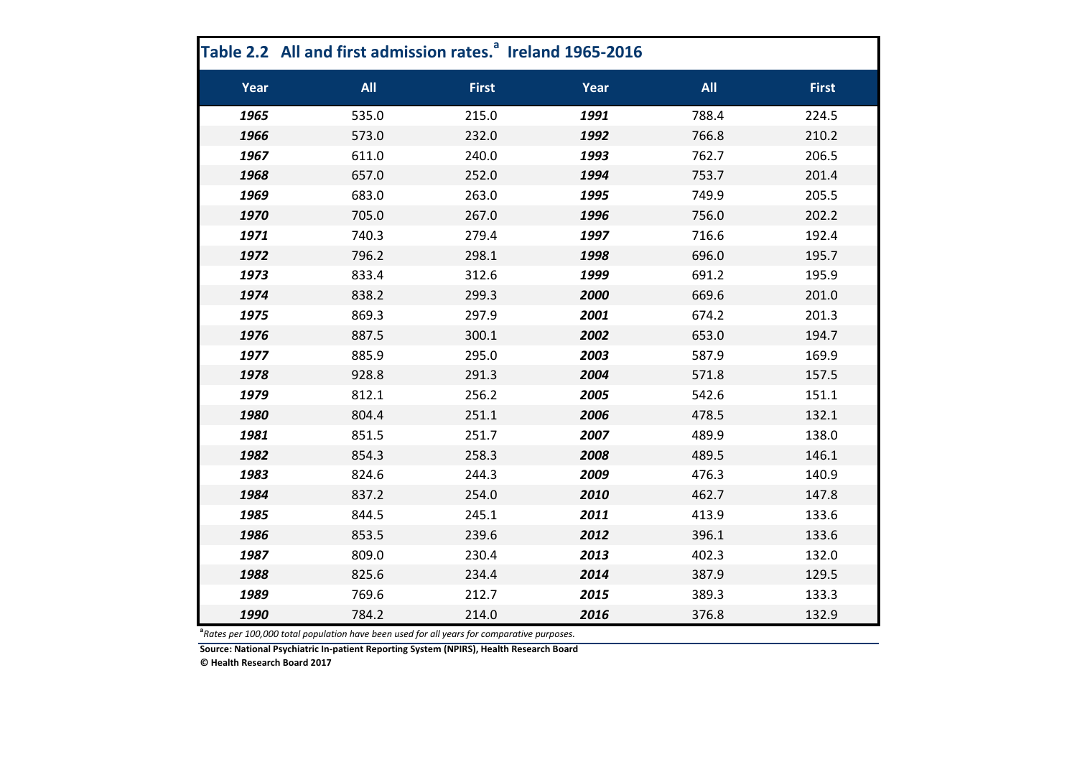|      | Table 2.2 All and first admission rates. <sup>8</sup> Ireland 1965-2016 |              |      |            |              |
|------|-------------------------------------------------------------------------|--------------|------|------------|--------------|
| Year | <b>All</b>                                                              | <b>First</b> | Year | <b>All</b> | <b>First</b> |
| 1965 | 535.0                                                                   | 215.0        | 1991 | 788.4      | 224.5        |
| 1966 | 573.0                                                                   | 232.0        | 1992 | 766.8      | 210.2        |
| 1967 | 611.0                                                                   | 240.0        | 1993 | 762.7      | 206.5        |
| 1968 | 657.0                                                                   | 252.0        | 1994 | 753.7      | 201.4        |
| 1969 | 683.0                                                                   | 263.0        | 1995 | 749.9      | 205.5        |
| 1970 | 705.0                                                                   | 267.0        | 1996 | 756.0      | 202.2        |
| 1971 | 740.3                                                                   | 279.4        | 1997 | 716.6      | 192.4        |
| 1972 | 796.2                                                                   | 298.1        | 1998 | 696.0      | 195.7        |
| 1973 | 833.4                                                                   | 312.6        | 1999 | 691.2      | 195.9        |
| 1974 | 838.2                                                                   | 299.3        | 2000 | 669.6      | 201.0        |
| 1975 | 869.3                                                                   | 297.9        | 2001 | 674.2      | 201.3        |
| 1976 | 887.5                                                                   | 300.1        | 2002 | 653.0      | 194.7        |
| 1977 | 885.9                                                                   | 295.0        | 2003 | 587.9      | 169.9        |
| 1978 | 928.8                                                                   | 291.3        | 2004 | 571.8      | 157.5        |
| 1979 | 812.1                                                                   | 256.2        | 2005 | 542.6      | 151.1        |
| 1980 | 804.4                                                                   | 251.1        | 2006 | 478.5      | 132.1        |
| 1981 | 851.5                                                                   | 251.7        | 2007 | 489.9      | 138.0        |
| 1982 | 854.3                                                                   | 258.3        | 2008 | 489.5      | 146.1        |
| 1983 | 824.6                                                                   | 244.3        | 2009 | 476.3      | 140.9        |
| 1984 | 837.2                                                                   | 254.0        | 2010 | 462.7      | 147.8        |
| 1985 | 844.5                                                                   | 245.1        | 2011 | 413.9      | 133.6        |
| 1986 | 853.5                                                                   | 239.6        | 2012 | 396.1      | 133.6        |
| 1987 | 809.0                                                                   | 230.4        | 2013 | 402.3      | 132.0        |
| 1988 | 825.6                                                                   | 234.4        | 2014 | 387.9      | 129.5        |
| 1989 | 769.6                                                                   | 212.7        | 2015 | 389.3      | 133.3        |
| 1990 | 784.2                                                                   | 214.0        | 2016 | 376.8      | 132.9        |

**a** *Rates per 100,000 total population have been used for all years for comparative purposes.*

**Source: National Psychiatric In-patient Reporting System (NPIRS), Health Research Board**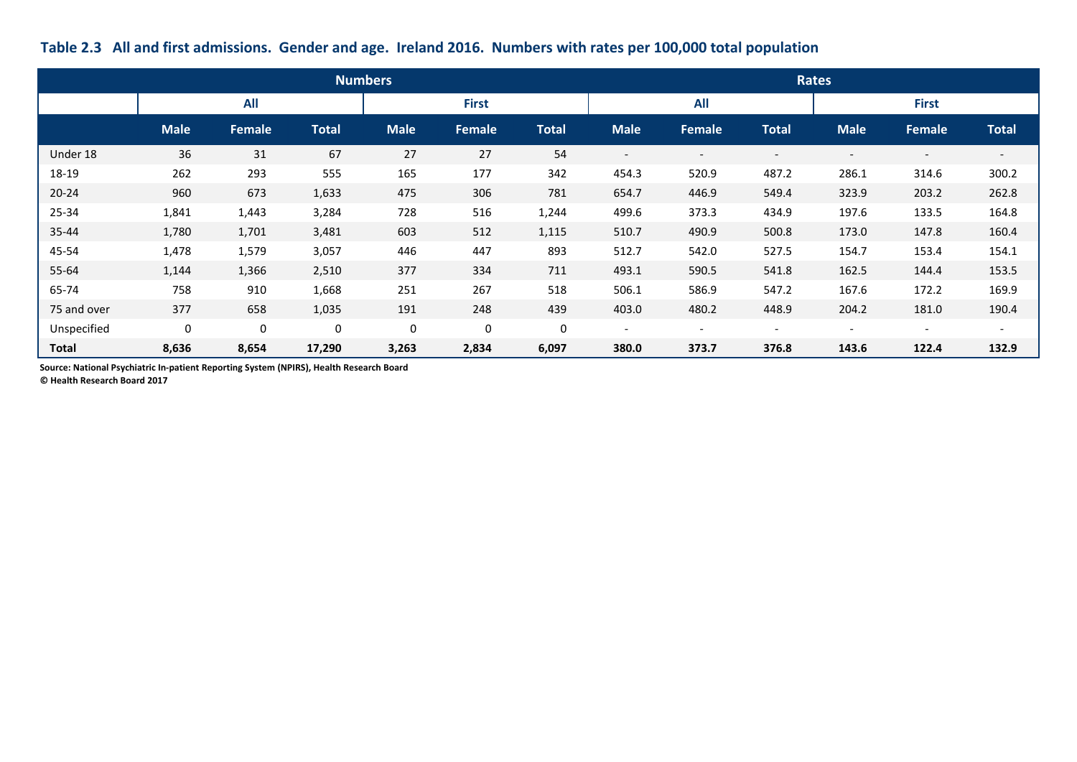|              |                  |               |              | <b>Numbers</b> |              |              |                          |                          |                          | <b>Rates</b>             |                          |                          |
|--------------|------------------|---------------|--------------|----------------|--------------|--------------|--------------------------|--------------------------|--------------------------|--------------------------|--------------------------|--------------------------|
|              |                  | All           |              |                | <b>First</b> |              |                          | <b>All</b>               |                          |                          | <b>First</b>             |                          |
|              | <b>Male</b>      | <b>Female</b> | <b>Total</b> | <b>Male</b>    | Female       | <b>Total</b> | <b>Male</b>              | <b>Female</b>            | <b>Total</b>             | <b>Male</b>              | Female                   | <b>Total</b>             |
| Under 18     | 36               | 31            | 67           | 27             | 27           | 54           | $\overline{\phantom{a}}$ |                          | $\overline{\phantom{a}}$ | $\qquad \qquad$          | $\overline{\phantom{a}}$ | $\overline{\phantom{a}}$ |
| 18-19        | 262              | 293           | 555          | 165            | 177          | 342          | 454.3                    | 520.9                    | 487.2                    | 286.1                    | 314.6                    | 300.2                    |
| $20 - 24$    | 960              | 673           | 1,633        | 475            | 306          | 781          | 654.7                    | 446.9                    | 549.4                    | 323.9                    | 203.2                    | 262.8                    |
| 25-34        | 1,841            | 1,443         | 3,284        | 728            | 516          | 1,244        | 499.6                    | 373.3                    | 434.9                    | 197.6                    | 133.5                    | 164.8                    |
| 35-44        | 1,780            | 1,701         | 3,481        | 603            | 512          | 1,115        | 510.7                    | 490.9                    | 500.8                    | 173.0                    | 147.8                    | 160.4                    |
| 45-54        | 1,478            | 1,579         | 3,057        | 446            | 447          | 893          | 512.7                    | 542.0                    | 527.5                    | 154.7                    | 153.4                    | 154.1                    |
| 55-64        | 1,144            | 1,366         | 2,510        | 377            | 334          | 711          | 493.1                    | 590.5                    | 541.8                    | 162.5                    | 144.4                    | 153.5                    |
| 65-74        | 758              | 910           | 1,668        | 251            | 267          | 518          | 506.1                    | 586.9                    | 547.2                    | 167.6                    | 172.2                    | 169.9                    |
| 75 and over  | 377              | 658           | 1,035        | 191            | 248          | 439          | 403.0                    | 480.2                    | 448.9                    | 204.2                    | 181.0                    | 190.4                    |
| Unspecified  | $\boldsymbol{0}$ | 0             | $\mathbf 0$  | $\mathbf 0$    | $\mathbf 0$  | $\mathbf 0$  | $\overline{\phantom{a}}$ | $\overline{\phantom{a}}$ | $\overline{\phantom{a}}$ | $\overline{\phantom{a}}$ | $\overline{\phantom{a}}$ | $\overline{\phantom{a}}$ |
| <b>Total</b> | 8,636            | 8,654         | 17,290       | 3,263          | 2,834        | 6,097        | 380.0                    | 373.7                    | 376.8                    | 143.6                    | 122.4                    | 132.9                    |

# **Table 2.3 All and first admissions. Gender and age. Ireland 2016. Numbers with rates per 100,000 total population**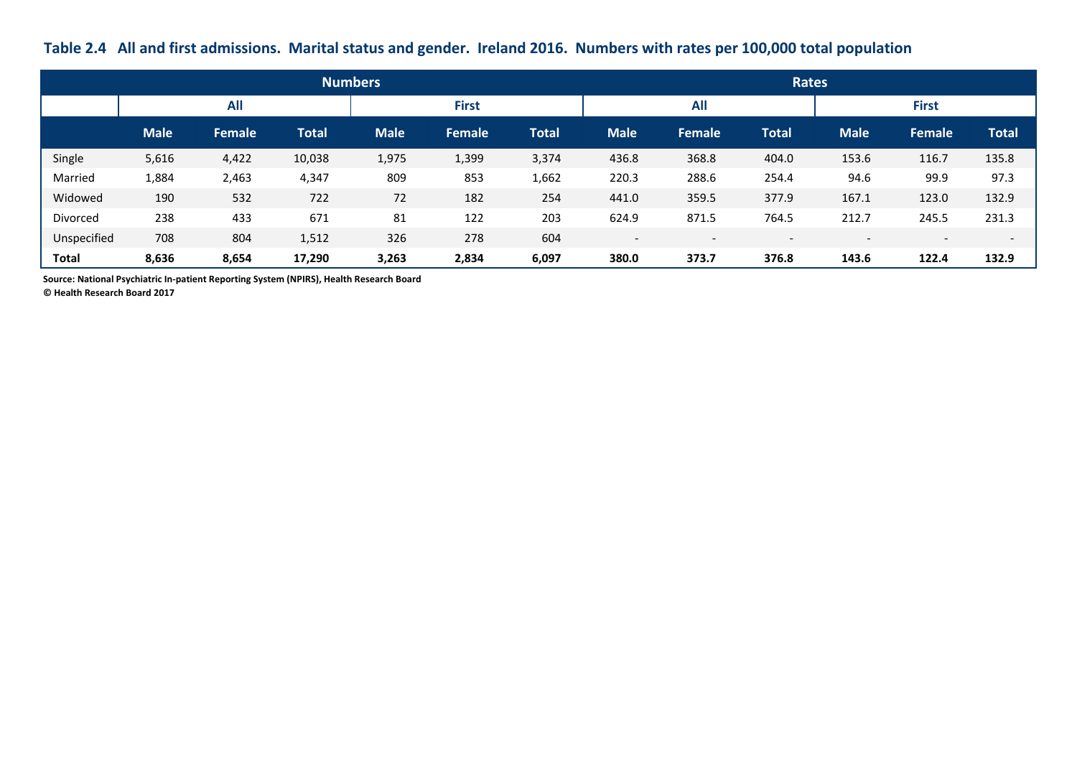## **Table 2.4 All and first admissions. Marital status and gender. Ireland 2016. Numbers with rates per 100,000 total population**

|              |             |               |              | <b>Numbers</b> |               |       |                          |                          | <b>Rates</b>             |                          |                          |                          |
|--------------|-------------|---------------|--------------|----------------|---------------|-------|--------------------------|--------------------------|--------------------------|--------------------------|--------------------------|--------------------------|
|              |             | <b>All</b>    |              |                | <b>First</b>  |       |                          | <b>All</b>               |                          |                          | <b>First</b>             |                          |
|              | <b>Male</b> | <b>Female</b> | <b>Total</b> | <b>Male</b>    | <b>Female</b> | Total | <b>Male</b>              | Female                   | <b>Total</b>             | <b>Male</b>              | Female                   | <b>Total</b>             |
| Single       | 5,616       | 4,422         | 10,038       | 1,975          | 1,399         | 3,374 | 436.8                    | 368.8                    | 404.0                    | 153.6                    | 116.7                    | 135.8                    |
| Married      | 1,884       | 2,463         | 4,347        | 809            | 853           | 1,662 | 220.3                    | 288.6                    | 254.4                    | 94.6                     | 99.9                     | 97.3                     |
| Widowed      | 190         | 532           | 722          | 72             | 182           | 254   | 441.0                    | 359.5                    | 377.9                    | 167.1                    | 123.0                    | 132.9                    |
| Divorced     | 238         | 433           | 671          | 81             | 122           | 203   | 624.9                    | 871.5                    | 764.5                    | 212.7                    | 245.5                    | 231.3                    |
| Unspecified  | 708         | 804           | 1,512        | 326            | 278           | 604   | $\overline{\phantom{a}}$ | $\overline{\phantom{0}}$ | $\overline{\phantom{0}}$ | $\overline{\phantom{a}}$ | $\overline{\phantom{0}}$ | $\overline{\phantom{a}}$ |
| <b>Total</b> | 8,636       | 8,654         | 17,290       | 3,263          | 2,834         | 6,097 | 380.0                    | 373.7                    | 376.8                    | 143.6                    | 122.4                    | 132.9                    |

**Source: National Psychiatric In-patient Reporting System (NPIRS), Health Research Board**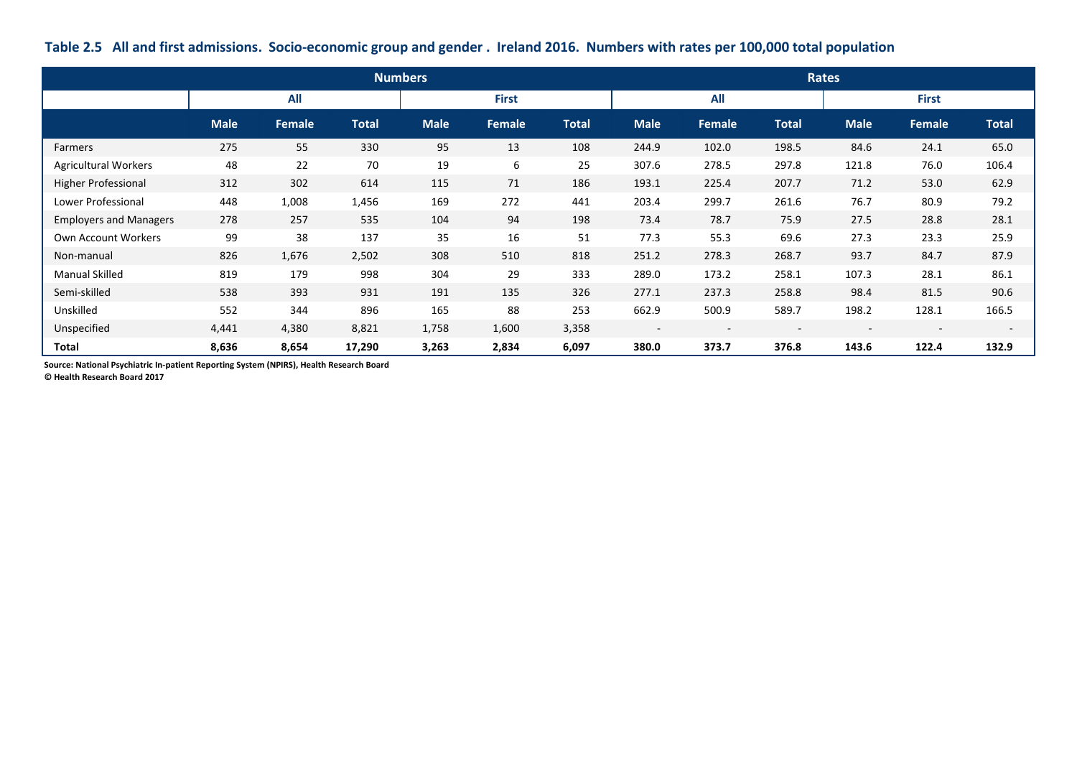|                               |             |        |              | <b>Numbers</b> |              |              |                          |               |              | Rates       |                          |              |
|-------------------------------|-------------|--------|--------------|----------------|--------------|--------------|--------------------------|---------------|--------------|-------------|--------------------------|--------------|
|                               |             | All    |              |                | <b>First</b> |              |                          | <b>All</b>    |              |             | <b>First</b>             |              |
|                               | <b>Male</b> | Female | <b>Total</b> | <b>Male</b>    | Female       | <b>Total</b> | <b>Male</b>              | <b>Female</b> | <b>Total</b> | <b>Male</b> | Female                   | <b>Total</b> |
| Farmers                       | 275         | 55     | 330          | 95             | 13           | 108          | 244.9                    | 102.0         | 198.5        | 84.6        | 24.1                     | 65.0         |
| <b>Agricultural Workers</b>   | 48          | 22     | 70           | 19             | 6            | 25           | 307.6                    | 278.5         | 297.8        | 121.8       | 76.0                     | 106.4        |
| <b>Higher Professional</b>    | 312         | 302    | 614          | 115            | 71           | 186          | 193.1                    | 225.4         | 207.7        | 71.2        | 53.0                     | 62.9         |
| Lower Professional            | 448         | 1,008  | 1,456        | 169            | 272          | 441          | 203.4                    | 299.7         | 261.6        | 76.7        | 80.9                     | 79.2         |
| <b>Employers and Managers</b> | 278         | 257    | 535          | 104            | 94           | 198          | 73.4                     | 78.7          | 75.9         | 27.5        | 28.8                     | 28.1         |
| Own Account Workers           | 99          | 38     | 137          | 35             | 16           | 51           | 77.3                     | 55.3          | 69.6         | 27.3        | 23.3                     | 25.9         |
| Non-manual                    | 826         | 1,676  | 2,502        | 308            | 510          | 818          | 251.2                    | 278.3         | 268.7        | 93.7        | 84.7                     | 87.9         |
| <b>Manual Skilled</b>         | 819         | 179    | 998          | 304            | 29           | 333          | 289.0                    | 173.2         | 258.1        | 107.3       | 28.1                     | 86.1         |
| Semi-skilled                  | 538         | 393    | 931          | 191            | 135          | 326          | 277.1                    | 237.3         | 258.8        | 98.4        | 81.5                     | 90.6         |
| Unskilled                     | 552         | 344    | 896          | 165            | 88           | 253          | 662.9                    | 500.9         | 589.7        | 198.2       | 128.1                    | 166.5        |
| Unspecified                   | 4,441       | 4,380  | 8,821        | 1,758          | 1,600        | 3,358        | $\overline{\phantom{a}}$ |               |              |             | $\overline{\phantom{a}}$ |              |
| <b>Total</b>                  | 8,636       | 8,654  | 17,290       | 3,263          | 2,834        | 6,097        | 380.0                    | 373.7         | 376.8        | 143.6       | 122.4                    | 132.9        |

### **Table 2.5 All and first admissions. Socio-economic group and gender . Ireland 2016. Numbers with rates per 100,000 total population**

**Source: National Psychiatric In-patient Reporting System (NPIRS), Health Research Board**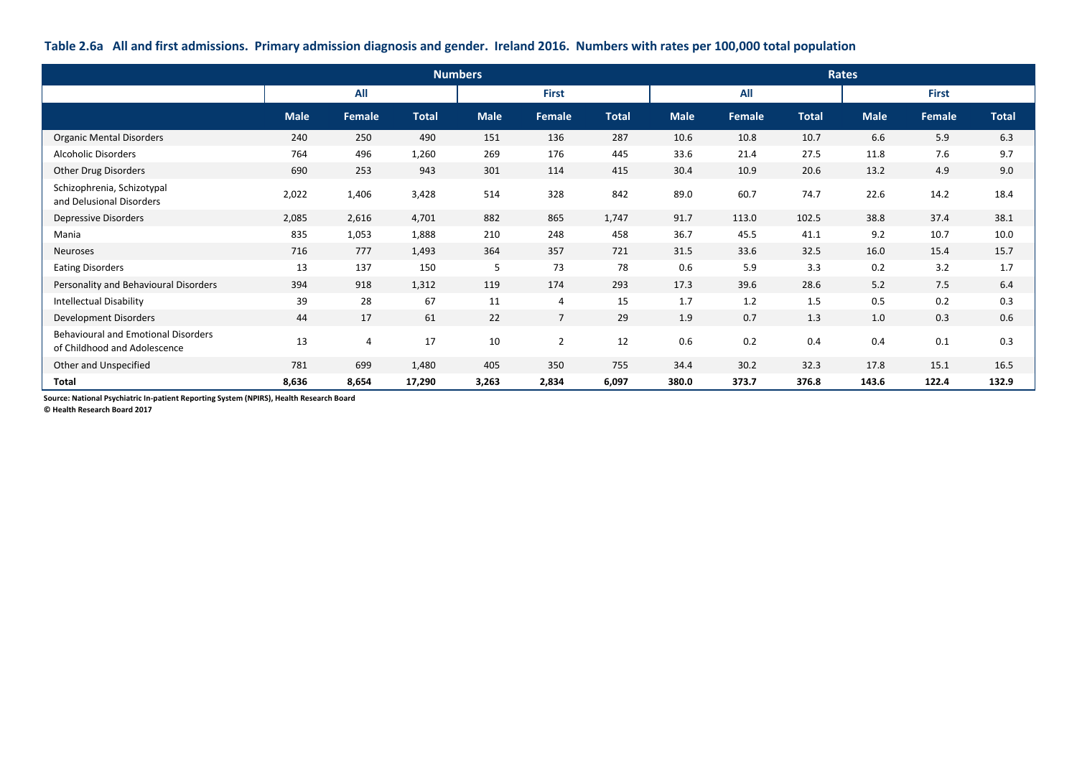### **Table 2.6a All and first admissions. Primary admission diagnosis and gender. Ireland 2016. Numbers with rates per 100,000 total population**

|                                                                            | <b>Numbers</b><br><b>Rates</b><br>All<br>All<br><b>First</b><br><b>First</b> |               |              |             |                 |              |             |        |              |             |        |              |
|----------------------------------------------------------------------------|------------------------------------------------------------------------------|---------------|--------------|-------------|-----------------|--------------|-------------|--------|--------------|-------------|--------|--------------|
|                                                                            |                                                                              |               |              |             |                 |              |             |        |              |             |        |              |
|                                                                            | <b>Male</b>                                                                  | <b>Female</b> | <b>Total</b> | <b>Male</b> | Female          | <b>Total</b> | <b>Male</b> | Female | <b>Total</b> | <b>Male</b> | Female | <b>Total</b> |
| <b>Organic Mental Disorders</b>                                            | 240                                                                          | 250           | 490          | 151         | 136             | 287          | 10.6        | 10.8   | 10.7         | 6.6         | 5.9    | 6.3          |
| <b>Alcoholic Disorders</b>                                                 | 764                                                                          | 496           | 1,260        | 269         | 176             | 445          | 33.6        | 21.4   | 27.5         | 11.8        | 7.6    | 9.7          |
| Other Drug Disorders                                                       | 690                                                                          | 253           | 943          | 301         | 114             | 415          | 30.4        | 10.9   | 20.6         | 13.2        | 4.9    | 9.0          |
| Schizophrenia, Schizotypal<br>and Delusional Disorders                     | 2,022                                                                        | 1,406         | 3,428        | 514         | 328             | 842          | 89.0        | 60.7   | 74.7         | 22.6        | 14.2   | 18.4         |
| Depressive Disorders                                                       | 2,085                                                                        | 2,616         | 4,701        | 882         | 865             | 1,747        | 91.7        | 113.0  | 102.5        | 38.8        | 37.4   | 38.1         |
| Mania                                                                      | 835                                                                          | 1,053         | 1,888        | 210         | 248             | 458          | 36.7        | 45.5   | 41.1         | 9.2         | 10.7   | 10.0         |
| <b>Neuroses</b>                                                            | 716                                                                          | 777           | 1,493        | 364         | 357             | 721          | 31.5        | 33.6   | 32.5         | 16.0        | 15.4   | 15.7         |
| <b>Eating Disorders</b>                                                    | 13                                                                           | 137           | 150          | 5           | 73              | 78           | 0.6         | 5.9    | 3.3          | 0.2         | 3.2    | 1.7          |
| Personality and Behavioural Disorders                                      | 394                                                                          | 918           | 1,312        | 119         | 174             | 293          | 17.3        | 39.6   | 28.6         | 5.2         | 7.5    | 6.4          |
| <b>Intellectual Disability</b>                                             | 39                                                                           | 28            | 67           | 11          | 4               | 15           | 1.7         | 1.2    | 1.5          | 0.5         | 0.2    | 0.3          |
| Development Disorders                                                      | 44                                                                           | 17            | 61           | 22          | $7\overline{ }$ | 29           | 1.9         | 0.7    | 1.3          | 1.0         | 0.3    | 0.6          |
| <b>Behavioural and Emotional Disorders</b><br>of Childhood and Adolescence | 13                                                                           | 4             | 17           | 10          | $\overline{2}$  | 12           | 0.6         | 0.2    | 0.4          | 0.4         | 0.1    | 0.3          |
| Other and Unspecified                                                      | 781                                                                          | 699           | 1,480        | 405         | 350             | 755          | 34.4        | 30.2   | 32.3         | 17.8        | 15.1   | 16.5         |
| <b>Total</b>                                                               | 8,636                                                                        | 8,654         | 17,290       | 3,263       | 2,834           | 6,097        | 380.0       | 373.7  | 376.8        | 143.6       | 122.4  | 132.9        |

**Source: National Psychiatric In-patient Reporting System (NPIRS), Health Research Board**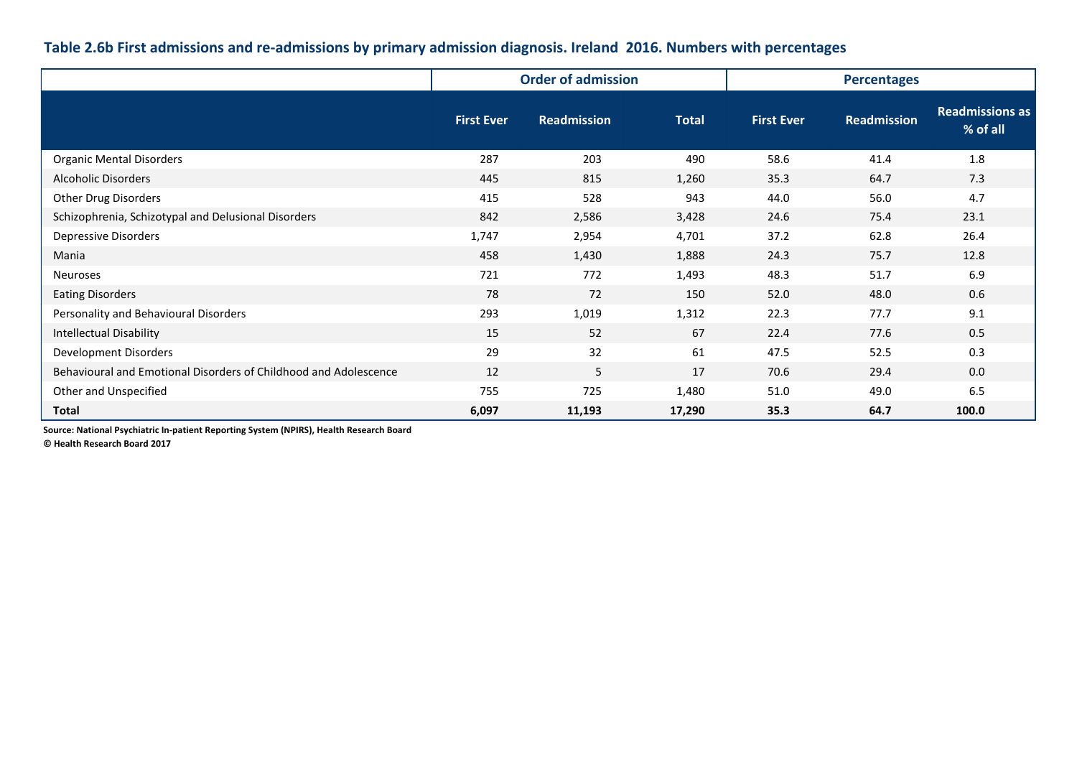### **Table 2.6b First admissions and re-admissions by primary admission diagnosis. Ireland 2016. Numbers with percentages**

|                                                                  |                   | <b>Order of admission</b> |              |                   | <b>Percentages</b> |                                    |  |
|------------------------------------------------------------------|-------------------|---------------------------|--------------|-------------------|--------------------|------------------------------------|--|
|                                                                  | <b>First Ever</b> | <b>Readmission</b>        | <b>Total</b> | <b>First Ever</b> | <b>Readmission</b> | <b>Readmissions as</b><br>% of all |  |
| <b>Organic Mental Disorders</b>                                  | 287               | 203                       | 490          | 58.6              | 41.4               | 1.8                                |  |
| <b>Alcoholic Disorders</b>                                       | 445               | 815                       | 1,260        | 35.3              | 64.7               | 7.3                                |  |
| <b>Other Drug Disorders</b>                                      | 415               | 528                       | 943          | 44.0              | 56.0               | 4.7                                |  |
| Schizophrenia, Schizotypal and Delusional Disorders              | 842               | 2,586                     | 3,428        | 24.6              | 75.4               | 23.1                               |  |
| <b>Depressive Disorders</b>                                      | 1,747             | 2,954                     | 4,701        | 37.2              | 62.8               | 26.4                               |  |
| Mania                                                            | 458               | 1,430                     | 1,888        | 24.3              | 75.7               | 12.8                               |  |
| <b>Neuroses</b>                                                  | 721               | 772                       | 1,493        | 48.3              | 51.7               | 6.9                                |  |
| <b>Eating Disorders</b>                                          | 78                | 72                        | 150          | 52.0              | 48.0               | 0.6                                |  |
| Personality and Behavioural Disorders                            | 293               | 1,019                     | 1,312        | 22.3              | 77.7               | 9.1                                |  |
| <b>Intellectual Disability</b>                                   | 15                | 52                        | 67           | 22.4              | 77.6               | 0.5                                |  |
| Development Disorders                                            | 29                | 32                        | 61           | 47.5              | 52.5               | 0.3                                |  |
| Behavioural and Emotional Disorders of Childhood and Adolescence | 12                | 5                         | 17           | 70.6              | 29.4               | 0.0                                |  |
| Other and Unspecified                                            | 755               | 725                       | 1,480        | 51.0              | 49.0               | 6.5                                |  |
| <b>Total</b>                                                     | 6,097             | 11,193                    | 17,290       | 35.3              | 64.7               | 100.0                              |  |

**Source: National Psychiatric In-patient Reporting System (NPIRS), Health Research Board**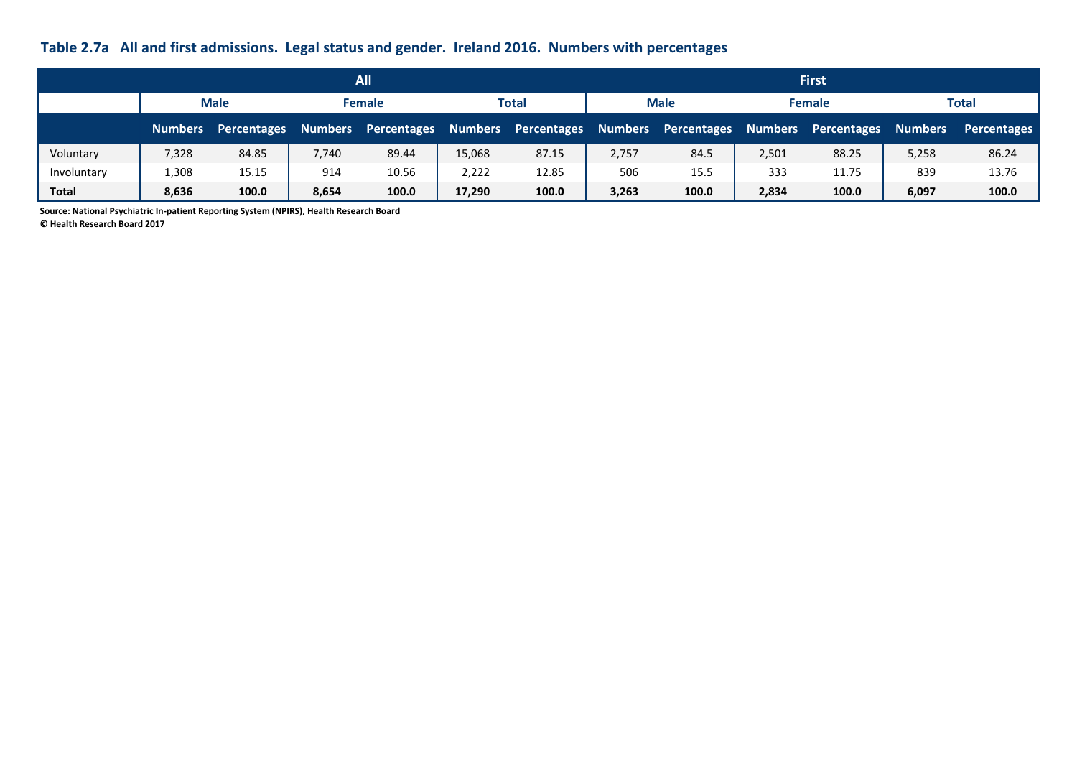# **Table 2.7a All and first admissions. Legal status and gender. Ireland 2016. Numbers with percentages**

|              |                |             |       | All                 |        |                     |       |                     |       | <b>First</b>        |                |             |
|--------------|----------------|-------------|-------|---------------------|--------|---------------------|-------|---------------------|-------|---------------------|----------------|-------------|
|              |                | <b>Male</b> |       | <b>Female</b>       |        | Total               |       | <b>Male</b>         |       | <b>Female</b>       |                | Total       |
|              | <b>Numbers</b> | Percentages |       | Numbers Percentages |        | Numbers Percentages |       | Numbers Percentages |       | Numbers Percentages | <b>Numbers</b> | Percentages |
| Voluntary    | 7,328          | 84.85       | 7,740 | 89.44               | 15,068 | 87.15               | 2,757 | 84.5                | 2,501 | 88.25               | 5,258          | 86.24       |
| Involuntary  | 1,308          | 15.15       | 914   | 10.56               | 2,222  | 12.85               | 506   | 15.5                | 333   | 11.75               | 839            | 13.76       |
| <b>Total</b> | 8,636          | 100.0       | 8,654 | 100.0               | 17,290 | 100.0               | 3,263 | 100.0               | 2,834 | 100.0               | 6,097          | 100.0       |

**Source: National Psychiatric In-patient Reporting System (NPIRS), Health Research Board**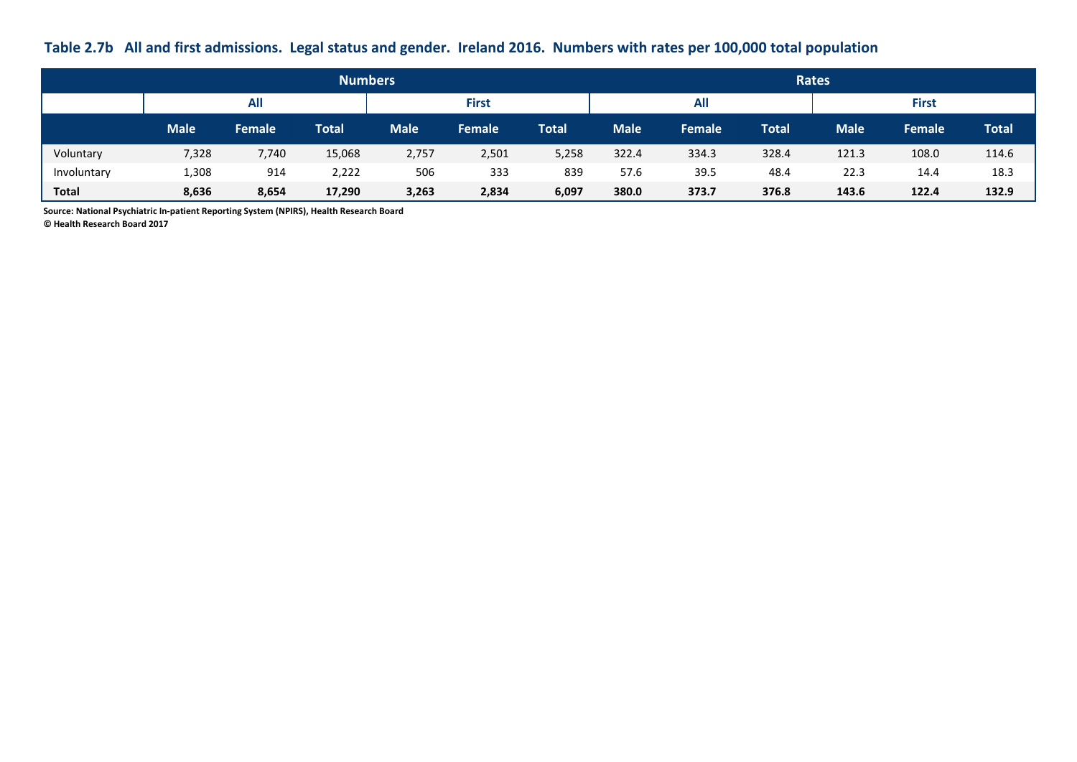## **Table 2.7b All and first admissions. Legal status and gender. Ireland 2016. Numbers with rates per 100,000 total population**

|              |             |            | <b>Numbers</b> |             |               |              |             |               |              | <b>Rates</b> |               |              |
|--------------|-------------|------------|----------------|-------------|---------------|--------------|-------------|---------------|--------------|--------------|---------------|--------------|
|              |             | <b>All</b> |                |             | <b>First</b>  |              |             | <b>All</b>    |              |              | <b>First</b>  |              |
|              | <b>Male</b> | Female     | <b>Total</b>   | <b>Male</b> | <b>Female</b> | <b>Total</b> | <b>Male</b> | <b>Female</b> | <b>Total</b> | <b>Male</b>  | <b>Female</b> | <b>Total</b> |
| Voluntary    | 7,328       | 7,740      | 15,068         | 2,757       | 2,501         | 5,258        | 322.4       | 334.3         | 328.4        | 121.3        | 108.0         | 114.6        |
| Involuntary  | 1,308       | 914        | 2,222          | 506         | 333           | 839          | 57.6        | 39.5          | 48.4         | 22.3         | 14.4          | 18.3         |
| <b>Total</b> | 8,636       | 8,654      | 17,290         | 3,263       | 2,834         | 6,097        | 380.0       | 373.7         | 376.8        | 143.6        | 122.4         | 132.9        |

**Source: National Psychiatric In-patient Reporting System (NPIRS), Health Research Board**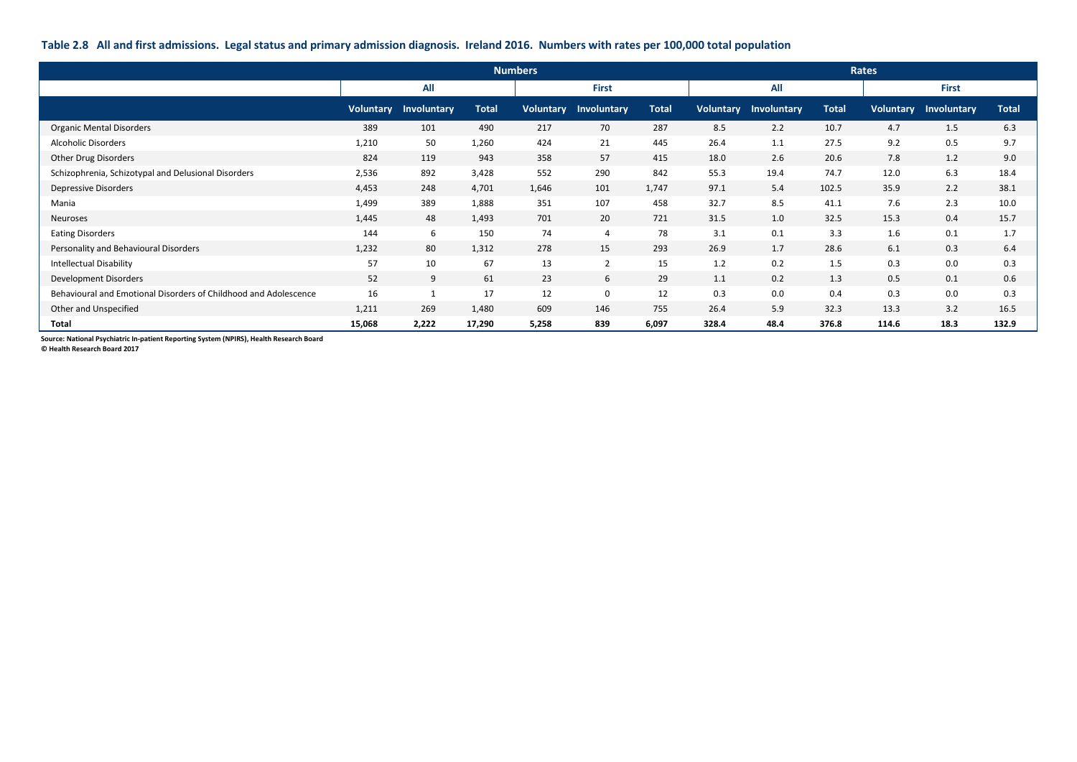### **Table 2.8 All and first admissions. Legal status and primary admission diagnosis. Ireland 2016. Numbers with rates per 100,000 total population**

|                                                                  |           |             |              | <b>Numbers</b> |                |              |                  |             |              | Rates            |              |              |
|------------------------------------------------------------------|-----------|-------------|--------------|----------------|----------------|--------------|------------------|-------------|--------------|------------------|--------------|--------------|
|                                                                  |           | All         |              |                | <b>First</b>   |              |                  | All         |              |                  | <b>First</b> |              |
|                                                                  | Voluntary | Involuntary | <b>Total</b> | Voluntary      | Involuntary    | <b>Total</b> | <b>Voluntary</b> | Involuntary | <b>Total</b> | <b>Voluntary</b> | Involuntary  | <b>Total</b> |
| <b>Organic Mental Disorders</b>                                  | 389       | 101         | 490          | 217            | 70             | 287          | 8.5              | 2.2         | 10.7         | 4.7              | 1.5          | 6.3          |
| <b>Alcoholic Disorders</b>                                       | 1,210     | 50          | 1,260        | 424            | 21             | 445          | 26.4             | 1.1         | 27.5         | 9.2              | 0.5          | 9.7          |
| Other Drug Disorders                                             | 824       | 119         | 943          | 358            | 57             | 415          | 18.0             | 2.6         | 20.6         | 7.8              | 1.2          | 9.0          |
| Schizophrenia, Schizotypal and Delusional Disorders              | 2,536     | 892         | 3,428        | 552            | 290            | 842          | 55.3             | 19.4        | 74.7         | 12.0             | 6.3          | 18.4         |
| Depressive Disorders                                             | 4,453     | 248         | 4,701        | 1,646          | 101            | 1,747        | 97.1             | 5.4         | 102.5        | 35.9             | 2.2          | 38.1         |
| Mania                                                            | 1,499     | 389         | 1,888        | 351            | 107            | 458          | 32.7             | 8.5         | 41.1         | 7.6              | 2.3          | 10.0         |
| <b>Neuroses</b>                                                  | 1,445     | 48          | 1,493        | 701            | 20             | 721          | 31.5             | 1.0         | 32.5         | 15.3             | 0.4          | 15.7         |
| <b>Eating Disorders</b>                                          | 144       | 6           | 150          | 74             | $\overline{4}$ | 78           | 3.1              | 0.1         | 3.3          | 1.6              | 0.1          | 1.7          |
| Personality and Behavioural Disorders                            | 1,232     | 80          | 1,312        | 278            | 15             | 293          | 26.9             | 1.7         | 28.6         | 6.1              | 0.3          | 6.4          |
| <b>Intellectual Disability</b>                                   | 57        | 10          | 67           | 13             | $\overline{2}$ | 15           | 1.2              | 0.2         | 1.5          | 0.3              | 0.0          | 0.3          |
| Development Disorders                                            | 52        | 9           | 61           | 23             | 6              | 29           | 1.1              | 0.2         | 1.3          | 0.5              | 0.1          | 0.6          |
| Behavioural and Emotional Disorders of Childhood and Adolescence | 16        | 1           | 17           | 12             | $\mathbf 0$    | 12           | 0.3              | 0.0         | 0.4          | 0.3              | 0.0          | 0.3          |
| Other and Unspecified                                            | 1,211     | 269         | 1,480        | 609            | 146            | 755          | 26.4             | 5.9         | 32.3         | 13.3             | 3.2          | 16.5         |
| <b>Total</b>                                                     | 15,068    | 2,222       | 17,290       | 5,258          | 839            | 6,097        | 328.4            | 48.4        | 376.8        | 114.6            | 18.3         | 132.9        |

**Source: National Psychiatric In-patient Reporting System (NPIRS), Health Research Board**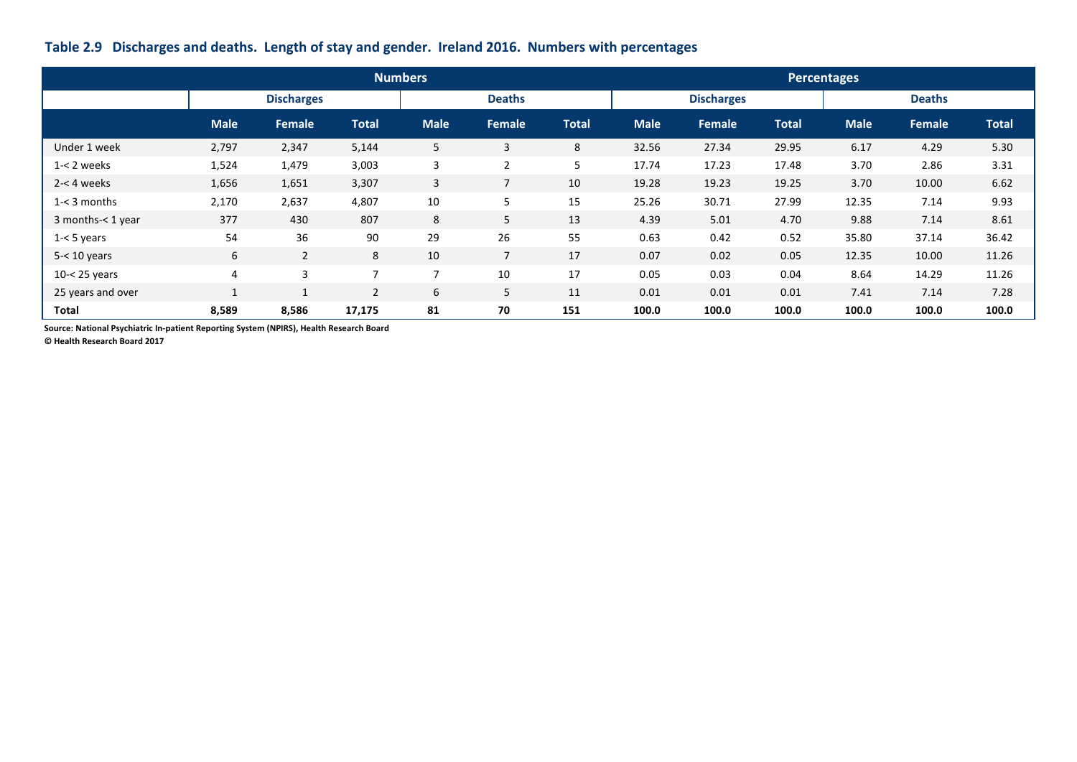### **Table 2.9 Discharges and deaths. Length of stay and gender. Ireland 2016. Numbers with percentages**

|                   |              |                   |                | <b>Numbers</b> |                |              |             |                   |              | Percentages |               |              |
|-------------------|--------------|-------------------|----------------|----------------|----------------|--------------|-------------|-------------------|--------------|-------------|---------------|--------------|
|                   |              | <b>Discharges</b> |                |                | <b>Deaths</b>  |              |             | <b>Discharges</b> |              |             | <b>Deaths</b> |              |
|                   | <b>Male</b>  | Female            | <b>Total</b>   | <b>Male</b>    | <b>Female</b>  | <b>Total</b> | <b>Male</b> | <b>Female</b>     | <b>Total</b> | <b>Male</b> | Female        | <b>Total</b> |
| Under 1 week      | 2,797        | 2,347             | 5,144          | 5              | 3              | 8            | 32.56       | 27.34             | 29.95        | 6.17        | 4.29          | 5.30         |
| $1 - 2$ weeks     | 1,524        | 1,479             | 3,003          | 3              | $\overline{2}$ | 5            | 17.74       | 17.23             | 17.48        | 3.70        | 2.86          | 3.31         |
| $2 - 4$ weeks     | 1,656        | 1,651             | 3,307          | $\overline{3}$ | 7              | 10           | 19.28       | 19.23             | 19.25        | 3.70        | 10.00         | 6.62         |
| $1 - 3$ months    | 2,170        | 2,637             | 4,807          | 10             | 5              | 15           | 25.26       | 30.71             | 27.99        | 12.35       | 7.14          | 9.93         |
| 3 months-< 1 year | 377          | 430               | 807            | 8              | 5              | 13           | 4.39        | 5.01              | 4.70         | 9.88        | 7.14          | 8.61         |
| $1 - 5$ years     | 54           | 36                | 90             | 29             | 26             | 55           | 0.63        | 0.42              | 0.52         | 35.80       | 37.14         | 36.42        |
| $5 - 10$ years    | 6            | $\overline{2}$    | 8              | 10             | $\overline{7}$ | 17           | 0.07        | 0.02              | 0.05         | 12.35       | 10.00         | 11.26        |
| $10 - 25$ years   | 4            | 3                 | $\overline{7}$ | $\overline{7}$ | 10             | 17           | 0.05        | 0.03              | 0.04         | 8.64        | 14.29         | 11.26        |
| 25 years and over | $\mathbf{1}$ | 1                 | $\overline{2}$ | 6              | 5              | 11           | 0.01        | 0.01              | 0.01         | 7.41        | 7.14          | 7.28         |
| Total             | 8,589        | 8,586             | 17,175         | 81             | 70             | 151          | 100.0       | 100.0             | 100.0        | 100.0       | 100.0         | 100.0        |

**Source: National Psychiatric In-patient Reporting System (NPIRS), Health Research Board**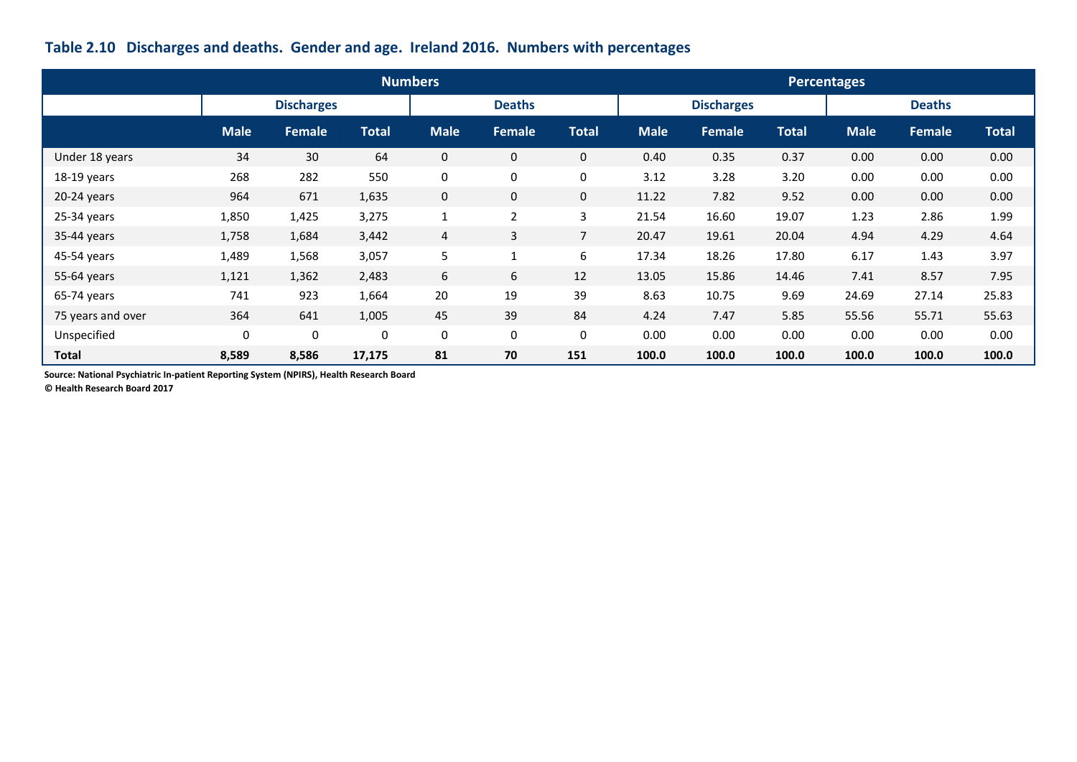# **Table 2.10 Discharges and deaths. Gender and age. Ireland 2016. Numbers with percentages**

|                   |             |                   |              | <b>Numbers</b>   |                |                |             |                   |              | <b>Percentages</b> |               |              |
|-------------------|-------------|-------------------|--------------|------------------|----------------|----------------|-------------|-------------------|--------------|--------------------|---------------|--------------|
|                   |             | <b>Discharges</b> |              |                  | <b>Deaths</b>  |                |             | <b>Discharges</b> |              |                    | <b>Deaths</b> |              |
|                   | <b>Male</b> | <b>Female</b>     | <b>Total</b> | <b>Male</b>      | Female         | <b>Total</b>   | <b>Male</b> | Female            | <b>Total</b> | <b>Male</b>        | <b>Female</b> | <b>Total</b> |
| Under 18 years    | 34          | 30                | 64           | $\mathbf 0$      | $\mathbf 0$    | $\overline{0}$ | 0.40        | 0.35              | 0.37         | 0.00               | 0.00          | 0.00         |
| 18-19 years       | 268         | 282               | 550          | $\boldsymbol{0}$ | 0              | 0              | 3.12        | 3.28              | 3.20         | 0.00               | 0.00          | 0.00         |
| 20-24 years       | 964         | 671               | 1,635        | $\mathbf 0$      | $\mathbf 0$    | $\overline{0}$ | 11.22       | 7.82              | 9.52         | 0.00               | 0.00          | 0.00         |
| $25-34$ years     | 1,850       | 1,425             | 3,275        | $\mathbf{1}$     | $\overline{2}$ | 3              | 21.54       | 16.60             | 19.07        | 1.23               | 2.86          | 1.99         |
| 35-44 years       | 1,758       | 1,684             | 3,442        | $\overline{4}$   | 3              | $7^{\circ}$    | 20.47       | 19.61             | 20.04        | 4.94               | 4.29          | 4.64         |
| 45-54 years       | 1,489       | 1,568             | 3,057        | 5                | $\mathbf{1}$   | 6              | 17.34       | 18.26             | 17.80        | 6.17               | 1.43          | 3.97         |
| 55-64 years       | 1,121       | 1,362             | 2,483        | 6                | 6              | 12             | 13.05       | 15.86             | 14.46        | 7.41               | 8.57          | 7.95         |
| $65-74$ years     | 741         | 923               | 1,664        | 20               | 19             | 39             | 8.63        | 10.75             | 9.69         | 24.69              | 27.14         | 25.83        |
| 75 years and over | 364         | 641               | 1,005        | 45               | 39             | 84             | 4.24        | 7.47              | 5.85         | 55.56              | 55.71         | 55.63        |
| Unspecified       | $\mathbf 0$ | 0                 | 0            | $\pmb{0}$        | 0              | 0              | 0.00        | 0.00              | 0.00         | 0.00               | 0.00          | 0.00         |
| <b>Total</b>      | 8,589       | 8,586             | 17,175       | 81               | 70             | 151            | 100.0       | 100.0             | 100.0        | 100.0              | 100.0         | 100.0        |

**Source: National Psychiatric In-patient Reporting System (NPIRS), Health Research Board**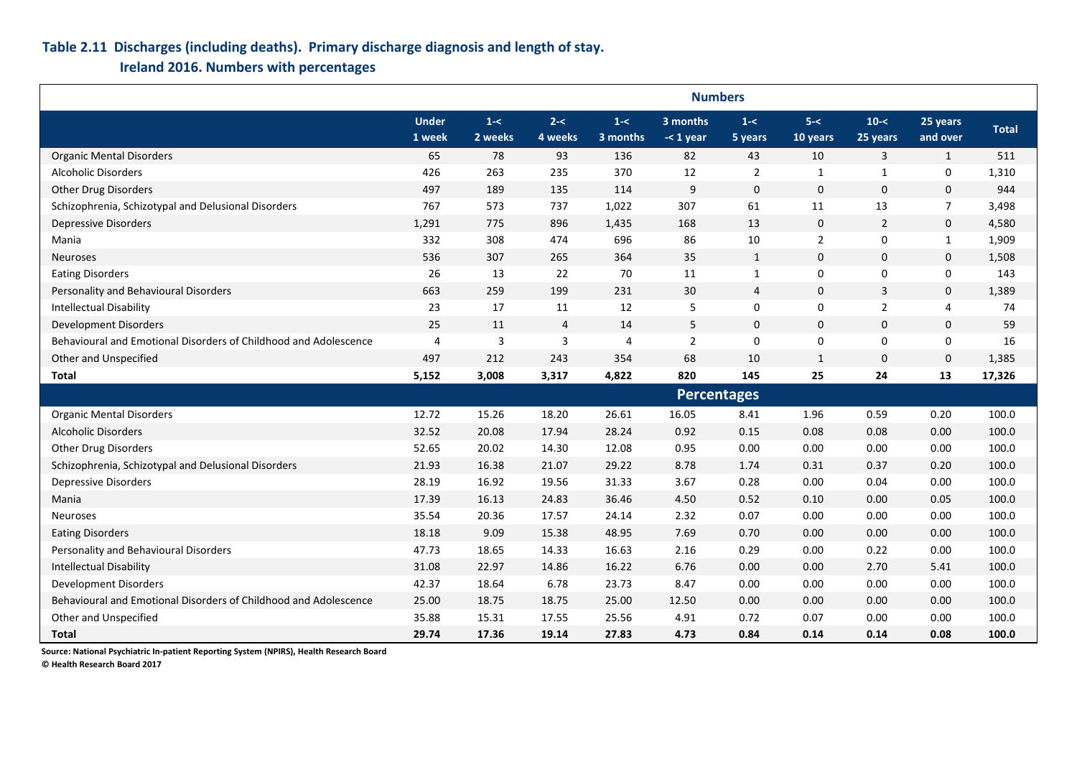### **Table 2.11 Discharges (including deaths). Primary discharge diagnosis and length of stay.**

**Ireland 2016. Numbers with percentages**

|                                                                  | <b>Numbers</b>         |                    |                    |                     |                         |                    |                     |                      |                      |              |  |  |
|------------------------------------------------------------------|------------------------|--------------------|--------------------|---------------------|-------------------------|--------------------|---------------------|----------------------|----------------------|--------------|--|--|
|                                                                  | <b>Under</b><br>1 week | $1 - <$<br>2 weeks | $2 - <$<br>4 weeks | $1 - <$<br>3 months | 3 months<br>$-<$ 1 year | $1 - <$<br>5 years | $5 - <$<br>10 years | $10 - <$<br>25 years | 25 years<br>and over | <b>Total</b> |  |  |
| <b>Organic Mental Disorders</b>                                  | 65                     | 78                 | 93                 | 136                 | 82                      | 43                 | 10                  | 3                    | $\mathbf{1}$         | 511          |  |  |
| <b>Alcoholic Disorders</b>                                       | 426                    | 263                | 235                | 370                 | 12                      | $\overline{2}$     | 1                   | $\mathbf{1}$         | $\mathbf 0$          | 1,310        |  |  |
| <b>Other Drug Disorders</b>                                      | 497                    | 189                | 135                | 114                 | 9                       | $\mathbf 0$        | $\mathbf{0}$        | $\mathbf 0$          | $\mathbf 0$          | 944          |  |  |
| Schizophrenia, Schizotypal and Delusional Disorders              | 767                    | 573                | 737                | 1,022               | 307                     | 61                 | 11                  | 13                   | $\overline{7}$       | 3,498        |  |  |
| <b>Depressive Disorders</b>                                      | 1,291                  | 775                | 896                | 1,435               | 168                     | 13                 | $\mathbf 0$         | $\overline{2}$       | $\mathbf 0$          | 4,580        |  |  |
| Mania                                                            | 332                    | 308                | 474                | 696                 | 86                      | $10\,$             | $\overline{2}$      | $\pmb{0}$            | $\mathbf{1}$         | 1,909        |  |  |
| <b>Neuroses</b>                                                  | 536                    | 307                | 265                | 364                 | 35                      | $\mathbf{1}$       | $\mathbf{0}$        | $\mathbf 0$          | $\mathbf 0$          | 1,508        |  |  |
| <b>Eating Disorders</b>                                          | 26                     | 13                 | 22                 | 70                  | 11                      | $\mathbf{1}$       | $\mathbf 0$         | 0                    | $\boldsymbol{0}$     | 143          |  |  |
| Personality and Behavioural Disorders                            | 663                    | 259                | 199                | 231                 | 30                      | $\overline{4}$     | $\mathbf{0}$        | 3                    | $\mathbf 0$          | 1,389        |  |  |
| <b>Intellectual Disability</b>                                   | 23                     | 17                 | 11                 | 12                  | 5                       | $\mathbf 0$        | $\mathbf 0$         | $\overline{2}$       | 4                    | 74           |  |  |
| Development Disorders                                            | 25                     | 11                 | $\overline{4}$     | 14                  | 5                       | $\mathbf{0}$       | $\mathbf{0}$        | $\mathbf 0$          | $\boldsymbol{0}$     | 59           |  |  |
| Behavioural and Emotional Disorders of Childhood and Adolescence | $\overline{4}$         | $\overline{3}$     | 3                  | 4                   | $\mathbf 2$             | $\mathbf 0$        | $\mathbf 0$         | 0                    | $\boldsymbol{0}$     | 16           |  |  |
| Other and Unspecified                                            | 497                    | 212                | 243                | 354                 | 68                      | 10                 | 1                   | $\mathbf{0}$         | $\mathbf 0$          | 1,385        |  |  |
| Total                                                            | 5,152                  | 3,008              | 3,317              | 4,822               | 820                     | 145                | 25                  | 24                   | 13                   | 17,326       |  |  |
|                                                                  |                        |                    |                    |                     | <b>Percentages</b>      |                    |                     |                      |                      |              |  |  |
| <b>Organic Mental Disorders</b>                                  | 12.72                  | 15.26              | 18.20              | 26.61               | 16.05                   | 8.41               | 1.96                | 0.59                 | 0.20                 | 100.0        |  |  |
| <b>Alcoholic Disorders</b>                                       | 32.52                  | 20.08              | 17.94              | 28.24               | 0.92                    | 0.15               | 0.08                | 0.08                 | 0.00                 | 100.0        |  |  |
| Other Drug Disorders                                             | 52.65                  | 20.02              | 14.30              | 12.08               | 0.95                    | 0.00               | 0.00                | 0.00                 | 0.00                 | 100.0        |  |  |
| Schizophrenia, Schizotypal and Delusional Disorders              | 21.93                  | 16.38              | 21.07              | 29.22               | 8.78                    | 1.74               | 0.31                | 0.37                 | 0.20                 | 100.0        |  |  |
| <b>Depressive Disorders</b>                                      | 28.19                  | 16.92              | 19.56              | 31.33               | 3.67                    | 0.28               | 0.00                | 0.04                 | 0.00                 | 100.0        |  |  |
| Mania                                                            | 17.39                  | 16.13              | 24.83              | 36.46               | 4.50                    | 0.52               | 0.10                | 0.00                 | 0.05                 | 100.0        |  |  |
| <b>Neuroses</b>                                                  | 35.54                  | 20.36              | 17.57              | 24.14               | 2.32                    | 0.07               | 0.00                | 0.00                 | 0.00                 | 100.0        |  |  |
| <b>Eating Disorders</b>                                          | 18.18                  | 9.09               | 15.38              | 48.95               | 7.69                    | 0.70               | 0.00                | 0.00                 | 0.00                 | 100.0        |  |  |
| Personality and Behavioural Disorders                            | 47.73                  | 18.65              | 14.33              | 16.63               | 2.16                    | 0.29               | 0.00                | 0.22                 | 0.00                 | 100.0        |  |  |
| <b>Intellectual Disability</b>                                   | 31.08                  | 22.97              | 14.86              | 16.22               | 6.76                    | 0.00               | 0.00                | 2.70                 | 5.41                 | 100.0        |  |  |
| Development Disorders                                            | 42.37                  | 18.64              | 6.78               | 23.73               | 8.47                    | 0.00               | 0.00                | 0.00                 | 0.00                 | 100.0        |  |  |
| Behavioural and Emotional Disorders of Childhood and Adolescence | 25.00                  | 18.75              | 18.75              | 25.00               | 12.50                   | 0.00               | 0.00                | 0.00                 | 0.00                 | 100.0        |  |  |
| Other and Unspecified                                            | 35.88                  | 15.31              | 17.55              | 25.56               | 4.91                    | 0.72               | 0.07                | 0.00                 | 0.00                 | 100.0        |  |  |
| <b>Total</b>                                                     | 29.74                  | 17.36              | 19.14              | 27.83               | 4.73                    | 0.84               | 0.14                | 0.14                 | 0.08                 | 100.0        |  |  |

**Source: National Psychiatric In-patient Reporting System (NPIRS), Health Research Board**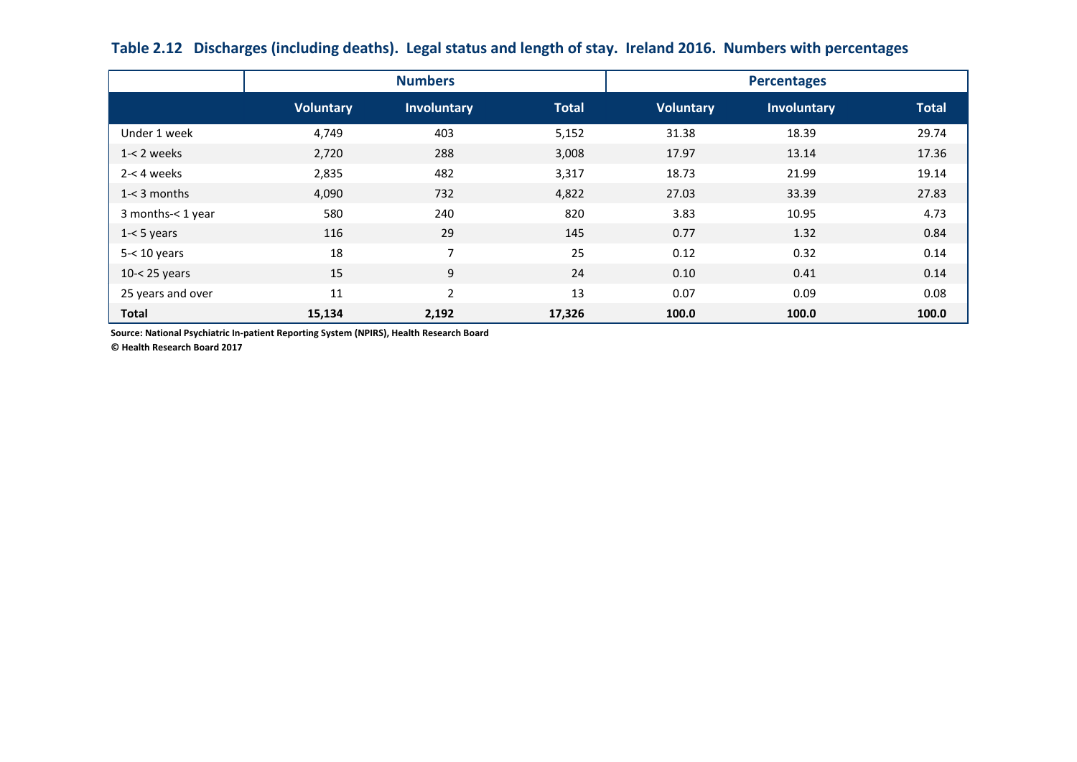|                   |                  | <b>Numbers</b>     |              | <b>Percentages</b> |             |              |  |  |
|-------------------|------------------|--------------------|--------------|--------------------|-------------|--------------|--|--|
|                   | <b>Voluntary</b> | <b>Involuntary</b> | <b>Total</b> | <b>Voluntary</b>   | Involuntary | <b>Total</b> |  |  |
| Under 1 week      | 4,749            | 403                | 5,152        | 31.38              | 18.39       | 29.74        |  |  |
| $1 - 2$ weeks     | 2,720            | 288                | 3,008        | 17.97              | 13.14       | 17.36        |  |  |
| $2 - 4$ weeks     | 2,835            | 482                | 3,317        | 18.73              | 21.99       | 19.14        |  |  |
| $1 - 3$ months    | 4,090            | 732                | 4,822        | 27.03              | 33.39       | 27.83        |  |  |
| 3 months-< 1 year | 580              | 240                | 820          | 3.83               | 10.95       | 4.73         |  |  |
| $1 - 5$ years     | 116              | 29                 | 145          | 0.77               | 1.32        | 0.84         |  |  |
| $5 - 10$ years    | 18               | $\overline{7}$     | 25           | 0.12               | 0.32        | 0.14         |  |  |
| $10 - < 25$ years | 15               | 9                  | 24           | 0.10               | 0.41        | 0.14         |  |  |
| 25 years and over | 11               | $\overline{2}$     | 13           | 0.07               | 0.09        | 0.08         |  |  |
| Total             | 15,134           | 2,192              | 17,326       | 100.0              | 100.0       | 100.0        |  |  |

**Table 2.12 Discharges (including deaths). Legal status and length of stay. Ireland 2016. Numbers with percentages**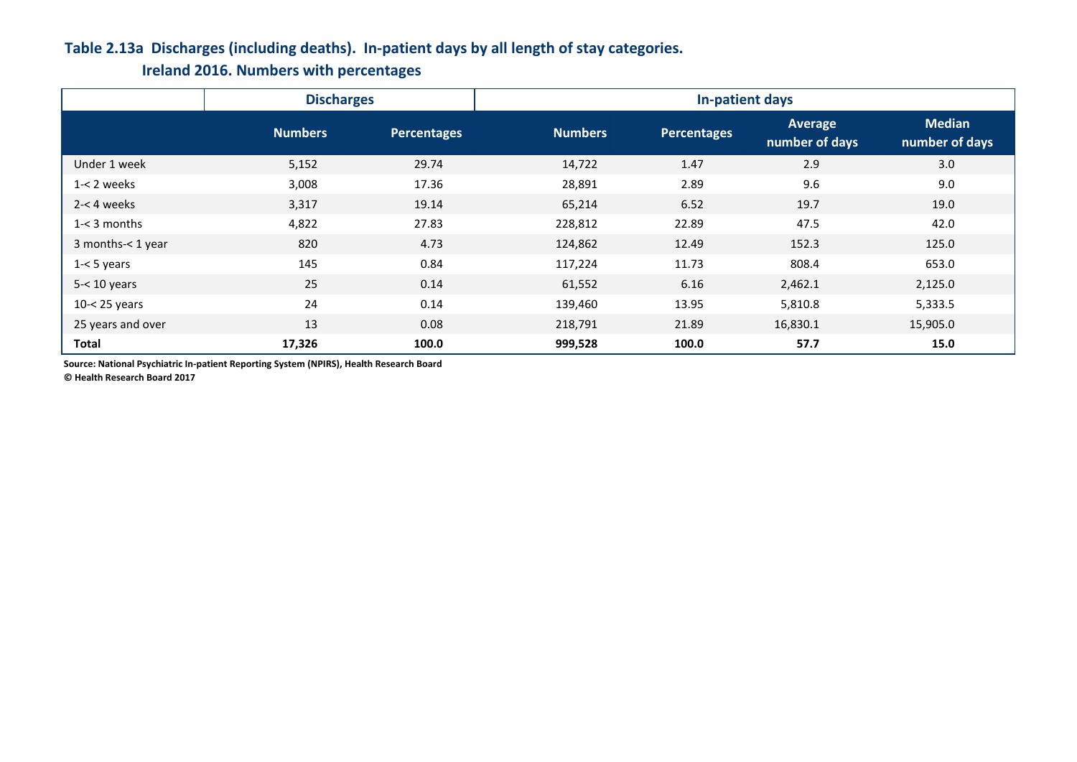## **Table 2.13a Discharges (including deaths). In-patient days by all length of stay categories.**

**Ireland 2016. Numbers with percentages**

|                   | <b>Discharges</b> |                    | In-patient days |             |                           |                                 |  |  |  |  |
|-------------------|-------------------|--------------------|-----------------|-------------|---------------------------|---------------------------------|--|--|--|--|
|                   | <b>Numbers</b>    | <b>Percentages</b> | <b>Numbers</b>  | Percentages | Average<br>number of days | <b>Median</b><br>number of days |  |  |  |  |
| Under 1 week      | 5,152             | 29.74              | 14,722          | 1.47        | 2.9                       | 3.0                             |  |  |  |  |
| $1 - 2$ weeks     | 3,008             | 17.36              | 28,891          | 2.89        | 9.6                       | 9.0                             |  |  |  |  |
| $2 - 4$ weeks     | 3,317             | 19.14              | 65,214          | 6.52        | 19.7                      | 19.0                            |  |  |  |  |
| $1 - 3$ months    | 4,822             | 27.83              | 228,812         | 22.89       | 47.5                      | 42.0                            |  |  |  |  |
| 3 months-< 1 year | 820               | 4.73               | 124,862         | 12.49       | 152.3                     | 125.0                           |  |  |  |  |
| $1 - 5$ years     | 145               | 0.84               | 117,224         | 11.73       | 808.4                     | 653.0                           |  |  |  |  |
| $5 - 10$ years    | 25                | 0.14               | 61,552          | 6.16        | 2,462.1                   | 2,125.0                         |  |  |  |  |
| $10 - 25$ years   | 24                | 0.14               | 139,460         | 13.95       | 5,810.8                   | 5,333.5                         |  |  |  |  |
| 25 years and over | 13                | 0.08               | 218,791         | 21.89       | 16,830.1                  | 15,905.0                        |  |  |  |  |
| Total             | 17,326            | 100.0              | 999,528         | 100.0       | 57.7                      | 15.0                            |  |  |  |  |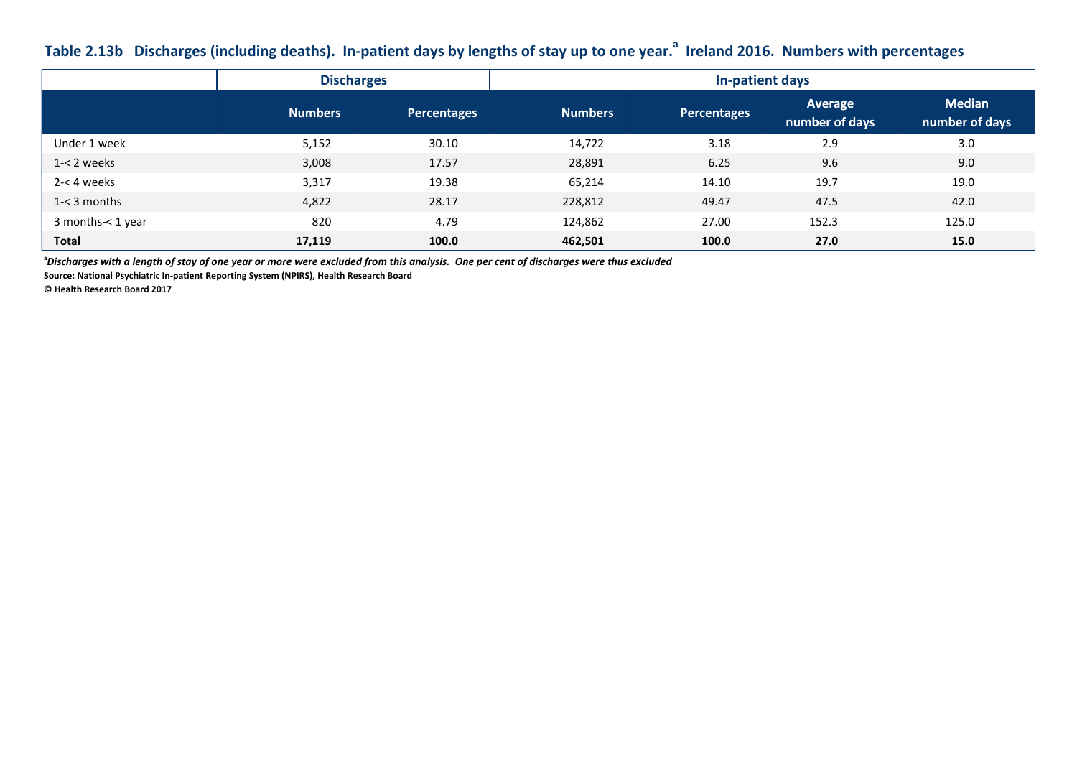## **Table 2.13b Discharges (including deaths). In-patient days by lengths of stay up to one year.<sup>a</sup> Ireland 2016. Numbers with percentages**

|                   | <b>Discharges</b> |                    | In-patient days |                    |                           |                                 |  |  |  |  |
|-------------------|-------------------|--------------------|-----------------|--------------------|---------------------------|---------------------------------|--|--|--|--|
|                   | <b>Numbers</b>    | <b>Percentages</b> | <b>Numbers</b>  | <b>Percentages</b> | Average<br>number of days | <b>Median</b><br>number of days |  |  |  |  |
| Under 1 week      | 5,152             | 30.10              | 14,722          | 3.18               | 2.9                       | 3.0                             |  |  |  |  |
| $1 - 2$ weeks     | 3,008             | 17.57              | 28,891          | 6.25               | 9.6                       | 9.0                             |  |  |  |  |
| 2-< 4 weeks       | 3,317             | 19.38              | 65,214          | 14.10              | 19.7                      | 19.0                            |  |  |  |  |
| $1 - 3$ months    | 4,822             | 28.17              | 228,812         | 49.47              | 47.5                      | 42.0                            |  |  |  |  |
| 3 months-< 1 year | 820               | 4.79               | 124,862         | 27.00              | 152.3                     | 125.0                           |  |  |  |  |
| <b>Total</b>      | 17,119            | 100.0              | 462,501         | 100.0              | 27.0                      | 15.0                            |  |  |  |  |

**<sup>a</sup>***Discharges with a length of stay of one year or more were excluded from this analysis. One per cent of discharges were thus excluded*

**Source: National Psychiatric In-patient Reporting System (NPIRS), Health Research Board**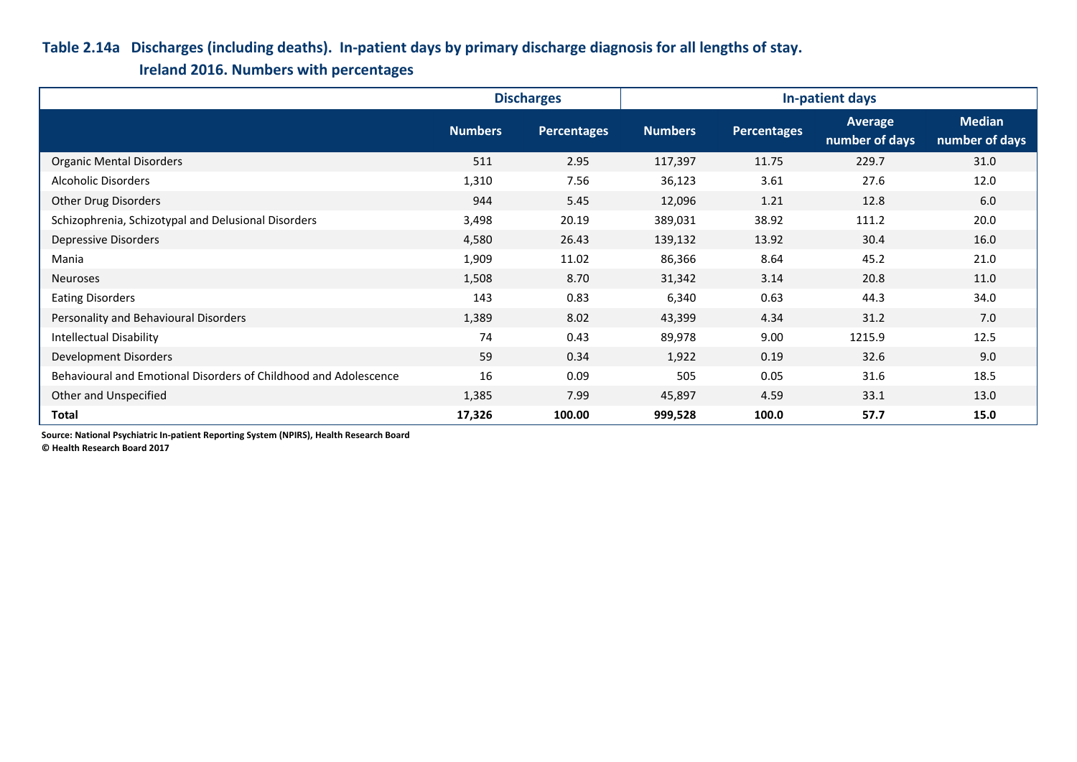## **Table 2.14a Discharges (including deaths). In-patient days by primary discharge diagnosis for all lengths of stay.**

**Ireland 2016. Numbers with percentages**

|                                                                  |                | <b>Discharges</b>  |                |                    | In-patient days           |                                 |
|------------------------------------------------------------------|----------------|--------------------|----------------|--------------------|---------------------------|---------------------------------|
|                                                                  | <b>Numbers</b> | <b>Percentages</b> | <b>Numbers</b> | <b>Percentages</b> | Average<br>number of days | <b>Median</b><br>number of days |
| <b>Organic Mental Disorders</b>                                  | 511            | 2.95               | 117,397        | 11.75              | 229.7                     | 31.0                            |
| Alcoholic Disorders                                              | 1,310          | 7.56               | 36,123         | 3.61               | 27.6                      | 12.0                            |
| Other Drug Disorders                                             | 944            | 5.45               | 12,096         | 1.21               | 12.8                      | 6.0                             |
| Schizophrenia, Schizotypal and Delusional Disorders              | 3,498          | 20.19              | 389,031        | 38.92              | 111.2                     | 20.0                            |
| Depressive Disorders                                             | 4,580          | 26.43              | 139,132        | 13.92              | 30.4                      | 16.0                            |
| Mania                                                            | 1,909          | 11.02              | 86,366         | 8.64               | 45.2                      | 21.0                            |
| <b>Neuroses</b>                                                  | 1,508          | 8.70               | 31,342         | 3.14               | 20.8                      | 11.0                            |
| <b>Eating Disorders</b>                                          | 143            | 0.83               | 6,340          | 0.63               | 44.3                      | 34.0                            |
| Personality and Behavioural Disorders                            | 1,389          | 8.02               | 43,399         | 4.34               | 31.2                      | 7.0                             |
| <b>Intellectual Disability</b>                                   | 74             | 0.43               | 89,978         | 9.00               | 1215.9                    | 12.5                            |
| Development Disorders                                            | 59             | 0.34               | 1,922          | 0.19               | 32.6                      | 9.0                             |
| Behavioural and Emotional Disorders of Childhood and Adolescence | 16             | 0.09               | 505            | 0.05               | 31.6                      | 18.5                            |
| Other and Unspecified                                            | 1,385          | 7.99               | 45,897         | 4.59               | 33.1                      | 13.0                            |
| <b>Total</b>                                                     | 17,326         | 100.00             | 999,528        | 100.0              | 57.7                      | 15.0                            |

**Source: National Psychiatric In-patient Reporting System (NPIRS), Health Research Board**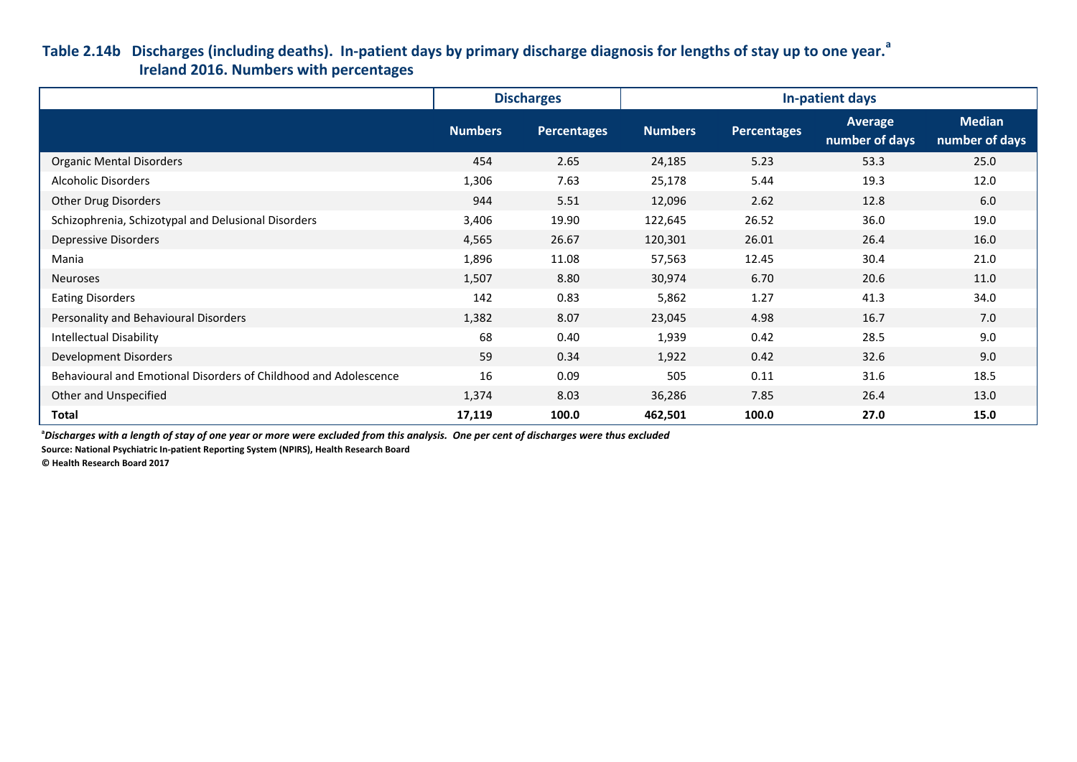## **Table 2.14b Discharges (including deaths). In-patient days by primary discharge diagnosis for lengths of stay up to one year.<sup>a</sup> Ireland 2016. Numbers with percentages**

|                                                                  |                | <b>Discharges</b>  |                |                    | In-patient days           |                                 |
|------------------------------------------------------------------|----------------|--------------------|----------------|--------------------|---------------------------|---------------------------------|
|                                                                  | <b>Numbers</b> | <b>Percentages</b> | <b>Numbers</b> | <b>Percentages</b> | Average<br>number of days | <b>Median</b><br>number of days |
| <b>Organic Mental Disorders</b>                                  | 454            | 2.65               | 24,185         | 5.23               | 53.3                      | 25.0                            |
| Alcoholic Disorders                                              | 1,306          | 7.63               | 25,178         | 5.44               | 19.3                      | 12.0                            |
| Other Drug Disorders                                             | 944            | 5.51               | 12,096         | 2.62               | 12.8                      | 6.0                             |
| Schizophrenia, Schizotypal and Delusional Disorders              | 3,406          | 19.90              | 122,645        | 26.52              | 36.0                      | 19.0                            |
| Depressive Disorders                                             | 4,565          | 26.67              | 120,301        | 26.01              | 26.4                      | 16.0                            |
| Mania                                                            | 1,896          | 11.08              | 57,563         | 12.45              | 30.4                      | 21.0                            |
| <b>Neuroses</b>                                                  | 1,507          | 8.80               | 30,974         | 6.70               | 20.6                      | 11.0                            |
| <b>Eating Disorders</b>                                          | 142            | 0.83               | 5,862          | 1.27               | 41.3                      | 34.0                            |
| Personality and Behavioural Disorders                            | 1,382          | 8.07               | 23,045         | 4.98               | 16.7                      | 7.0                             |
| <b>Intellectual Disability</b>                                   | 68             | 0.40               | 1,939          | 0.42               | 28.5                      | 9.0                             |
| Development Disorders                                            | 59             | 0.34               | 1,922          | 0.42               | 32.6                      | 9.0                             |
| Behavioural and Emotional Disorders of Childhood and Adolescence | 16             | 0.09               | 505            | 0.11               | 31.6                      | 18.5                            |
| Other and Unspecified                                            | 1,374          | 8.03               | 36,286         | 7.85               | 26.4                      | 13.0                            |
| <b>Total</b>                                                     | 17,119         | 100.0              | 462,501        | 100.0              | 27.0                      | 15.0                            |

**<sup>a</sup>***Discharges with a length of stay of one year or more were excluded from this analysis. One per cent of discharges were thus excluded*

**Source: National Psychiatric In-patient Reporting System (NPIRS), Health Research Board**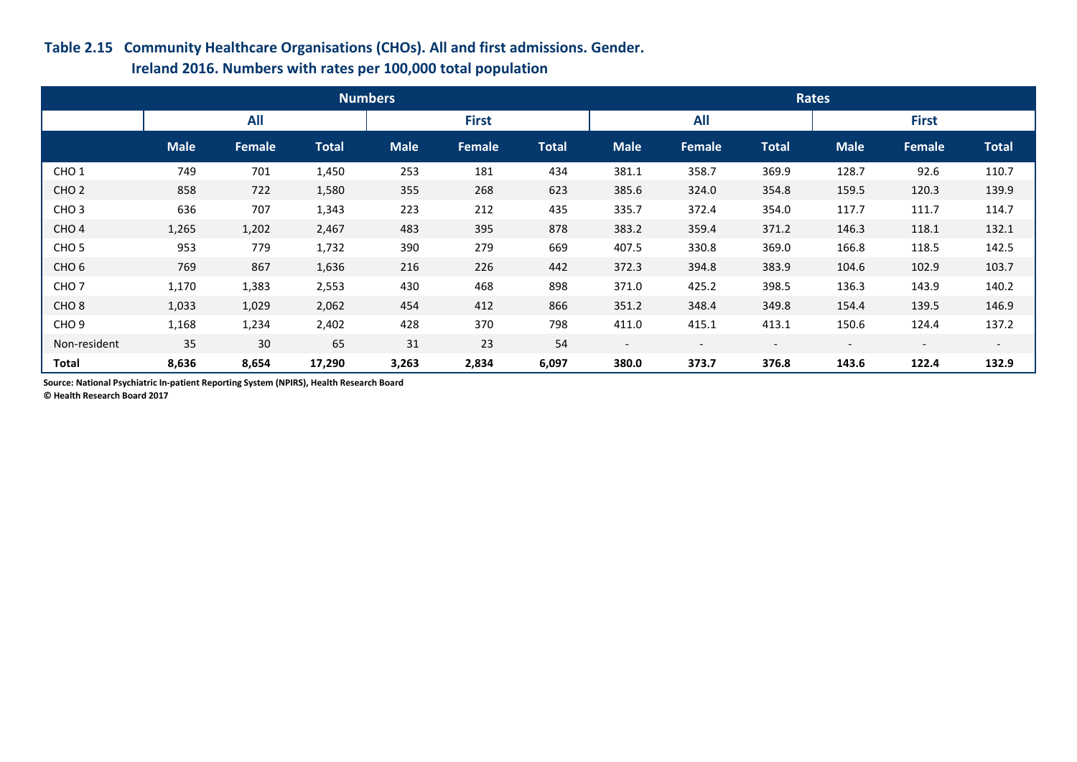### **Table 2.15 Community Healthcare Organisations (CHOs). All and first admissions. Gender.**

### **Ireland 2016. Numbers with rates per 100,000 total population**

|                  |             |            |              | <b>Numbers</b> |        |              | <b>Rates</b>             |                          |                          |                          |                          |              |  |
|------------------|-------------|------------|--------------|----------------|--------|--------------|--------------------------|--------------------------|--------------------------|--------------------------|--------------------------|--------------|--|
|                  |             | <b>All</b> |              | <b>First</b>   |        |              | <b>All</b>               |                          |                          | <b>First</b>             |                          |              |  |
|                  | <b>Male</b> | Female     | <b>Total</b> | <b>Male</b>    | Female | <b>Total</b> | <b>Male</b>              | <b>Female</b>            | <b>Total</b>             | <b>Male</b>              | Female                   | <b>Total</b> |  |
| CHO <sub>1</sub> | 749         | 701        | 1,450        | 253            | 181    | 434          | 381.1                    | 358.7                    | 369.9                    | 128.7                    | 92.6                     | 110.7        |  |
| CHO <sub>2</sub> | 858         | 722        | 1,580        | 355            | 268    | 623          | 385.6                    | 324.0                    | 354.8                    | 159.5                    | 120.3                    | 139.9        |  |
| CHO <sub>3</sub> | 636         | 707        | 1,343        | 223            | 212    | 435          | 335.7                    | 372.4                    | 354.0                    | 117.7                    | 111.7                    | 114.7        |  |
| CHO <sub>4</sub> | 1,265       | 1,202      | 2,467        | 483            | 395    | 878          | 383.2                    | 359.4                    | 371.2                    | 146.3                    | 118.1                    | 132.1        |  |
| CHO <sub>5</sub> | 953         | 779        | 1,732        | 390            | 279    | 669          | 407.5                    | 330.8                    | 369.0                    | 166.8                    | 118.5                    | 142.5        |  |
| CHO <sub>6</sub> | 769         | 867        | 1,636        | 216            | 226    | 442          | 372.3                    | 394.8                    | 383.9                    | 104.6                    | 102.9                    | 103.7        |  |
| CHO <sub>7</sub> | 1,170       | 1,383      | 2,553        | 430            | 468    | 898          | 371.0                    | 425.2                    | 398.5                    | 136.3                    | 143.9                    | 140.2        |  |
| CHO <sub>8</sub> | 1,033       | 1,029      | 2,062        | 454            | 412    | 866          | 351.2                    | 348.4                    | 349.8                    | 154.4                    | 139.5                    | 146.9        |  |
| CHO <sub>9</sub> | 1,168       | 1,234      | 2,402        | 428            | 370    | 798          | 411.0                    | 415.1                    | 413.1                    | 150.6                    | 124.4                    | 137.2        |  |
| Non-resident     | 35          | 30         | 65           | 31             | 23     | 54           | $\overline{\phantom{a}}$ | $\overline{\phantom{a}}$ | $\overline{\phantom{a}}$ | $\overline{\phantom{0}}$ | $\overline{\phantom{a}}$ | $-$          |  |
| Total            | 8,636       | 8,654      | 17,290       | 3,263          | 2,834  | 6,097        | 380.0                    | 373.7                    | 376.8                    | 143.6                    | 122.4                    | 132.9        |  |

**Source: National Psychiatric In-patient Reporting System (NPIRS), Health Research Board**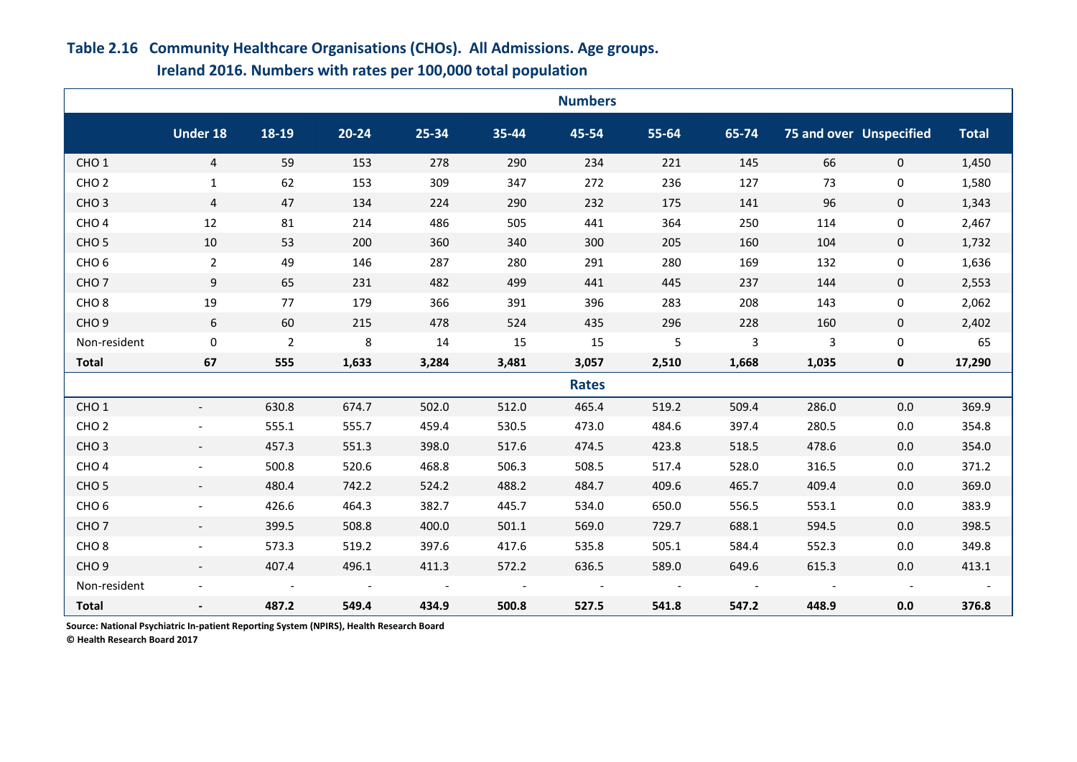# **Table 2.16 Community Healthcare Organisations (CHOs). All Admissions. Age groups.**

| Ireland 2016. Numbers with rates per 100,000 total population |  |  |
|---------------------------------------------------------------|--|--|
|---------------------------------------------------------------|--|--|

|                  |                          |                |                          |        |           | <b>Numbers</b> |            |                |                      |                                |              |
|------------------|--------------------------|----------------|--------------------------|--------|-----------|----------------|------------|----------------|----------------------|--------------------------------|--------------|
|                  | <b>Under 18</b>          | 18-19          | $20 - 24$                | 25-34  | $35 - 44$ | 45-54          | 55-64      | 65-74          |                      | <b>75 and over Unspecified</b> | <b>Total</b> |
| CHO <sub>1</sub> | $\overline{4}$           | 59             | 153                      | 278    | 290       | 234            | 221        | 145            | 66                   | $\mathbf{0}$                   | 1,450        |
| CHO <sub>2</sub> | $\mathbf{1}$             | 62             | 153                      | 309    | 347       | 272            | 236        | 127            | 73                   | 0                              | 1,580        |
| CHO <sub>3</sub> | $\overline{4}$           | 47             | 134                      | 224    | 290       | 232            | 175        | 141            | 96                   | $\mathbf{0}$                   | 1,343        |
| CHO <sub>4</sub> | 12                       | 81             | 214                      | 486    | 505       | 441            | 364        | 250            | 114                  | $\Omega$                       | 2,467        |
| CHO <sub>5</sub> | 10                       | 53             | 200                      | 360    | 340       | 300            | 205        | 160            | 104                  | 0                              | 1,732        |
| CHO <sub>6</sub> | $2^{\circ}$              | 49             | 146                      | 287    | 280       | 291            | 280        | 169            | 132                  | 0                              | 1,636        |
| CHO <sub>7</sub> | 9                        | 65             | 231                      | 482    | 499       | 441            | 445        | 237            | 144                  | $\mathbf{0}$                   | 2,553        |
| CHO <sub>8</sub> | 19                       | 77             | 179                      | 366    | 391       | 396            | 283        | 208            | 143                  | $\mathbf 0$                    | 2,062        |
| CHO <sub>9</sub> | 6                        | 60             | 215                      | 478    | 524       | 435            | 296        | 228            | 160                  | $\mathbf 0$                    | 2,402        |
| Non-resident     | $\Omega$                 | $\overline{2}$ | 8                        | 14     | 15        | 15             | 5          | 3              | $\overline{3}$       | $\mathbf 0$                    | 65           |
| <b>Total</b>     | 67                       | 555            | 1,633                    | 3,284  | 3,481     | 3,057          | 2,510      | 1,668          | 1,035                | $\mathbf{0}$                   | 17,290       |
|                  |                          |                |                          |        |           | <b>Rates</b>   |            |                |                      |                                |              |
| CHO <sub>1</sub> |                          | 630.8          | 674.7                    | 502.0  | 512.0     | 465.4          | 519.2      | 509.4          | 286.0                | 0.0                            | 369.9        |
| CHO <sub>2</sub> |                          | 555.1          | 555.7                    | 459.4  | 530.5     | 473.0          | 484.6      | 397.4          | 280.5                | 0.0                            | 354.8        |
| CHO <sub>3</sub> |                          | 457.3          | 551.3                    | 398.0  | 517.6     | 474.5          | 423.8      | 518.5          | 478.6                | 0.0                            | 354.0        |
| CHO <sub>4</sub> |                          | 500.8          | 520.6                    | 468.8  | 506.3     | 508.5          | 517.4      | 528.0          | 316.5                | 0.0                            | 371.2        |
| CHO <sub>5</sub> | $\overline{\phantom{a}}$ | 480.4          | 742.2                    | 524.2  | 488.2     | 484.7          | 409.6      | 465.7          | 409.4                | 0.0                            | 369.0        |
| CHO <sub>6</sub> |                          | 426.6          | 464.3                    | 382.7  | 445.7     | 534.0          | 650.0      | 556.5          | 553.1                | 0.0                            | 383.9        |
| CHO <sub>7</sub> |                          | 399.5          | 508.8                    | 400.0  | 501.1     | 569.0          | 729.7      | 688.1          | 594.5                | 0.0                            | 398.5        |
| CHO <sub>8</sub> |                          | 573.3          | 519.2                    | 397.6  | 417.6     | 535.8          | 505.1      | 584.4          | 552.3                | 0.0                            | 349.8        |
| CHO <sub>9</sub> |                          | 407.4          | 496.1                    | 411.3  | 572.2     | 636.5          | 589.0      | 649.6          | 615.3                | 0.0                            | 413.1        |
| Non-resident     |                          |                | $\overline{\phantom{a}}$ | $\sim$ |           | $\sim$         | $\sim$ $-$ | $\overline{a}$ | $\sim 100$ m $^{-1}$ |                                |              |
| <b>Total</b>     |                          | 487.2          | 549.4                    | 434.9  | 500.8     | 527.5          | 541.8      | 547.2          | 448.9                | 0.0                            | 376.8        |

**Source: National Psychiatric In-patient Reporting System (NPIRS), Health Research Board**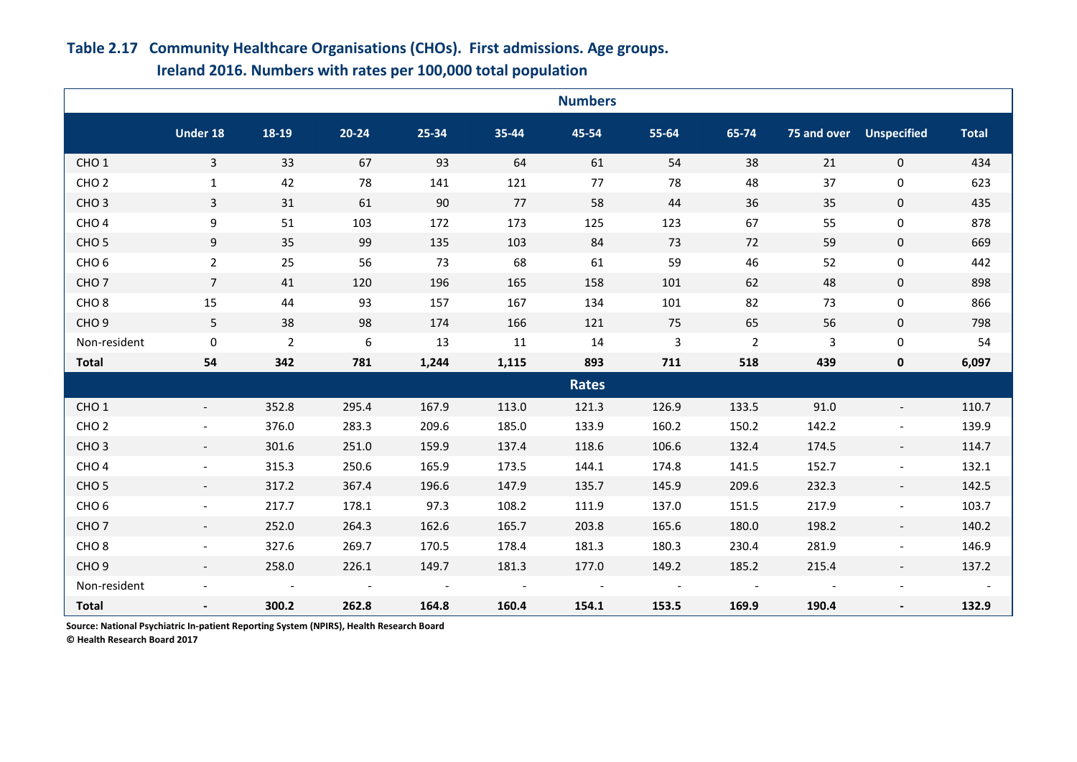# **Under 18 18-19 20-24 25-34 35-44 45-54 55-64 65-74 75 and over Unspecified Total** CHO 1 3 33 67 93 64 61 54 38 21 0 434 CHO 2 1 42 78 141 121 77 78 48 37 0 623 CHO 3 3 31 61 90 77 58 44 36 35 0 435 CHO 4 9 51 103 172 173 125 123 67 55 0 878 CHO 5 9 35 99 135 103 84 73 72 59 0 669 CHO 6 2 25 56 73 68 61 59 46 52 0 442 CHO 7 7 41 120 196 165 158 101 62 48 0 898 CHO 8 15 44 93 157 167 134 101 82 73 0 866 CHO 9 5 38 98 174 166 121 75 65 56 0 798 Non-resident 0 2 6 13 11 14 3 2 3 0 54 **Total 54 342 781 1,244 1,115 893 711 518 439 0 6,097** CHO 1 - 352.8 295.4 167.9 113.0 121.3 126.9 133.5 91.0 - 110.7 CHO 2 - 376.0 283.3 209.6 185.0 133.9 160.2 150.2 142.2 - 139.9 CHO 3 - 301.6 251.0 159.9 137.4 118.6 106.6 132.4 174.5 - 114.7 CHO 4 - 315.3 250.6 165.9 173.5 144.1 174.8 141.5 152.7 - 132.1 CHO 5 - 317.2 367.4 196.6 147.9 135.7 145.9 209.6 232.3 - 142.5 CHO 6 - 217.7 178.1 97.3 108.2 111.9 137.0 151.5 217.9 - 103.7 CHO 7 - 252.0 264.3 162.6 165.7 203.8 165.6 180.0 198.2 - 140.2 CHO 8 - 327.6 269.7 170.5 178.4 181.3 180.3 230.4 281.9 - 146.9 **Numbers Rates Ireland 2016. Numbers with rates per 100,000 total population**

CHO 9 - 258.0 226.1 149.7 181.3 177.0 149.2 185.2 215.4 - 137.2 Non-resident the set of the set of the set of the set of the set of the set of the set of the set of the set of the set of the set of the set of the set of the set of the set of the set of the set of the set of the set of **Total - 300.2 262.8 164.8 160.4 154.1 153.5 169.9 190.4 - 132.9**

# **Table 2.17 Community Healthcare Organisations (CHOs). First admissions. Age groups.**

**Source: National Psychiatric In-patient Reporting System (NPIRS), Health Research Board**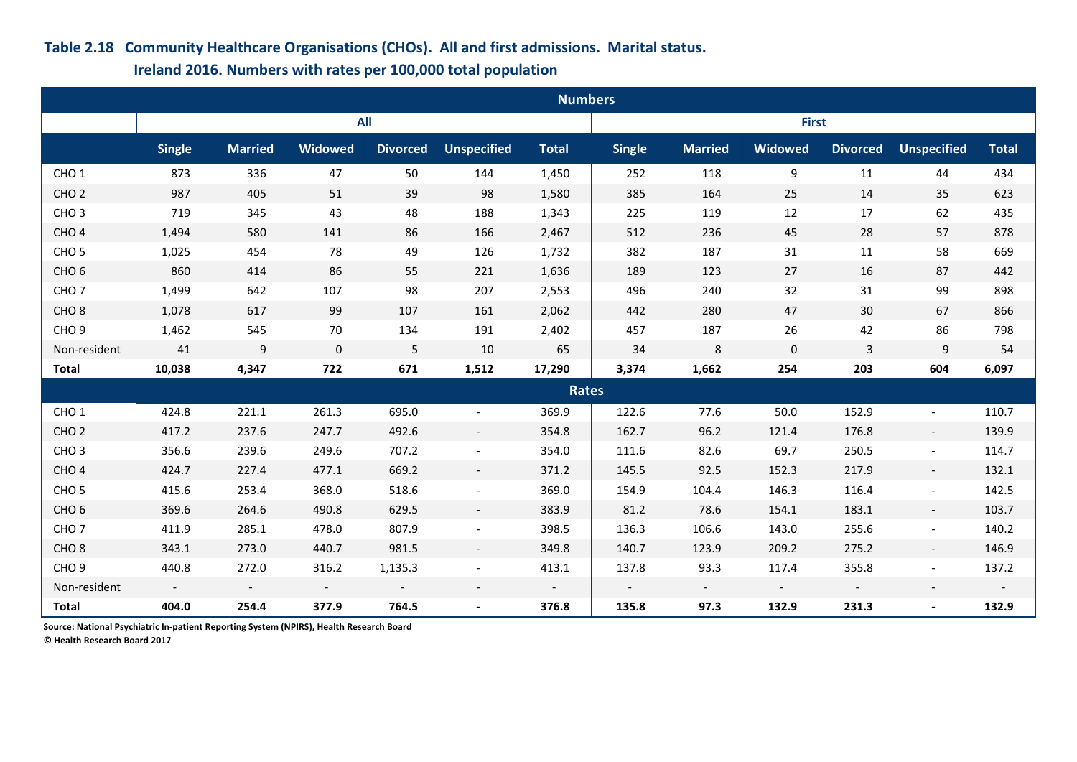## **Table 2.18 Community Healthcare Organisations (CHOs). All and first admissions. Marital status.**

 **Ireland 2016. Numbers with rates per 100,000 total population**

|                  | <b>Numbers</b> |                          |                          |                          |                          |              |                          |                |                          |                          |                          |                          |
|------------------|----------------|--------------------------|--------------------------|--------------------------|--------------------------|--------------|--------------------------|----------------|--------------------------|--------------------------|--------------------------|--------------------------|
|                  |                |                          | <b>All</b>               |                          |                          |              |                          |                | <b>First</b>             |                          |                          |                          |
|                  | <b>Single</b>  | <b>Married</b>           | <b>Widowed</b>           | <b>Divorced</b>          | <b>Unspecified</b>       | <b>Total</b> | <b>Single</b>            | <b>Married</b> | <b>Widowed</b>           | <b>Divorced</b>          | <b>Unspecified</b>       | <b>Total</b>             |
| CHO <sub>1</sub> | 873            | 336                      | 47                       | 50                       | 144                      | 1,450        | 252                      | 118            | 9                        | 11                       | 44                       | 434                      |
| CHO <sub>2</sub> | 987            | 405                      | 51                       | 39                       | 98                       | 1,580        | 385                      | 164            | 25                       | 14                       | 35                       | 623                      |
| CHO <sub>3</sub> | 719            | 345                      | 43                       | 48                       | 188                      | 1,343        | 225                      | 119            | 12                       | 17                       | 62                       | 435                      |
| CHO <sub>4</sub> | 1,494          | 580                      | 141                      | 86                       | 166                      | 2,467        | 512                      | 236            | 45                       | 28                       | 57                       | 878                      |
| CHO <sub>5</sub> | 1,025          | 454                      | 78                       | 49                       | 126                      | 1,732        | 382                      | 187            | 31                       | 11                       | 58                       | 669                      |
| CHO <sub>6</sub> | 860            | 414                      | 86                       | 55                       | 221                      | 1,636        | 189                      | 123            | 27                       | 16                       | 87                       | 442                      |
| CHO <sub>7</sub> | 1,499          | 642                      | 107                      | 98                       | 207                      | 2,553        | 496                      | 240            | 32                       | 31                       | 99                       | 898                      |
| CHO <sub>8</sub> | 1,078          | 617                      | 99                       | 107                      | 161                      | 2,062        | 442                      | 280            | 47                       | 30                       | 67                       | 866                      |
| CHO <sub>9</sub> | 1,462          | 545                      | 70                       | 134                      | 191                      | 2,402        | 457                      | 187            | 26                       | 42                       | 86                       | 798                      |
| Non-resident     | 41             | 9                        | $\mathbf 0$              | $\sqrt{5}$               | 10                       | 65           | 34                       | 8              | $\mathbf 0$              | $\overline{3}$           | 9                        | 54                       |
| <b>Total</b>     | 10,038         | 4,347                    | 722                      | 671                      | 1,512                    | 17,290       | 3,374                    | 1,662          | 254                      | 203                      | 604                      | 6,097                    |
|                  |                |                          |                          |                          |                          | <b>Rates</b> |                          |                |                          |                          |                          |                          |
| CHO <sub>1</sub> | 424.8          | 221.1                    | 261.3                    | 695.0                    | $\qquad \qquad -$        | 369.9        | 122.6                    | 77.6           | 50.0                     | 152.9                    | $\overline{\phantom{a}}$ | 110.7                    |
| CHO <sub>2</sub> | 417.2          | 237.6                    | 247.7                    | 492.6                    | $-$                      | 354.8        | 162.7                    | 96.2           | 121.4                    | 176.8                    | $\overline{\phantom{a}}$ | 139.9                    |
| CHO <sub>3</sub> | 356.6          | 239.6                    | 249.6                    | 707.2                    |                          | 354.0        | 111.6                    | 82.6           | 69.7                     | 250.5                    | $\overline{\phantom{a}}$ | 114.7                    |
| CHO <sub>4</sub> | 424.7          | 227.4                    | 477.1                    | 669.2                    | $\overline{\phantom{a}}$ | 371.2        | 145.5                    | 92.5           | 152.3                    | 217.9                    | $\overline{\phantom{a}}$ | 132.1                    |
| CHO <sub>5</sub> | 415.6          | 253.4                    | 368.0                    | 518.6                    | $\overline{\phantom{a}}$ | 369.0        | 154.9                    | 104.4          | 146.3                    | 116.4                    | $\overline{\phantom{a}}$ | 142.5                    |
| CHO <sub>6</sub> | 369.6          | 264.6                    | 490.8                    | 629.5                    | $\overline{\phantom{a}}$ | 383.9        | 81.2                     | 78.6           | 154.1                    | 183.1                    | $\overline{\phantom{a}}$ | 103.7                    |
| CHO <sub>7</sub> | 411.9          | 285.1                    | 478.0                    | 807.9                    | $\qquad \qquad -$        | 398.5        | 136.3                    | 106.6          | 143.0                    | 255.6                    | $\overline{\phantom{a}}$ | 140.2                    |
| CHO <sub>8</sub> | 343.1          | 273.0                    | 440.7                    | 981.5                    |                          | 349.8        | 140.7                    | 123.9          | 209.2                    | 275.2                    | $\overline{\phantom{a}}$ | 146.9                    |
| CHO <sub>9</sub> | 440.8          | 272.0                    | 316.2                    | 1,135.3                  | $\overline{\phantom{0}}$ | 413.1        | 137.8                    | 93.3           | 117.4                    | 355.8                    | $\overline{\phantom{a}}$ | 137.2                    |
| Non-resident     | $\sim$         | $\overline{\phantom{a}}$ | $\overline{\phantom{a}}$ | $\overline{\phantom{a}}$ | $\overline{\phantom{a}}$ | $\sim$       | $\overline{\phantom{a}}$ | $\sim$         | $\overline{\phantom{a}}$ | $\overline{\phantom{a}}$ | $\overline{\phantom{a}}$ | $\overline{\phantom{a}}$ |
| <b>Total</b>     | 404.0          | 254.4                    | 377.9                    | 764.5                    | $\overline{\phantom{0}}$ | 376.8        | 135.8                    | 97.3           | 132.9                    | 231.3                    | $\blacksquare$           | 132.9                    |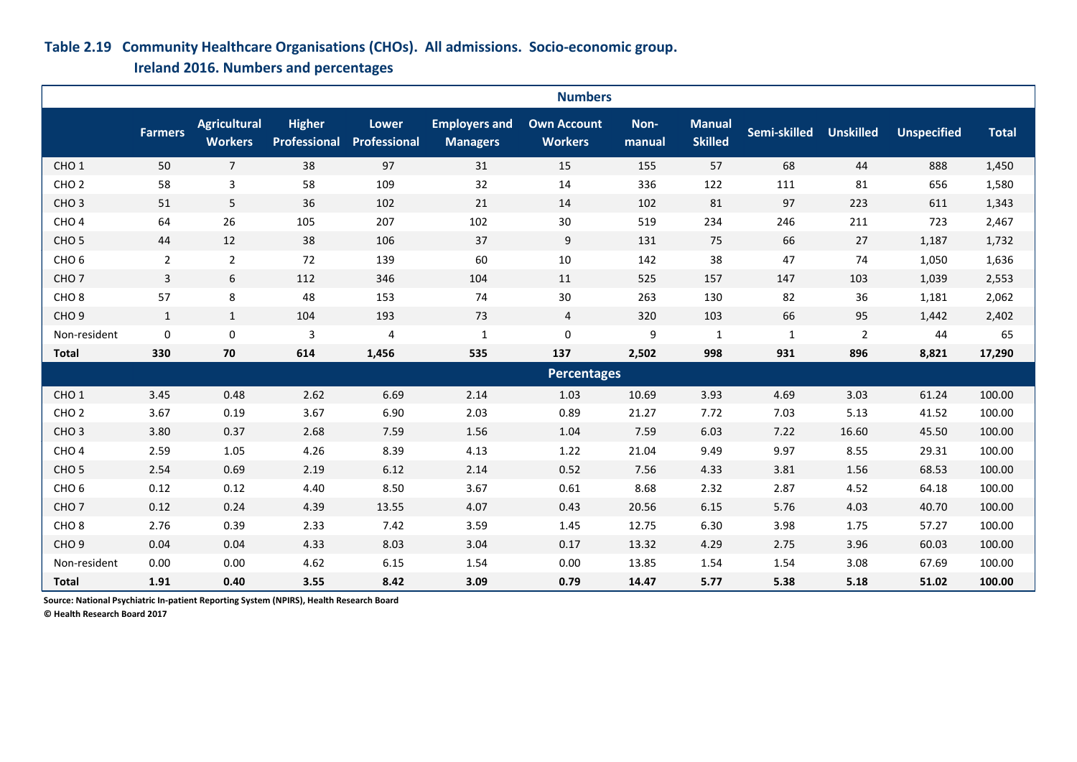### **Table 2.19 Community Healthcare Organisations (CHOs). All admissions. Socio-economic group.**

 **Ireland 2016. Numbers and percentages**

|                  |                | <b>Numbers</b>                        |                                      |                              |                                         |                                      |                |                                 |              |                  |                    |              |
|------------------|----------------|---------------------------------------|--------------------------------------|------------------------------|-----------------------------------------|--------------------------------------|----------------|---------------------------------|--------------|------------------|--------------------|--------------|
|                  | <b>Farmers</b> | <b>Agricultural</b><br><b>Workers</b> | <b>Higher</b><br><b>Professional</b> | <b>Lower</b><br>Professional | <b>Employers and</b><br><b>Managers</b> | <b>Own Account</b><br><b>Workers</b> | Non-<br>manual | <b>Manual</b><br><b>Skilled</b> | Semi-skilled | <b>Unskilled</b> | <b>Unspecified</b> | <b>Total</b> |
| CHO <sub>1</sub> | 50             | $\overline{7}$                        | 38                                   | 97                           | 31                                      | 15                                   | 155            | 57                              | 68           | 44               | 888                | 1,450        |
| CHO <sub>2</sub> | 58             | $\mathbf{3}$                          | 58                                   | 109                          | 32                                      | 14                                   | 336            | 122                             | 111          | 81               | 656                | 1,580        |
| CHO <sub>3</sub> | 51             | 5                                     | 36                                   | 102                          | 21                                      | 14                                   | 102            | 81                              | 97           | 223              | 611                | 1,343        |
| CHO <sub>4</sub> | 64             | 26                                    | 105                                  | 207                          | 102                                     | 30                                   | 519            | 234                             | 246          | 211              | 723                | 2,467        |
| CHO <sub>5</sub> | 44             | 12                                    | 38                                   | 106                          | 37                                      | 9                                    | 131            | 75                              | 66           | 27               | 1,187              | 1,732        |
| CHO <sub>6</sub> | $\overline{2}$ | $\overline{2}$                        | 72                                   | 139                          | 60                                      | 10                                   | 142            | 38                              | 47           | 74               | 1,050              | 1,636        |
| CHO <sub>7</sub> | $\overline{3}$ | 6                                     | 112                                  | 346                          | 104                                     | 11                                   | 525            | 157                             | 147          | 103              | 1,039              | 2,553        |
| CHO <sub>8</sub> | 57             | 8                                     | 48                                   | 153                          | 74                                      | $30\,$                               | 263            | 130                             | 82           | 36               | 1,181              | 2,062        |
| CHO <sub>9</sub> | $\mathbf{1}$   | $\mathbf{1}$                          | 104                                  | 193                          | 73                                      | $\overline{4}$                       | 320            | 103                             | 66           | 95               | 1,442              | 2,402        |
| Non-resident     | $\pmb{0}$      | $\pmb{0}$                             | $\mathbf{3}$                         | 4                            | $\mathbf 1$                             | $\pmb{0}$                            | 9              | $\mathbf{1}$                    | $\mathbf{1}$ | $\overline{2}$   | 44                 | 65           |
| <b>Total</b>     | 330            | 70                                    | 614                                  | 1,456                        | 535                                     | 137                                  | 2,502          | 998                             | 931          | 896              | 8,821              | 17,290       |
|                  |                |                                       |                                      |                              |                                         | <b>Percentages</b>                   |                |                                 |              |                  |                    |              |
| CHO <sub>1</sub> | 3.45           | 0.48                                  | 2.62                                 | 6.69                         | 2.14                                    | 1.03                                 | 10.69          | 3.93                            | 4.69         | 3.03             | 61.24              | 100.00       |
| CHO <sub>2</sub> | 3.67           | 0.19                                  | 3.67                                 | 6.90                         | 2.03                                    | 0.89                                 | 21.27          | 7.72                            | 7.03         | 5.13             | 41.52              | 100.00       |
| CHO <sub>3</sub> | 3.80           | 0.37                                  | 2.68                                 | 7.59                         | 1.56                                    | 1.04                                 | 7.59           | 6.03                            | 7.22         | 16.60            | 45.50              | 100.00       |
| CHO <sub>4</sub> | 2.59           | 1.05                                  | 4.26                                 | 8.39                         | 4.13                                    | 1.22                                 | 21.04          | 9.49                            | 9.97         | 8.55             | 29.31              | 100.00       |
| CHO <sub>5</sub> | 2.54           | 0.69                                  | 2.19                                 | 6.12                         | 2.14                                    | 0.52                                 | 7.56           | 4.33                            | 3.81         | 1.56             | 68.53              | 100.00       |
| CHO <sub>6</sub> | 0.12           | 0.12                                  | 4.40                                 | 8.50                         | 3.67                                    | 0.61                                 | 8.68           | 2.32                            | 2.87         | 4.52             | 64.18              | 100.00       |
| CHO <sub>7</sub> | 0.12           | 0.24                                  | 4.39                                 | 13.55                        | 4.07                                    | 0.43                                 | 20.56          | 6.15                            | 5.76         | 4.03             | 40.70              | 100.00       |
| CHO <sub>8</sub> | 2.76           | 0.39                                  | 2.33                                 | 7.42                         | 3.59                                    | 1.45                                 | 12.75          | 6.30                            | 3.98         | 1.75             | 57.27              | 100.00       |
| CHO <sub>9</sub> | 0.04           | 0.04                                  | 4.33                                 | 8.03                         | 3.04                                    | 0.17                                 | 13.32          | 4.29                            | 2.75         | 3.96             | 60.03              | 100.00       |
| Non-resident     | 0.00           | 0.00                                  | 4.62                                 | 6.15                         | 1.54                                    | 0.00                                 | 13.85          | 1.54                            | 1.54         | 3.08             | 67.69              | 100.00       |
| <b>Total</b>     | 1.91           | 0.40                                  | 3.55                                 | 8.42                         | 3.09                                    | 0.79                                 | 14.47          | 5.77                            | 5.38         | 5.18             | 51.02              | 100.00       |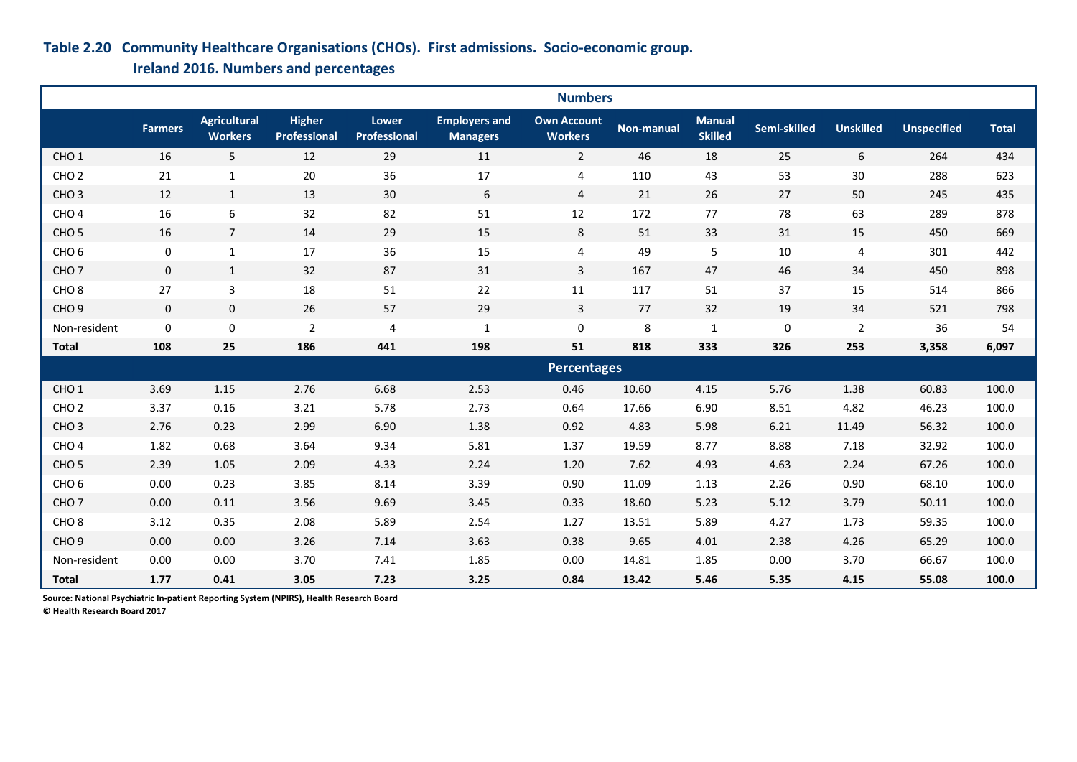### **Table 2.20 Community Healthcare Organisations (CHOs). First admissions. Socio-economic group.**

 **Ireland 2016. Numbers and percentages**

|                  | <b>Numbers</b> |                                       |                                      |                              |                                         |                                      |                   |                                 |              |                  |                    |              |
|------------------|----------------|---------------------------------------|--------------------------------------|------------------------------|-----------------------------------------|--------------------------------------|-------------------|---------------------------------|--------------|------------------|--------------------|--------------|
|                  | <b>Farmers</b> | <b>Agricultural</b><br><b>Workers</b> | <b>Higher</b><br><b>Professional</b> | <b>Lower</b><br>Professional | <b>Employers and</b><br><b>Managers</b> | <b>Own Account</b><br><b>Workers</b> | <b>Non-manual</b> | <b>Manual</b><br><b>Skilled</b> | Semi-skilled | <b>Unskilled</b> | <b>Unspecified</b> | <b>Total</b> |
| CHO <sub>1</sub> | 16             | $5\phantom{.}$                        | 12                                   | 29                           | 11                                      | $\overline{2}$                       | 46                | 18                              | 25           | 6                | 264                | 434          |
| CHO <sub>2</sub> | 21             | $\mathbf 1$                           | 20                                   | 36                           | 17                                      | $\overline{4}$                       | 110               | 43                              | 53           | $30\,$           | 288                | 623          |
| CHO <sub>3</sub> | 12             | $\mathbf{1}$                          | 13                                   | 30                           | $\boldsymbol{6}$                        | 4                                    | 21                | 26                              | 27           | 50               | 245                | 435          |
| CHO <sub>4</sub> | 16             | $\boldsymbol{6}$                      | 32                                   | 82                           | 51                                      | 12                                   | 172               | 77                              | 78           | 63               | 289                | 878          |
| CHO <sub>5</sub> | 16             | $\overline{7}$                        | 14                                   | 29                           | 15                                      | 8                                    | 51                | 33                              | 31           | 15               | 450                | 669          |
| CHO <sub>6</sub> | $\pmb{0}$      | $\mathbf 1$                           | 17                                   | 36                           | 15                                      | 4                                    | 49                | 5                               | 10           | 4                | 301                | 442          |
| CHO <sub>7</sub> | $\mathbf 0$    | $\mathbf{1}$                          | 32                                   | 87                           | 31                                      | $\overline{3}$                       | 167               | 47                              | 46           | 34               | 450                | 898          |
| CHO <sub>8</sub> | 27             | $\overline{3}$                        | 18                                   | 51                           | 22                                      | 11                                   | 117               | 51                              | 37           | 15               | 514                | 866          |
| CHO <sub>9</sub> | $\mathbf 0$    | $\mathbf 0$                           | 26                                   | 57                           | 29                                      | $\overline{3}$                       | 77                | 32                              | 19           | 34               | 521                | 798          |
| Non-resident     | $\mathbf 0$    | 0                                     | $\overline{2}$                       | 4                            | $\mathbf{1}$                            | $\mathbf 0$                          | 8                 | $\mathbf{1}$                    | $\pmb{0}$    | $\overline{2}$   | 36                 | 54           |
| <b>Total</b>     | 108            | 25                                    | 186                                  | 441                          | 198                                     | 51                                   | 818               | 333                             | 326          | 253              | 3,358              | 6,097        |
|                  |                |                                       |                                      |                              |                                         | <b>Percentages</b>                   |                   |                                 |              |                  |                    |              |
| CHO <sub>1</sub> | 3.69           | 1.15                                  | 2.76                                 | 6.68                         | 2.53                                    | 0.46                                 | 10.60             | 4.15                            | 5.76         | 1.38             | 60.83              | 100.0        |
| CHO <sub>2</sub> | 3.37           | 0.16                                  | 3.21                                 | 5.78                         | 2.73                                    | 0.64                                 | 17.66             | 6.90                            | 8.51         | 4.82             | 46.23              | 100.0        |
| CHO <sub>3</sub> | 2.76           | 0.23                                  | 2.99                                 | 6.90                         | 1.38                                    | 0.92                                 | 4.83              | 5.98                            | 6.21         | 11.49            | 56.32              | 100.0        |
| CHO <sub>4</sub> | 1.82           | 0.68                                  | 3.64                                 | 9.34                         | 5.81                                    | 1.37                                 | 19.59             | 8.77                            | 8.88         | 7.18             | 32.92              | 100.0        |
| CHO <sub>5</sub> | 2.39           | 1.05                                  | 2.09                                 | 4.33                         | 2.24                                    | 1.20                                 | 7.62              | 4.93                            | 4.63         | 2.24             | 67.26              | 100.0        |
| CHO <sub>6</sub> | 0.00           | 0.23                                  | 3.85                                 | 8.14                         | 3.39                                    | 0.90                                 | 11.09             | 1.13                            | 2.26         | 0.90             | 68.10              | 100.0        |
| CHO <sub>7</sub> | 0.00           | 0.11                                  | 3.56                                 | 9.69                         | 3.45                                    | 0.33                                 | 18.60             | 5.23                            | 5.12         | 3.79             | 50.11              | 100.0        |
| CHO <sub>8</sub> | 3.12           | 0.35                                  | 2.08                                 | 5.89                         | 2.54                                    | 1.27                                 | 13.51             | 5.89                            | 4.27         | 1.73             | 59.35              | 100.0        |
| CHO <sub>9</sub> | 0.00           | 0.00                                  | 3.26                                 | 7.14                         | 3.63                                    | 0.38                                 | 9.65              | 4.01                            | 2.38         | 4.26             | 65.29              | 100.0        |
| Non-resident     | 0.00           | 0.00                                  | 3.70                                 | 7.41                         | 1.85                                    | 0.00                                 | 14.81             | 1.85                            | 0.00         | 3.70             | 66.67              | 100.0        |
| <b>Total</b>     | 1.77           | 0.41                                  | 3.05                                 | 7.23                         | 3.25                                    | 0.84                                 | 13.42             | 5.46                            | 5.35         | 4.15             | 55.08              | 100.0        |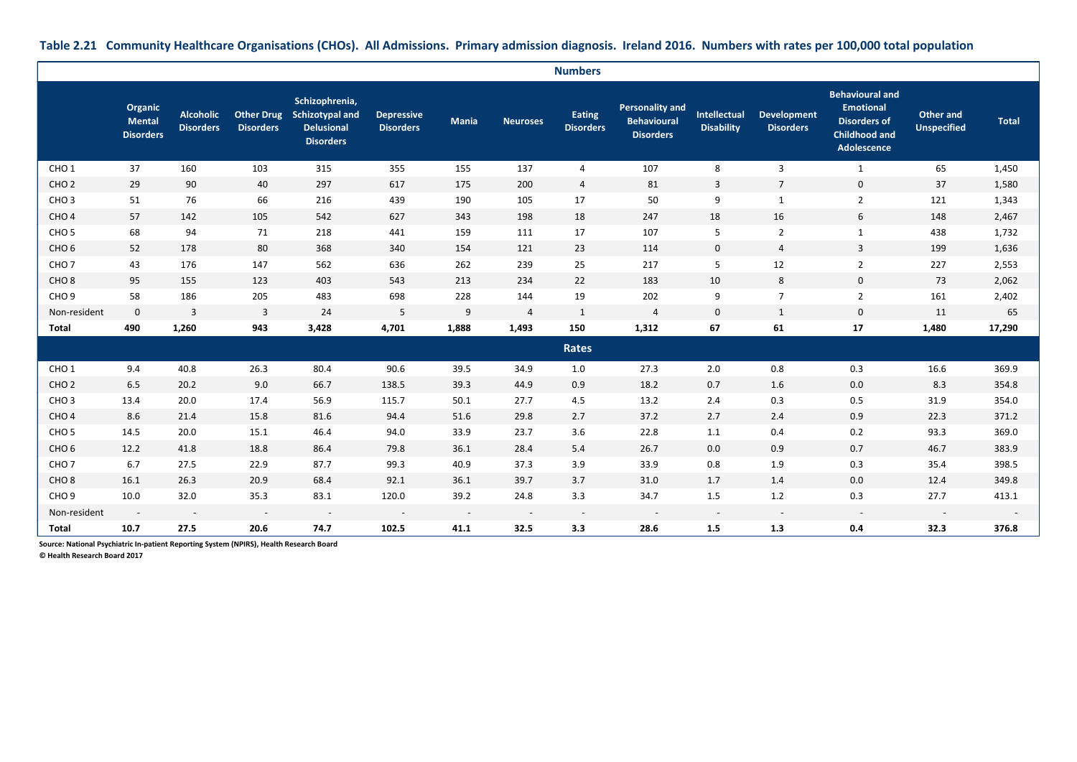|                  |                                       |                                      |                                       |                                                                                   |                                       |                          |                          | <b>Numbers</b>                    |                                                                  |                                   |                                        |                                                                                                          |                                        |              |
|------------------|---------------------------------------|--------------------------------------|---------------------------------------|-----------------------------------------------------------------------------------|---------------------------------------|--------------------------|--------------------------|-----------------------------------|------------------------------------------------------------------|-----------------------------------|----------------------------------------|----------------------------------------------------------------------------------------------------------|----------------------------------------|--------------|
|                  | Organic<br>Mental<br><b>Disorders</b> | <b>Alcoholic</b><br><b>Disorders</b> | <b>Other Drug</b><br><b>Disorders</b> | Schizophrenia,<br><b>Schizotypal and</b><br><b>Delusional</b><br><b>Disorders</b> | <b>Depressive</b><br><b>Disorders</b> | <b>Mania</b>             | Neuroses                 | <b>Eating</b><br><b>Disorders</b> | <b>Personality and</b><br><b>Behavioural</b><br><b>Disorders</b> | Intellectual<br><b>Disability</b> | <b>Development</b><br><b>Disorders</b> | <b>Behavioural and</b><br><b>Emotional</b><br><b>Disorders of</b><br><b>Childhood and</b><br>Adolescence | <b>Other and</b><br><b>Unspecified</b> | <b>Total</b> |
| CHO <sub>1</sub> | 37                                    | 160                                  | 103                                   | 315                                                                               | 355                                   | 155                      | 137                      | $\overline{4}$                    | 107                                                              | 8                                 | 3                                      | $\mathbf{1}$                                                                                             | 65                                     | 1,450        |
| CHO <sub>2</sub> | 29                                    | 90                                   | 40                                    | 297                                                                               | 617                                   | 175                      | 200                      | $\overline{a}$                    | 81                                                               | $\overline{3}$                    | $\overline{7}$                         | $\mathbf 0$                                                                                              | 37                                     | 1,580        |
| CHO <sub>3</sub> | 51                                    | 76                                   | 66                                    | 216                                                                               | 439                                   | 190                      | 105                      | 17                                | 50                                                               | 9                                 | $\mathbf{1}$                           | $\overline{2}$                                                                                           | 121                                    | 1,343        |
| CHO <sub>4</sub> | 57                                    | 142                                  | 105                                   | 542                                                                               | 627                                   | 343                      | 198                      | 18                                | 247                                                              | 18                                | 16                                     | 6                                                                                                        | 148                                    | 2,467        |
| CHO <sub>5</sub> | 68                                    | 94                                   | 71                                    | 218                                                                               | 441                                   | 159                      | 111                      | 17                                | 107                                                              | 5                                 | $\overline{2}$                         | $\mathbf{1}$                                                                                             | 438                                    | 1,732        |
| CHO <sub>6</sub> | 52                                    | 178                                  | 80                                    | 368                                                                               | 340                                   | 154                      | 121                      | 23                                | 114                                                              | $\mathbf 0$                       | $\overline{4}$                         | 3                                                                                                        | 199                                    | 1,636        |
| CHO <sub>7</sub> | 43                                    | 176                                  | 147                                   | 562                                                                               | 636                                   | 262                      | 239                      | 25                                | 217                                                              | 5                                 | 12                                     | $\overline{2}$                                                                                           | 227                                    | 2,553        |
| CHO <sub>8</sub> | 95                                    | 155                                  | 123                                   | 403                                                                               | 543                                   | 213                      | 234                      | 22                                | 183                                                              | 10                                | 8                                      | $\mathbf 0$                                                                                              | 73                                     | 2,062        |
| CHO <sub>9</sub> | 58                                    | 186                                  | 205                                   | 483                                                                               | 698                                   | 228                      | 144                      | 19                                | 202                                                              | 9                                 | $\overline{7}$                         | $\overline{2}$                                                                                           | 161                                    | 2,402        |
| Non-resident     | $\mathbf 0$                           | 3                                    | 3                                     | 24                                                                                | 5                                     | 9                        | $\overline{4}$           | $\mathbf{1}$                      | $\sqrt{4}$                                                       | $\mathbf 0$                       | $\mathbf{1}$                           | $\mathbf 0$                                                                                              | 11                                     | 65           |
| Total            | 490                                   | 1,260                                | 943                                   | 3,428                                                                             | 4,701                                 | 1,888                    | 1,493                    | 150                               | 1,312                                                            | 67                                | 61                                     | 17                                                                                                       | 1,480                                  | 17,290       |
|                  |                                       |                                      |                                       |                                                                                   |                                       |                          |                          | <b>Rates</b>                      |                                                                  |                                   |                                        |                                                                                                          |                                        |              |
| CHO <sub>1</sub> | 9.4                                   | 40.8                                 | 26.3                                  | 80.4                                                                              | 90.6                                  | 39.5                     | 34.9                     | 1.0                               | 27.3                                                             | 2.0                               | 0.8                                    | 0.3                                                                                                      | 16.6                                   | 369.9        |
| CHO <sub>2</sub> | 6.5                                   | 20.2                                 | 9.0                                   | 66.7                                                                              | 138.5                                 | 39.3                     | 44.9                     | 0.9                               | 18.2                                                             | 0.7                               | 1.6                                    | 0.0                                                                                                      | 8.3                                    | 354.8        |
| CHO <sub>3</sub> | 13.4                                  | 20.0                                 | 17.4                                  | 56.9                                                                              | 115.7                                 | 50.1                     | 27.7                     | 4.5                               | 13.2                                                             | 2.4                               | 0.3                                    | 0.5                                                                                                      | 31.9                                   | 354.0        |
| CHO <sub>4</sub> | 8.6                                   | 21.4                                 | 15.8                                  | 81.6                                                                              | 94.4                                  | 51.6                     | 29.8                     | 2.7                               | 37.2                                                             | 2.7                               | 2.4                                    | 0.9                                                                                                      | 22.3                                   | 371.2        |
| CHO <sub>5</sub> | 14.5                                  | 20.0                                 | 15.1                                  | 46.4                                                                              | 94.0                                  | 33.9                     | 23.7                     | 3.6                               | 22.8                                                             | 1.1                               | 0.4                                    | 0.2                                                                                                      | 93.3                                   | 369.0        |
| CHO <sub>6</sub> | 12.2                                  | 41.8                                 | 18.8                                  | 86.4                                                                              | 79.8                                  | 36.1                     | 28.4                     | 5.4                               | 26.7                                                             | 0.0                               | 0.9                                    | 0.7                                                                                                      | 46.7                                   | 383.9        |
| CHO <sub>7</sub> | 6.7                                   | 27.5                                 | 22.9                                  | 87.7                                                                              | 99.3                                  | 40.9                     | 37.3                     | 3.9                               | 33.9                                                             | 0.8                               | 1.9                                    | 0.3                                                                                                      | 35.4                                   | 398.5        |
| CHO <sub>8</sub> | 16.1                                  | 26.3                                 | 20.9                                  | 68.4                                                                              | 92.1                                  | 36.1                     | 39.7                     | 3.7                               | 31.0                                                             | 1.7                               | 1.4                                    | 0.0                                                                                                      | 12.4                                   | 349.8        |
| CHO <sub>9</sub> | 10.0                                  | 32.0                                 | 35.3                                  | 83.1                                                                              | 120.0                                 | 39.2                     | 24.8                     | 3.3                               | 34.7                                                             | 1.5                               | 1.2                                    | 0.3                                                                                                      | 27.7                                   | 413.1        |
| Non-resident     | $\sim$                                | $\sim$                               | $\sim$                                | $\sim$                                                                            | $\overline{\phantom{a}}$              | $\overline{\phantom{a}}$ | $\overline{\phantom{a}}$ | $\overline{\phantom{a}}$          | $\sim$                                                           | $\overline{\phantom{a}}$          | $\sim$                                 | $\sim$                                                                                                   | $\sim$                                 |              |
| Total            | 10.7                                  | 27.5                                 | 20.6                                  | 74.7                                                                              | 102.5                                 | 41.1                     | 32.5                     | 3.3                               | 28.6                                                             | 1.5                               | 1.3                                    | 0.4                                                                                                      | 32.3                                   | 376.8        |

### **Table 2.21 Community Healthcare Organisations (CHOs). All Admissions. Primary admission diagnosis. Ireland 2016. Numbers with rates per 100,000 total population**

**Source: National Psychiatric In-patient Reporting System (NPIRS), Health Research Board**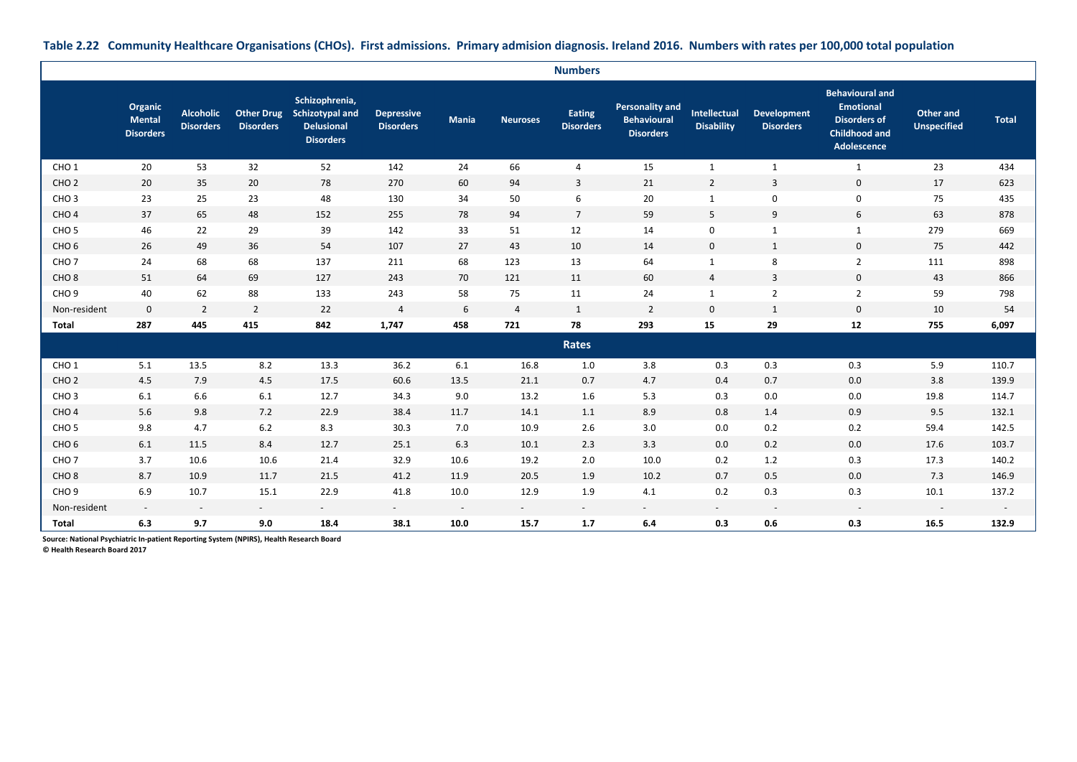|  |  |  |  | Table 2.22 Community Healthcare Organisations (CHOs). First admissions. Primary admision diagnosis. Ireland 2016. Numbers with rates per 100,000 total population |
|--|--|--|--|-------------------------------------------------------------------------------------------------------------------------------------------------------------------|
|--|--|--|--|-------------------------------------------------------------------------------------------------------------------------------------------------------------------|

|                  |                                              |                                      |                  |                                                                                       |                                       |                          |                 | <b>Numbers</b>             |                                                                  |                                   |                                        |                                                                                                          |                                        |              |
|------------------|----------------------------------------------|--------------------------------------|------------------|---------------------------------------------------------------------------------------|---------------------------------------|--------------------------|-----------------|----------------------------|------------------------------------------------------------------|-----------------------------------|----------------------------------------|----------------------------------------------------------------------------------------------------------|----------------------------------------|--------------|
|                  | Organic<br><b>Mental</b><br><b>Disorders</b> | <b>Alcoholic</b><br><b>Disorders</b> | <b>Disorders</b> | Schizophrenia,<br>Other Drug Schizotypal and<br><b>Delusional</b><br><b>Disorders</b> | <b>Depressive</b><br><b>Disorders</b> | <b>Mania</b>             | <b>Neuroses</b> | Eating<br><b>Disorders</b> | <b>Personality and</b><br><b>Behavioural</b><br><b>Disorders</b> | Intellectual<br><b>Disability</b> | <b>Development</b><br><b>Disorders</b> | <b>Behavioural and</b><br><b>Emotional</b><br><b>Disorders of</b><br><b>Childhood and</b><br>Adolescence | <b>Other and</b><br><b>Unspecified</b> | <b>Total</b> |
| CHO <sub>1</sub> | 20                                           | 53                                   | 32               | 52                                                                                    | 142                                   | 24                       | 66              | 4                          | 15                                                               | $\mathbf{1}$                      | $\mathbf{1}$                           | 1                                                                                                        | 23                                     | 434          |
| CHO <sub>2</sub> | 20                                           | 35                                   | 20               | 78                                                                                    | 270                                   | 60                       | 94              | 3                          | 21                                                               | $\overline{2}$                    | $\overline{3}$                         | $\mathbf 0$                                                                                              | 17                                     | 623          |
| CHO <sub>3</sub> | 23                                           | 25                                   | 23               | 48                                                                                    | 130                                   | 34                       | 50              | 6                          | 20                                                               | $\mathbf{1}$                      | $\mathbf 0$                            | $\mathbf 0$                                                                                              | 75                                     | 435          |
| CHO <sub>4</sub> | 37                                           | 65                                   | 48               | 152                                                                                   | 255                                   | 78                       | 94              | $\overline{7}$             | 59                                                               | 5                                 | 9                                      | 6                                                                                                        | 63                                     | 878          |
| CHO <sub>5</sub> | 46                                           | 22                                   | 29               | 39                                                                                    | 142                                   | 33                       | 51              | 12                         | 14                                                               | $\mathbf 0$                       | $\mathbf{1}$                           | 1                                                                                                        | 279                                    | 669          |
| CHO <sub>6</sub> | 26                                           | 49                                   | 36               | 54                                                                                    | 107                                   | 27                       | 43              | 10                         | 14                                                               | $\mathbf 0$                       | 1                                      | $\mathbf 0$                                                                                              | 75                                     | 442          |
| CHO <sub>7</sub> | 24                                           | 68                                   | 68               | 137                                                                                   | 211                                   | 68                       | 123             | 13                         | 64                                                               | $\mathbf{1}$                      | 8                                      | $\overline{2}$                                                                                           | 111                                    | 898          |
| CHO <sub>8</sub> | 51                                           | 64                                   | 69               | 127                                                                                   | 243                                   | 70                       | 121             | 11                         | 60                                                               | $\overline{4}$                    | 3                                      | $\mathbf 0$                                                                                              | 43                                     | 866          |
| CHO <sub>9</sub> | 40                                           | 62                                   | 88               | 133                                                                                   | 243                                   | 58                       | 75              | 11                         | 24                                                               | $\mathbf{1}$                      | $\overline{2}$                         | $\overline{2}$                                                                                           | 59                                     | 798          |
| Non-resident     | $\mathbf 0$                                  | $\overline{2}$                       | $\overline{2}$   | 22                                                                                    | $\overline{4}$                        | 6                        | 4               | $\mathbf{1}$               | $\overline{2}$                                                   | $\mathbf 0$                       | 1                                      | $\mathbf 0$                                                                                              | 10                                     | 54           |
| <b>Total</b>     | 287                                          | 445                                  | 415              | 842                                                                                   | 1,747                                 | 458                      | 721             | 78                         | 293                                                              | 15                                | 29                                     | 12                                                                                                       | 755                                    | 6,097        |
|                  |                                              |                                      |                  |                                                                                       |                                       |                          |                 | Rates                      |                                                                  |                                   |                                        |                                                                                                          |                                        |              |
| CHO <sub>1</sub> | 5.1                                          | 13.5                                 | 8.2              | 13.3                                                                                  | 36.2                                  | 6.1                      | 16.8            | 1.0                        | 3.8                                                              | 0.3                               | 0.3                                    | 0.3                                                                                                      | 5.9                                    | 110.7        |
| CHO <sub>2</sub> | 4.5                                          | 7.9                                  | 4.5              | 17.5                                                                                  | 60.6                                  | 13.5                     | 21.1            | 0.7                        | 4.7                                                              | 0.4                               | 0.7                                    | 0.0                                                                                                      | 3.8                                    | 139.9        |
| CHO <sub>3</sub> | 6.1                                          | 6.6                                  | 6.1              | 12.7                                                                                  | 34.3                                  | 9.0                      | 13.2            | 1.6                        | 5.3                                                              | 0.3                               | 0.0                                    | 0.0                                                                                                      | 19.8                                   | 114.7        |
| CHO <sub>4</sub> | 5.6                                          | 9.8                                  | 7.2              | 22.9                                                                                  | 38.4                                  | 11.7                     | 14.1            | 1.1                        | 8.9                                                              | 0.8                               | 1.4                                    | 0.9                                                                                                      | 9.5                                    | 132.1        |
| CHO <sub>5</sub> | 9.8                                          | 4.7                                  | $6.2$            | 8.3                                                                                   | 30.3                                  | 7.0                      | 10.9            | 2.6                        | 3.0                                                              | 0.0                               | 0.2                                    | 0.2                                                                                                      | 59.4                                   | 142.5        |
| CHO <sub>6</sub> | 6.1                                          | 11.5                                 | 8.4              | 12.7                                                                                  | 25.1                                  | 6.3                      | 10.1            | 2.3                        | 3.3                                                              | 0.0                               | 0.2                                    | 0.0                                                                                                      | 17.6                                   | 103.7        |
| CHO <sub>7</sub> | 3.7                                          | 10.6                                 | 10.6             | 21.4                                                                                  | 32.9                                  | 10.6                     | 19.2            | 2.0                        | 10.0                                                             | 0.2                               | 1.2                                    | 0.3                                                                                                      | 17.3                                   | 140.2        |
| CHO <sub>8</sub> | 8.7                                          | 10.9                                 | 11.7             | 21.5                                                                                  | 41.2                                  | 11.9                     | 20.5            | 1.9                        | 10.2                                                             | 0.7                               | 0.5                                    | 0.0                                                                                                      | 7.3                                    | 146.9        |
| CHO <sub>9</sub> | 6.9                                          | 10.7                                 | 15.1             | 22.9                                                                                  | 41.8                                  | 10.0                     | 12.9            | 1.9                        | 4.1                                                              | 0.2                               | 0.3                                    | 0.3                                                                                                      | 10.1                                   | 137.2        |
| Non-resident     | $\overline{\phantom{a}}$                     | $\overline{\phantom{a}}$             | $\sim$           | $\sim$                                                                                | $\sim$                                | $\overline{\phantom{a}}$ | $\sim$          | $\sim$                     | $\overline{\phantom{a}}$                                         | $\sim$                            | $\overline{\phantom{a}}$               | $\sim$                                                                                                   | $\overline{\phantom{a}}$               | $\sim$       |
| <b>Total</b>     | 6.3                                          | 9.7                                  | 9.0              | 18.4                                                                                  | 38.1                                  | 10.0                     | 15.7            | 1.7                        | 6.4                                                              | 0.3                               | 0.6                                    | 0.3                                                                                                      | 16.5                                   | 132.9        |

**Source: National Psychiatric In-patient Reporting System (NPIRS), Health Research Board**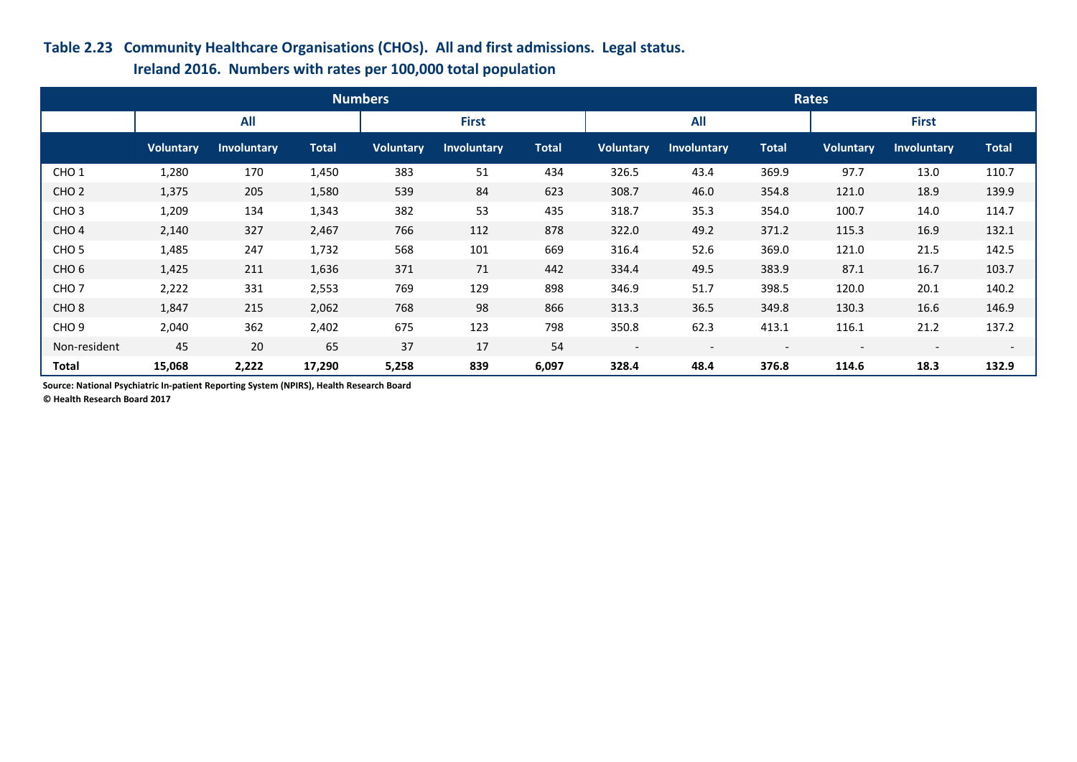### **Table 2.23 Community Healthcare Organisations (CHOs). All and first admissions. Legal status.**

## **Ireland 2016. Numbers with rates per 100,000 total population**

|                  |                  |                    |              | <b>Numbers</b>   |                    |              | Rates                    |                          |                          |                  |                          |                          |
|------------------|------------------|--------------------|--------------|------------------|--------------------|--------------|--------------------------|--------------------------|--------------------------|------------------|--------------------------|--------------------------|
|                  |                  | <b>All</b>         |              | <b>First</b>     |                    |              | <b>All</b>               |                          |                          |                  | <b>First</b>             |                          |
|                  | <b>Voluntary</b> | <b>Involuntary</b> | <b>Total</b> | <b>Voluntary</b> | <b>Involuntary</b> | <b>Total</b> | <b>Voluntary</b>         | <b>Involuntary</b>       | <b>Total</b>             | <b>Voluntary</b> | <b>Involuntary</b>       | <b>Total</b>             |
| CHO <sub>1</sub> | 1,280            | 170                | 1,450        | 383              | 51                 | 434          | 326.5                    | 43.4                     | 369.9                    | 97.7             | 13.0                     | 110.7                    |
| CHO <sub>2</sub> | 1,375            | 205                | 1,580        | 539              | 84                 | 623          | 308.7                    | 46.0                     | 354.8                    | 121.0            | 18.9                     | 139.9                    |
| CHO <sub>3</sub> | 1,209            | 134                | 1,343        | 382              | 53                 | 435          | 318.7                    | 35.3                     | 354.0                    | 100.7            | 14.0                     | 114.7                    |
| CHO <sub>4</sub> | 2,140            | 327                | 2,467        | 766              | 112                | 878          | 322.0                    | 49.2                     | 371.2                    | 115.3            | 16.9                     | 132.1                    |
| CHO <sub>5</sub> | 1,485            | 247                | 1,732        | 568              | 101                | 669          | 316.4                    | 52.6                     | 369.0                    | 121.0            | 21.5                     | 142.5                    |
| CHO <sub>6</sub> | 1,425            | 211                | 1,636        | 371              | 71                 | 442          | 334.4                    | 49.5                     | 383.9                    | 87.1             | 16.7                     | 103.7                    |
| CHO <sub>7</sub> | 2,222            | 331                | 2,553        | 769              | 129                | 898          | 346.9                    | 51.7                     | 398.5                    | 120.0            | 20.1                     | 140.2                    |
| CHO <sub>8</sub> | 1,847            | 215                | 2,062        | 768              | 98                 | 866          | 313.3                    | 36.5                     | 349.8                    | 130.3            | 16.6                     | 146.9                    |
| CHO <sub>9</sub> | 2,040            | 362                | 2,402        | 675              | 123                | 798          | 350.8                    | 62.3                     | 413.1                    | 116.1            | 21.2                     | 137.2                    |
| Non-resident     | 45               | 20                 | 65           | 37               | 17                 | 54           | $\overline{\phantom{a}}$ | $\overline{\phantom{a}}$ | $\overline{\phantom{0}}$ |                  | $\overline{\phantom{0}}$ | $\overline{\phantom{0}}$ |
| <b>Total</b>     | 15,068           | 2,222              | 17,290       | 5,258            | 839                | 6,097        | 328.4                    | 48.4                     | 376.8                    | 114.6            | 18.3                     | 132.9                    |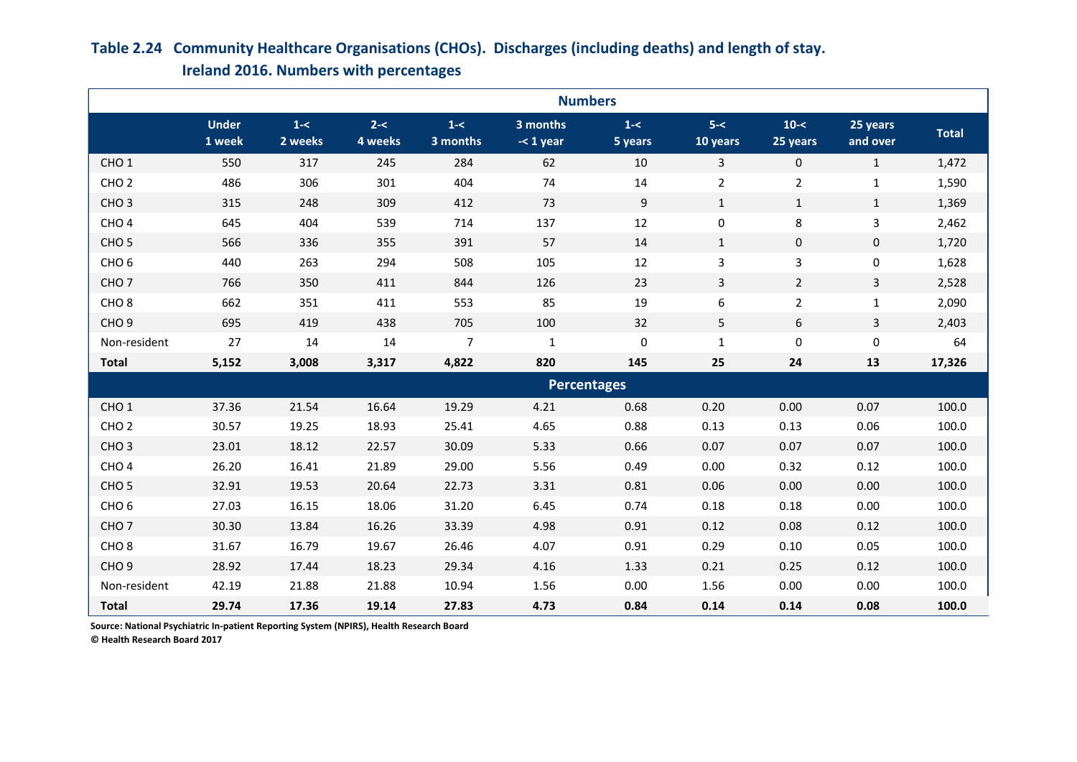#### **Under 1 week 1-< 2 weeks 2-< 4 weeks 1-< 3 months 3 months -< 1 year 1-< 5 years 5-< 10 years**  $10 - 5$ **25 years 25 years and over Total** CHO 1 550 317 245 284 62 10 3 0 1 1,472 CHO 2 486 306 301 404 74 14 2 2 1 1,590 CHO 3 315 248 309 412 73 9 1 1 1 1,369 CHO 4 645 404 539 714 137 12 0 8 3 2,462 CHO 5 566 336 355 391 57 14 1 0 0 1,720 CHO 6 440 263 294 508 105 12 3 3 0 1,628 CHO 7 766 350 411 844 126 23 3 2 3 2,528 CHO 8 662 351 411 553 85 19 6 2 1 2,090 CHO 9 695 419 438 705 100 32 5 6 3 2,403 Non-resident 27 14 14 7 1 0 1 0 0 64 **Total 5,152 3,008 3,317 4,822 820 145 25 24 13 17,326** CHO 1 37.36 21.54 16.64 19.29 4.21 0.68 0.20 0.00 0.07 100.0 CHO 2 30.57 19.25 18.93 25.41 4.65 0.88 0.13 0.13 0.06 100.0 CHO 3 23.01 18.12 22.57 30.09 5.33 0.66 0.07 0.07 0.07 100.0 CHO 4 26.20 16.41 21.89 29.00 5.56 0.49 0.00 0.32 0.12 100.0 CHO 5 32.91 19.53 20.64 22.73 3.31 0.81 0.06 0.00 0.00 100.0 CHO 6 27.03 16.15 18.06 31.20 6.45 0.74 0.18 0.18 0.00 100.0 **Numbers Percentages**

CHO 7 30.30 13.84 16.26 33.39 4.98 0.91 0.12 0.08 0.12 100.0 CHO 8 31.67 16.79 19.67 26.46 4.07 0.91 0.29 0.10 0.05 100.0 CHO 9 28.92 17.44 18.23 29.34 4.16 1.33 0.21 0.25 0.12 100.0 Non-resident 42.19 21.88 21.88 10.94 1.56 0.00 1.56 0.00 0.00 100.0 **Total 29.74 17.36 19.14 27.83 4.73 0.84 0.14 0.14 0.08 100.0**

## **Ireland 2016. Numbers with percentages Table 2.24 Community Healthcare Organisations (CHOs). Discharges (including deaths) and length of stay.**

**Source: National Psychiatric In-patient Reporting System (NPIRS), Health Research Board**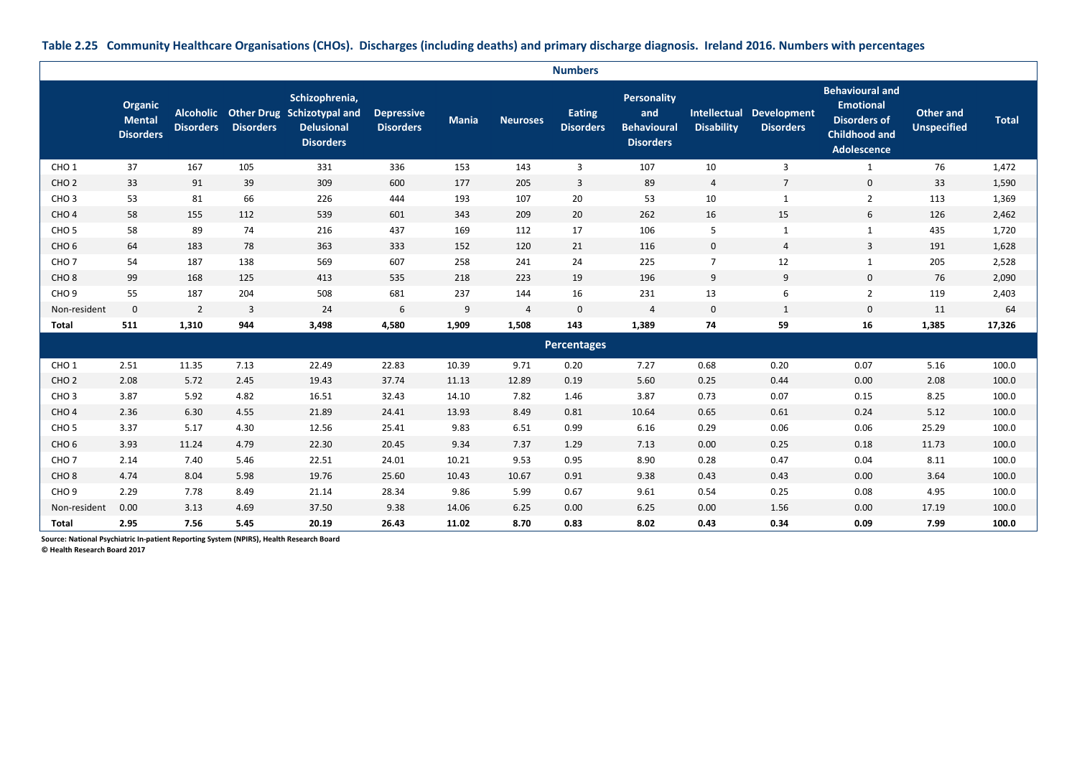**Organic Mental Disorders Alcoholic Other Drug Schizotypal and Disorders Disorders Schizophrenia, Delusional Disorders Depressive Disorders Mania Neuroses Eating Disorders Personality and Behavioural Disorders Intellectual Development Disability Disorders Behavioural and Emotional Disorders of Childhood and Adolescence Other and Unspecified Total** CHO 1 37 167 105 331 336 153 143 3 107 10 3 1 76 1,472 CHO 2 33 91 39 309 600 177 205 3 89 4 7 0 33 1,590 CHO 3 53 81 66 226 444 193 107 20 53 10 1 2 2 113 1,369 CHO 4 58 155 112 539 601 343 209 20 262 16 15 6 126 2,462 CHO 5 58 89 74 216 437 169 112 17 106 5 1 1 435 1,720 CHO 6 64 183 78 363 333 152 120 21 16 0 4 3 1,628 CHO 7 54 187 138 569 607 258 241 24 225 7 12 1 205 2,528 CHO 8 99 168 125 413 535 218 223 19 196 9 9 9 0 76 2,090 CHO 9 55 187 204 508 681 237 144 16 231 13 6 2 119 2,403 Non-resident 0 2 3 24 6 9 4 0 4 0 1 0 11 64 **Total 511 1,310 944 3,498 4,580 1,909 1,508 143 1,389 74 59 16 1,385 17,326** CHO 1 2.51 11.35 7.13 22.49 22.83 10.39 9.71 0.20 7.27 0.68 0.20 0.07 5.16 100.0 CHO 2 2.08 5.72 2.45 19.43 37.74 11.13 12.89 0.19 5.60 0.25 0.44 0.00 2.08 100.0 CHO 3 3.87 5.92 4.82 16.51 32.43 14.10 7.82 1.46 3.87 0.73 0.07 0.15 8.25 100.0 CHO 4 2.36 6.30 4.55 21.89 24.41 13.93 8.49 0.81 10.64 0.65 0.61 0.24 5.12 100.0 CHO 5 3.37 5.17 4.30 12.56 25.41 9.83 6.51 0.99 6.16 0.29 0.06 0.06 25.29 100.0 CHO 6 3.93 11.24 4.79 22.30 20.45 9.34 7.37 1.29 7.13 0.00 0.25 0.18 11.73 100.0 CHO 7 2.14 7.40 5.46 22.51 24.01 10.21 9.53 0.95 8.90 0.28 0.47 0.04 8.11 100.0 CHO 8 4.74 8.04 5.98 19.76 25.60 10.43 10.67 0.91 9.38 0.43 0.43 0.00 3.64 100.0 CHO 9 2.29 7.78 8.49 21.14 28.34 9.86 5.99 0.67 9.61 0.54 0.25 0.08 4.95 100.0 Non-resident 0.00 3.13 4.69 37.50 9.38 14.06 6.25 0.00 6.25 0.00 1.56 0.00 17.19 100.0 **Total 2.95 7.56 5.45 20.19 26.43 11.02 8.70 0.83 8.02 0.43 0.34 0.09 7.99 100.0 Numbers Percentages**

**Table 2.25 Community Healthcare Organisations (CHOs). Discharges (including deaths) and primary discharge diagnosis. Ireland 2016. Numbers with percentages**

**Source: National Psychiatric In-patient Reporting System (NPIRS), Health Research Board**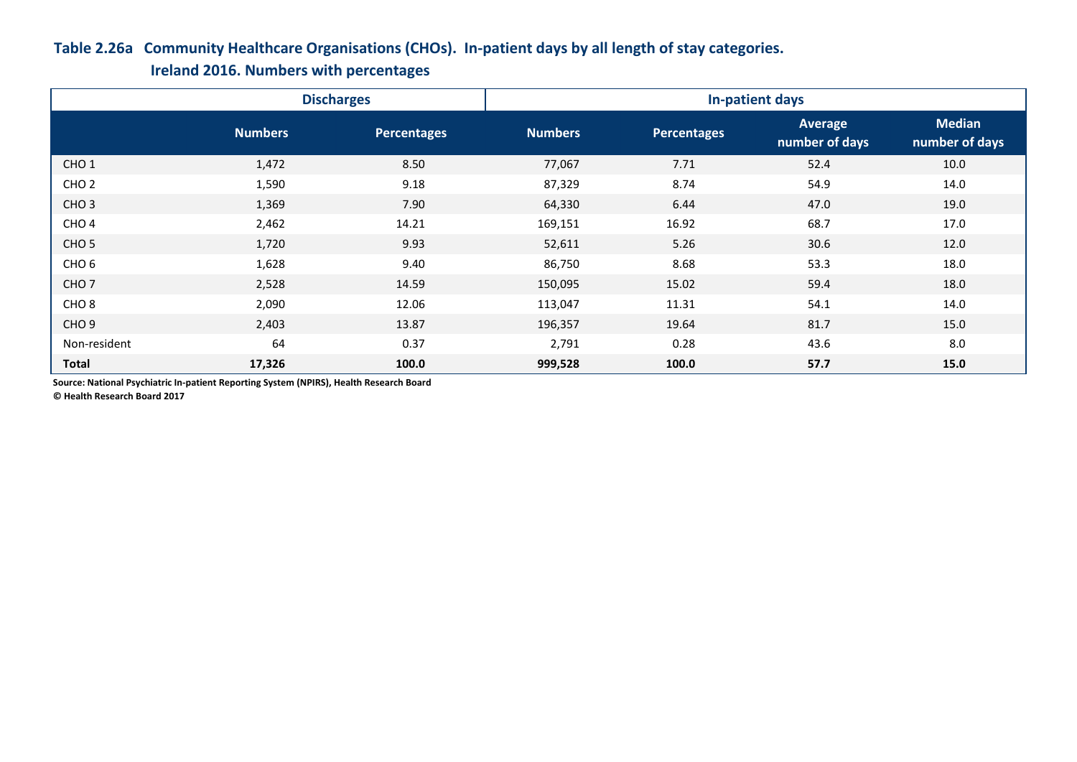## **Table 2.26a Community Healthcare Organisations (CHOs). In-patient days by all length of stay categories.**

**Ireland 2016. Numbers with percentages**

|                  |                | <b>Discharges</b> | In-patient days |                    |                                  |                                 |  |  |
|------------------|----------------|-------------------|-----------------|--------------------|----------------------------------|---------------------------------|--|--|
|                  | <b>Numbers</b> | Percentages       | <b>Numbers</b>  | <b>Percentages</b> | <b>Average</b><br>number of days | <b>Median</b><br>number of days |  |  |
| CHO <sub>1</sub> | 1,472          | 8.50              | 77,067          | 7.71               | 52.4                             | 10.0                            |  |  |
| CHO <sub>2</sub> | 1,590          | 9.18              | 87,329          | 8.74               | 54.9                             | 14.0                            |  |  |
| CHO <sub>3</sub> | 1,369          | 7.90              | 64,330          | 6.44               | 47.0                             | 19.0                            |  |  |
| CHO <sub>4</sub> | 2,462          | 14.21             | 169,151         | 16.92              | 68.7                             | 17.0                            |  |  |
| CHO <sub>5</sub> | 1,720          | 9.93              | 52,611          | 5.26               | 30.6                             | 12.0                            |  |  |
| CHO <sub>6</sub> | 1,628          | 9.40              | 86,750          | 8.68               | 53.3                             | 18.0                            |  |  |
| CHO <sub>7</sub> | 2,528          | 14.59             | 150,095         | 15.02              | 59.4                             | 18.0                            |  |  |
| CHO <sub>8</sub> | 2,090          | 12.06             | 113,047         | 11.31              | 54.1                             | 14.0                            |  |  |
| CHO <sub>9</sub> | 2,403          | 13.87             | 196,357         | 19.64              | 81.7                             | 15.0                            |  |  |
| Non-resident     | 64             | 0.37              | 2,791           | 0.28               | 43.6                             | 8.0                             |  |  |
| Total            | 17,326         | 100.0             | 999,528         | 100.0              | 57.7                             | 15.0                            |  |  |

**Source: National Psychiatric In-patient Reporting System (NPIRS), Health Research Board**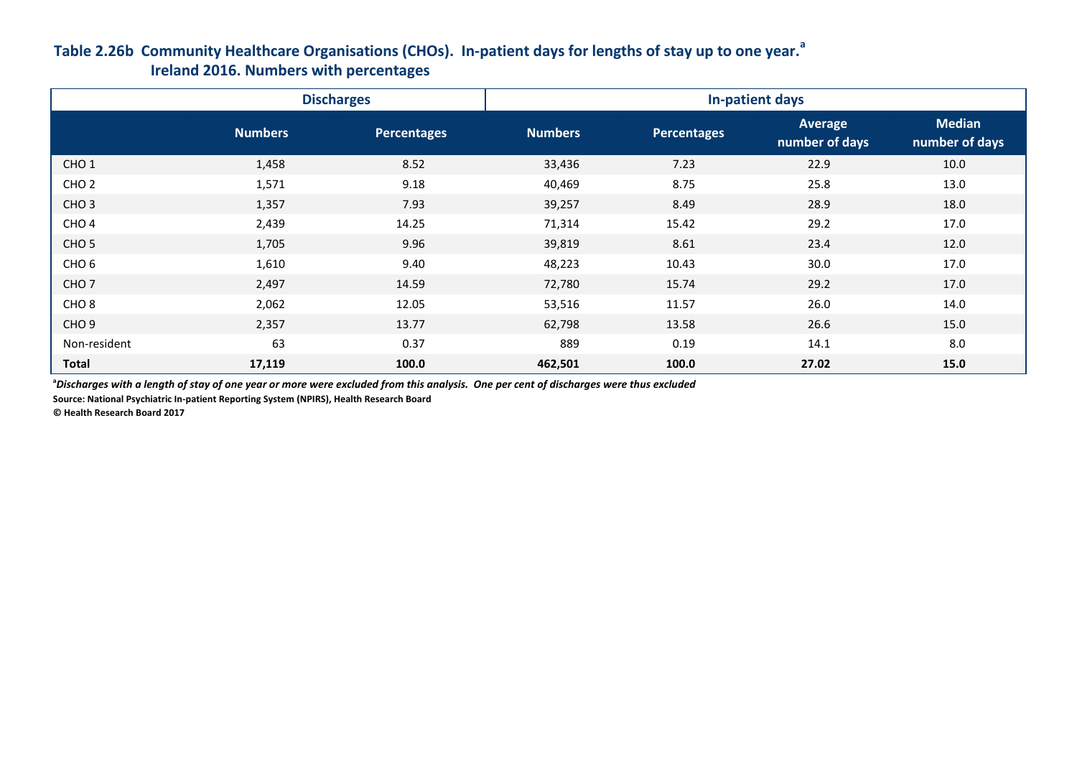## **Table 2.26b Community Healthcare Organisations (CHOs). In-patient days for lengths of stay up to one year.<sup>a</sup> Ireland 2016. Numbers with percentages**

|                  |                | <b>Discharges</b>  | In-patient days |             |                                  |                                 |  |  |
|------------------|----------------|--------------------|-----------------|-------------|----------------------------------|---------------------------------|--|--|
|                  | <b>Numbers</b> | <b>Percentages</b> | <b>Numbers</b>  | Percentages | <b>Average</b><br>number of days | <b>Median</b><br>number of days |  |  |
| CHO <sub>1</sub> | 1,458          | 8.52               | 33,436          | 7.23        | 22.9                             | 10.0                            |  |  |
| CHO <sub>2</sub> | 1,571          | 9.18               | 40,469          | 8.75        | 25.8                             | 13.0                            |  |  |
| CHO <sub>3</sub> | 1,357          | 7.93               | 39,257          | 8.49        | 28.9                             | 18.0                            |  |  |
| CHO <sub>4</sub> | 2,439          | 14.25              | 71,314          | 15.42       | 29.2                             | 17.0                            |  |  |
| CHO <sub>5</sub> | 1,705          | 9.96               | 39,819          | 8.61        | 23.4                             | 12.0                            |  |  |
| CHO <sub>6</sub> | 1,610          | 9.40               | 48,223          | 10.43       | 30.0                             | 17.0                            |  |  |
| CHO <sub>7</sub> | 2,497          | 14.59              | 72,780          | 15.74       | 29.2                             | 17.0                            |  |  |
| CHO <sub>8</sub> | 2,062          | 12.05              | 53,516          | 11.57       | 26.0                             | 14.0                            |  |  |
| CHO <sub>9</sub> | 2,357          | 13.77              | 62,798          | 13.58       | 26.6                             | 15.0                            |  |  |
| Non-resident     | 63             | 0.37               | 889             | 0.19        | 14.1                             | 8.0                             |  |  |
| <b>Total</b>     | 17,119         | 100.0              | 462,501         | 100.0       | 27.02                            | 15.0                            |  |  |

**<sup>a</sup>***Discharges with a length of stay of one year or more were excluded from this analysis. One per cent of discharges were thus excluded*

**Source: National Psychiatric In-patient Reporting System (NPIRS), Health Research Board**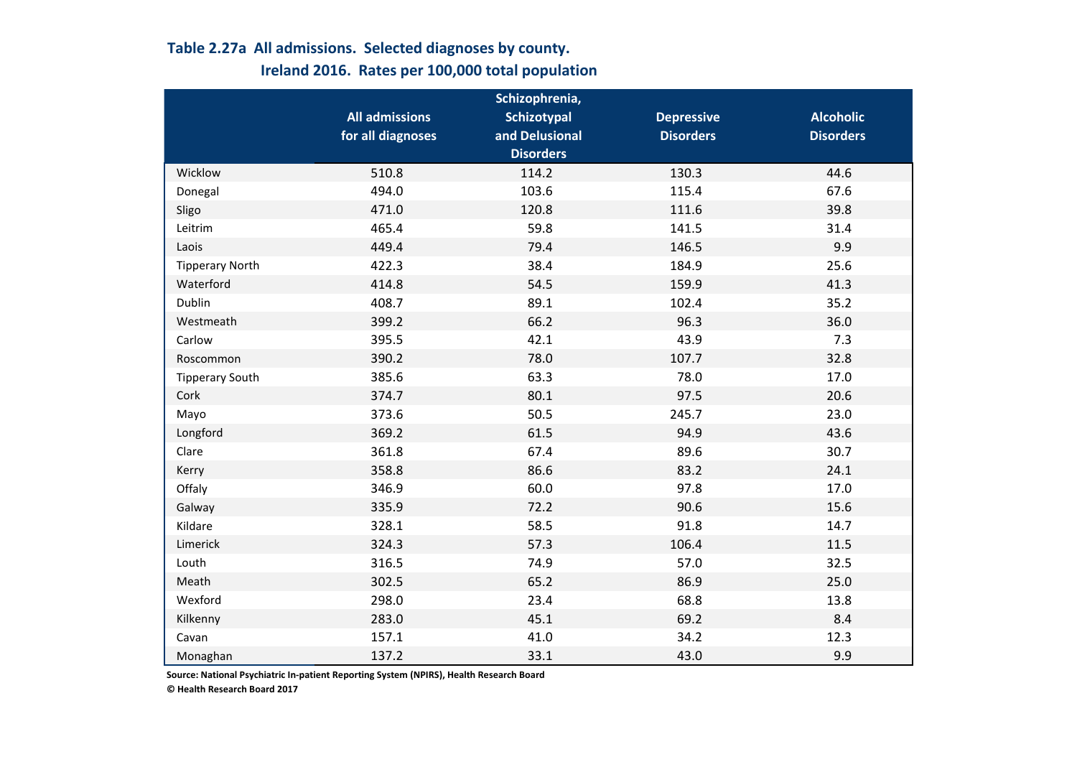# **Table 2.27a All admissions. Selected diagnoses by county. Ireland 2016. Rates per 100,000 total population**

|                        |                       | Schizophrenia,     |                   |                  |
|------------------------|-----------------------|--------------------|-------------------|------------------|
|                        | <b>All admissions</b> | <b>Schizotypal</b> | <b>Depressive</b> | <b>Alcoholic</b> |
|                        | for all diagnoses     | and Delusional     | <b>Disorders</b>  | <b>Disorders</b> |
|                        |                       | <b>Disorders</b>   |                   |                  |
| Wicklow                | 510.8                 | 114.2              | 130.3             | 44.6             |
| Donegal                | 494.0                 | 103.6              | 115.4             | 67.6             |
| Sligo                  | 471.0                 | 120.8              | 111.6             | 39.8             |
| Leitrim                | 465.4                 | 59.8               | 141.5             | 31.4             |
| Laois                  | 449.4                 | 79.4               | 146.5             | 9.9              |
| <b>Tipperary North</b> | 422.3                 | 38.4               | 184.9             | 25.6             |
| Waterford              | 414.8                 | 54.5               | 159.9             | 41.3             |
| Dublin                 | 408.7                 | 89.1               | 102.4             | 35.2             |
| Westmeath              | 399.2                 | 66.2               | 96.3              | 36.0             |
| Carlow                 | 395.5                 | 42.1               | 43.9              | 7.3              |
| Roscommon              | 390.2                 | 78.0               | 107.7             | 32.8             |
| <b>Tipperary South</b> | 385.6                 | 63.3               | 78.0              | 17.0             |
| Cork                   | 374.7                 | 80.1               | 97.5              | 20.6             |
| Mayo                   | 373.6                 | 50.5               | 245.7             | 23.0             |
| Longford               | 369.2                 | 61.5               | 94.9              | 43.6             |
| Clare                  | 361.8                 | 67.4               | 89.6              | 30.7             |
| Kerry                  | 358.8                 | 86.6               | 83.2              | 24.1             |
| Offaly                 | 346.9                 | 60.0               | 97.8              | 17.0             |
| Galway                 | 335.9                 | 72.2               | 90.6              | 15.6             |
| Kildare                | 328.1                 | 58.5               | 91.8              | 14.7             |
| Limerick               | 324.3                 | 57.3               | 106.4             | 11.5             |
| Louth                  | 316.5                 | 74.9               | 57.0              | 32.5             |
| Meath                  | 302.5                 | 65.2               | 86.9              | 25.0             |
| Wexford                | 298.0                 | 23.4               | 68.8              | 13.8             |
| Kilkenny               | 283.0                 | 45.1               | 69.2              | 8.4              |
| Cavan                  | 157.1                 | 41.0               | 34.2              | 12.3             |
| Monaghan               | 137.2                 | 33.1               | 43.0              | 9.9              |

**Source: National Psychiatric In-patient Reporting System (NPIRS), Health Research Board**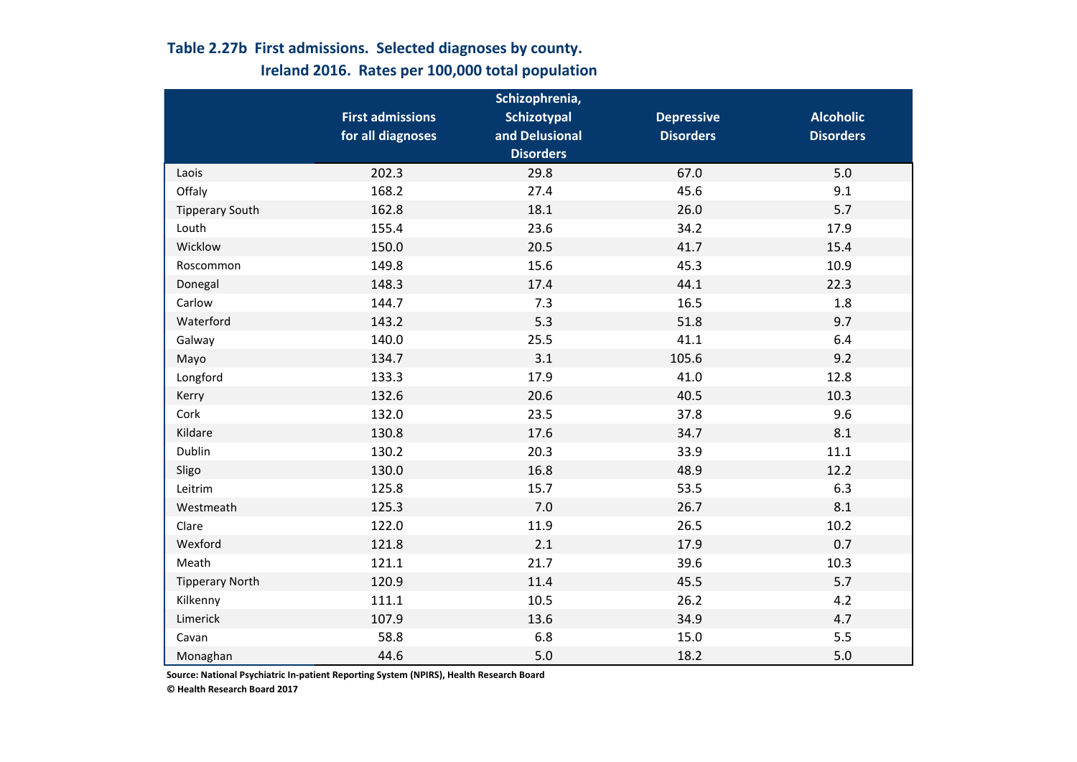# **Table 2.27b First admissions. Selected diagnoses by county. Ireland 2016. Rates per 100,000 total population**

|                        |                         | Schizophrenia,   |                   |                  |
|------------------------|-------------------------|------------------|-------------------|------------------|
|                        | <b>First admissions</b> | Schizotypal      | <b>Depressive</b> | <b>Alcoholic</b> |
|                        | for all diagnoses       | and Delusional   | <b>Disorders</b>  | <b>Disorders</b> |
|                        |                         | <b>Disorders</b> |                   |                  |
| Laois                  | 202.3                   | 29.8             | 67.0              | 5.0              |
| Offaly                 | 168.2                   | 27.4             | 45.6              | 9.1              |
| <b>Tipperary South</b> | 162.8                   | 18.1             | 26.0              | 5.7              |
| Louth                  | 155.4                   | 23.6             | 34.2              | 17.9             |
| Wicklow                | 150.0                   | 20.5             | 41.7              | 15.4             |
| Roscommon              | 149.8                   | 15.6             | 45.3              | 10.9             |
| Donegal                | 148.3                   | 17.4             | 44.1              | 22.3             |
| Carlow                 | 144.7                   | 7.3              | 16.5              | 1.8              |
| Waterford              | 143.2                   | 5.3              | 51.8              | 9.7              |
| Galway                 | 140.0                   | 25.5             | 41.1              | 6.4              |
| Mayo                   | 134.7                   | 3.1              | 105.6             | 9.2              |
| Longford               | 133.3                   | 17.9             | 41.0              | 12.8             |
| Kerry                  | 132.6                   | 20.6             | 40.5              | 10.3             |
| Cork                   | 132.0                   | 23.5             | 37.8              | 9.6              |
| Kildare                | 130.8                   | 17.6             | 34.7              | 8.1              |
| Dublin                 | 130.2                   | 20.3             | 33.9              | 11.1             |
| Sligo                  | 130.0                   | 16.8             | 48.9              | 12.2             |
| Leitrim                | 125.8                   | 15.7             | 53.5              | 6.3              |
| Westmeath              | 125.3                   | 7.0              | 26.7              | 8.1              |
| Clare                  | 122.0                   | 11.9             | 26.5              | 10.2             |
| Wexford                | 121.8                   | 2.1              | 17.9              | 0.7              |
| Meath                  | 121.1                   | 21.7             | 39.6              | 10.3             |
| <b>Tipperary North</b> | 120.9                   | 11.4             | 45.5              | 5.7              |
| Kilkenny               | 111.1                   | 10.5             | 26.2              | 4.2              |
| Limerick               | 107.9                   | 13.6             | 34.9              | 4.7              |
| Cavan                  | 58.8                    | 6.8              | 15.0              | 5.5              |
| Monaghan               | 44.6                    | 5.0              | 18.2              | 5.0              |

**Source: National Psychiatric In-patient Reporting System (NPIRS), Health Research Board**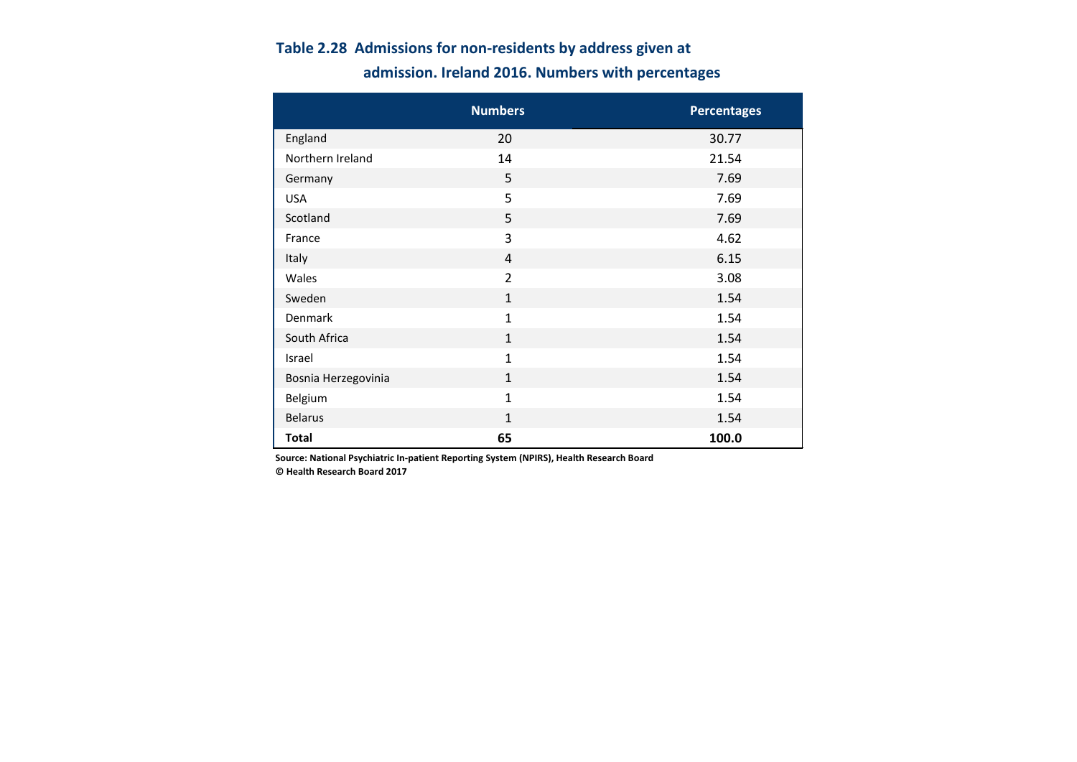# **admission. Ireland 2016. Numbers with percentages Table 2.28 Admissions for non-residents by address given at**

|                     | <b>Numbers</b> | <b>Percentages</b> |
|---------------------|----------------|--------------------|
| England             | 20             | 30.77              |
| Northern Ireland    | 14             | 21.54              |
| Germany             | 5              | 7.69               |
| <b>USA</b>          | 5              | 7.69               |
| Scotland            | 5              | 7.69               |
| France              | 3              | 4.62               |
| Italy               | $\overline{4}$ | 6.15               |
| Wales               | $\overline{2}$ | 3.08               |
| Sweden              | $\mathbf{1}$   | 1.54               |
| Denmark             | $\mathbf{1}$   | 1.54               |
| South Africa        | $\mathbf{1}$   | 1.54               |
| Israel              | $\mathbf{1}$   | 1.54               |
| Bosnia Herzegovinia | $\mathbf{1}$   | 1.54               |
| Belgium             | $\mathbf{1}$   | 1.54               |
| <b>Belarus</b>      | $\mathbf{1}$   | 1.54               |
| <b>Total</b>        | 65             | 100.0              |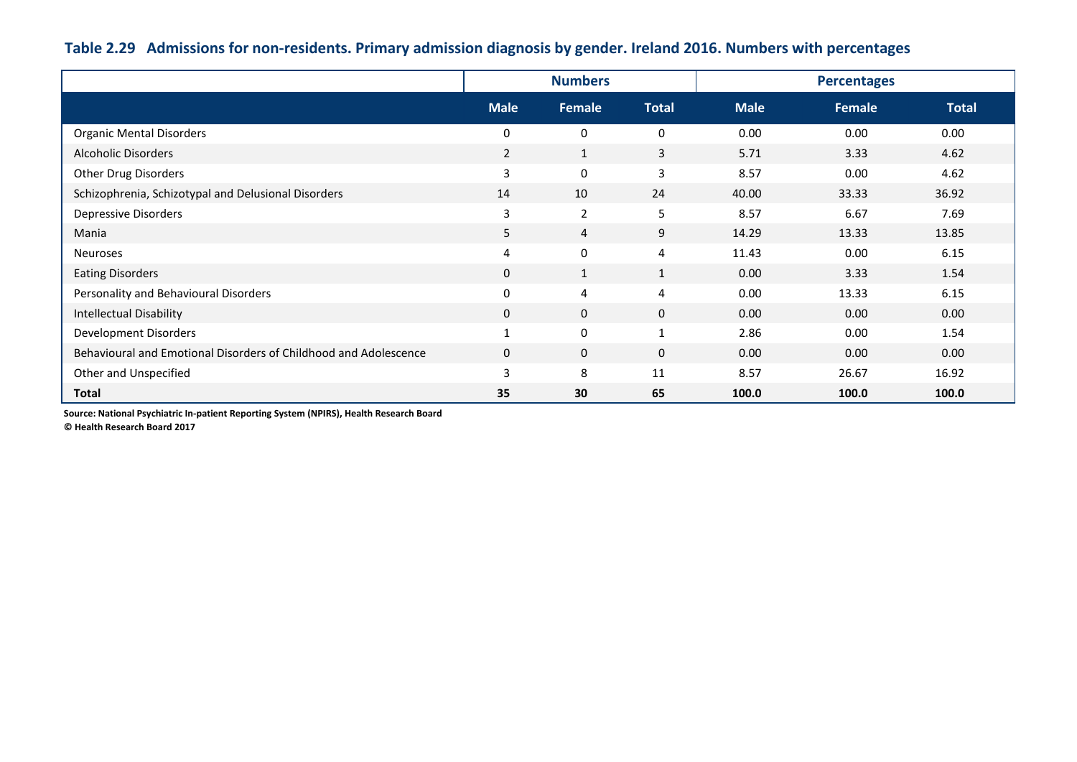# **Table 2.29 Admissions for non-residents. Primary admission diagnosis by gender. Ireland 2016. Numbers with percentages**

|                                                                  |                | <b>Numbers</b> |              |             | <b>Percentages</b> |              |  |  |
|------------------------------------------------------------------|----------------|----------------|--------------|-------------|--------------------|--------------|--|--|
|                                                                  | <b>Male</b>    | Female         | <b>Total</b> | <b>Male</b> | Female             | <b>Total</b> |  |  |
| <b>Organic Mental Disorders</b>                                  | $\mathbf 0$    | $\mathbf 0$    | 0            | 0.00        | 0.00               | 0.00         |  |  |
| <b>Alcoholic Disorders</b>                                       | $\overline{2}$ | $\mathbf{1}$   | 3            | 5.71        | 3.33               | 4.62         |  |  |
| <b>Other Drug Disorders</b>                                      | 3              | $\mathbf 0$    | 3            | 8.57        | 0.00               | 4.62         |  |  |
| Schizophrenia, Schizotypal and Delusional Disorders              | 14             | 10             | 24           | 40.00       | 33.33              | 36.92        |  |  |
| Depressive Disorders                                             | 3              | $\overline{2}$ | 5            | 8.57        | 6.67               | 7.69         |  |  |
| Mania                                                            | 5              | 4              | 9            | 14.29       | 13.33              | 13.85        |  |  |
| Neuroses                                                         | 4              | $\mathbf{0}$   | 4            | 11.43       | 0.00               | 6.15         |  |  |
| <b>Eating Disorders</b>                                          | $\mathbf{0}$   | $\mathbf{1}$   | $\mathbf{1}$ | 0.00        | 3.33               | 1.54         |  |  |
| Personality and Behavioural Disorders                            | $\mathbf 0$    | 4              | 4            | 0.00        | 13.33              | 6.15         |  |  |
| <b>Intellectual Disability</b>                                   | $\mathbf{0}$   | $\mathbf 0$    | $\mathbf 0$  | 0.00        | 0.00               | 0.00         |  |  |
| <b>Development Disorders</b>                                     | $\overline{1}$ | $\mathbf 0$    | $\mathbf{1}$ | 2.86        | 0.00               | 1.54         |  |  |
| Behavioural and Emotional Disorders of Childhood and Adolescence | $\mathbf{0}$   | $\mathbf{0}$   | $\mathbf{0}$ | 0.00        | 0.00               | 0.00         |  |  |
| Other and Unspecified                                            | 3              | 8              | 11           | 8.57        | 26.67              | 16.92        |  |  |
| <b>Total</b>                                                     | 35             | 30             | 65           | 100.0       | 100.0              | 100.0        |  |  |

**Source: National Psychiatric In-patient Reporting System (NPIRS), Health Research Board**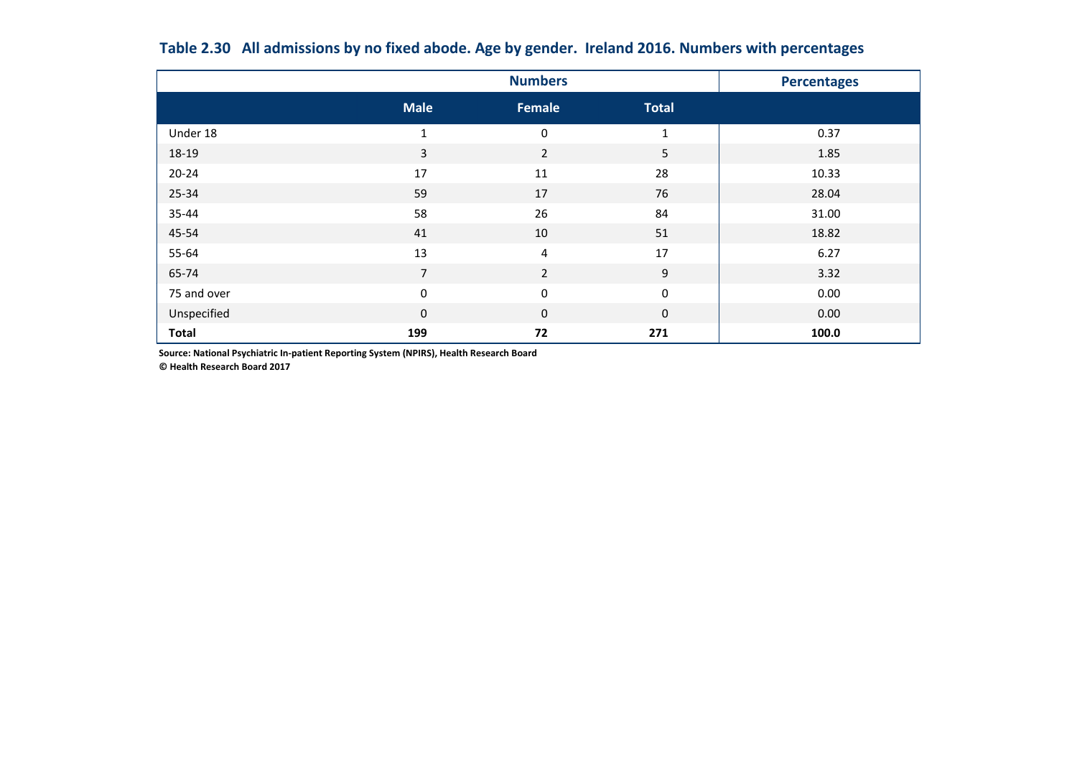|              |                  | <b>Numbers</b>   |                  | <b>Percentages</b> |
|--------------|------------------|------------------|------------------|--------------------|
|              | <b>Male</b>      | Female           | <b>Total</b>     |                    |
| Under 18     | $\mathbf{1}$     | 0                | $\mathbf{1}$     | 0.37               |
| 18-19        | 3                | $\overline{2}$   | 5 <sup>5</sup>   | 1.85               |
| $20 - 24$    | 17               | 11               | 28               | 10.33              |
| 25-34        | 59               | 17               | 76               | 28.04              |
| 35-44        | 58               | 26               | 84               | 31.00              |
| 45-54        | 41               | $10\,$           | 51               | 18.82              |
| 55-64        | 13               | 4                | 17               | 6.27               |
| 65-74        | $\overline{7}$   | $\overline{2}$   | 9                | 3.32               |
| 75 and over  | $\boldsymbol{0}$ | $\boldsymbol{0}$ | $\boldsymbol{0}$ | 0.00               |
| Unspecified  | $\pmb{0}$        | $\mathbf 0$      | $\mathbf 0$      | 0.00               |
| <b>Total</b> | 199              | 72               | 271              | 100.0              |

**Table 2.30 All admissions by no fixed abode. Age by gender. Ireland 2016. Numbers with percentages**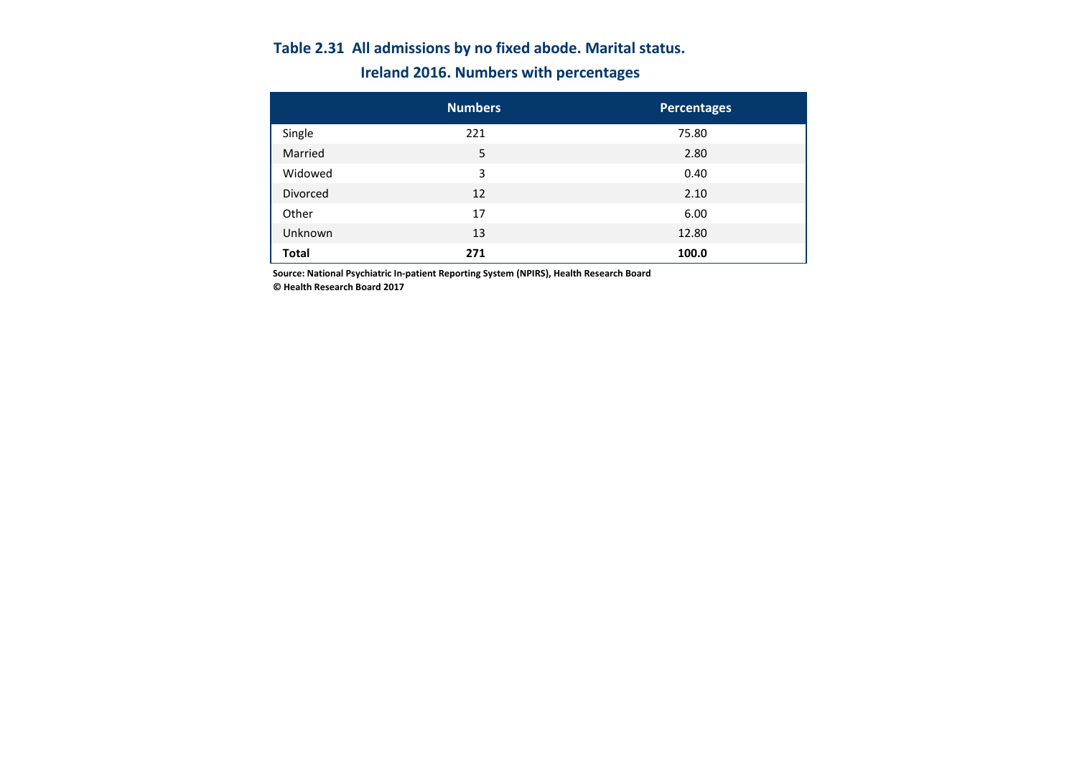# **Table 2.31 All admissions by no fixed abode. Marital status. Ireland 2016. Numbers with percentages**

|                 | <b>Numbers</b> | <b>Percentages</b> |
|-----------------|----------------|--------------------|
| Single          | 221            | 75.80              |
| Married         | 5              | 2.80               |
| Widowed         | 3              | 0.40               |
| <b>Divorced</b> | 12             | 2.10               |
| Other           | 17             | 6.00               |
| Unknown         | 13             | 12.80              |
| <b>Total</b>    | 271            | 100.0              |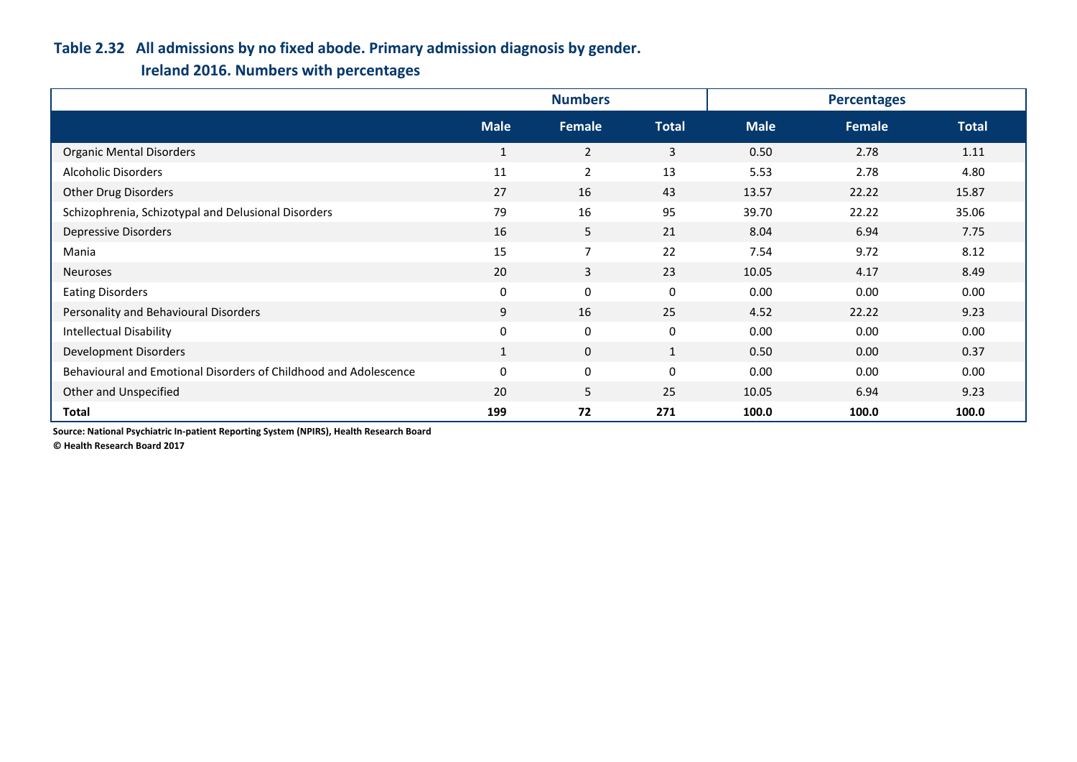## **Table 2.32 All admissions by no fixed abode. Primary admission diagnosis by gender.**

# **Ireland 2016. Numbers with percentages**

|                                                                  | <b>Numbers</b> |                |                  | <b>Percentages</b> |        |              |
|------------------------------------------------------------------|----------------|----------------|------------------|--------------------|--------|--------------|
|                                                                  | <b>Male</b>    | Female         | <b>Total</b>     | <b>Male</b>        | Female | <b>Total</b> |
| <b>Organic Mental Disorders</b>                                  | $\mathbf{1}$   | $\overline{2}$ | 3                | 0.50               | 2.78   | 1.11         |
| Alcoholic Disorders                                              | 11             | $\overline{2}$ | 13               | 5.53               | 2.78   | 4.80         |
| Other Drug Disorders                                             | 27             | 16             | 43               | 13.57              | 22.22  | 15.87        |
| Schizophrenia, Schizotypal and Delusional Disorders              | 79             | 16             | 95               | 39.70              | 22.22  | 35.06        |
| <b>Depressive Disorders</b>                                      | 16             | 5              | 21               | 8.04               | 6.94   | 7.75         |
| Mania                                                            | 15             | $\overline{7}$ | 22               | 7.54               | 9.72   | 8.12         |
| Neuroses                                                         | 20             | 3              | 23               | 10.05              | 4.17   | 8.49         |
| <b>Eating Disorders</b>                                          | $\bf{0}$       | 0              | $\boldsymbol{0}$ | 0.00               | 0.00   | 0.00         |
| Personality and Behavioural Disorders                            | 9              | 16             | 25               | 4.52               | 22.22  | 9.23         |
| <b>Intellectual Disability</b>                                   | $\mathbf 0$    | $\mathbf 0$    | $\mathbf 0$      | 0.00               | 0.00   | 0.00         |
| Development Disorders                                            | $\mathbf{1}$   | $\mathbf{0}$   | $\mathbf{1}$     | 0.50               | 0.00   | 0.37         |
| Behavioural and Emotional Disorders of Childhood and Adolescence | $\mathbf 0$    | 0              | $\mathbf 0$      | 0.00               | 0.00   | 0.00         |
| Other and Unspecified                                            | 20             | 5              | 25               | 10.05              | 6.94   | 9.23         |
| <b>Total</b>                                                     | 199            | 72             | 271              | 100.0              | 100.0  | 100.0        |

**Source: National Psychiatric In-patient Reporting System (NPIRS), Health Research Board**